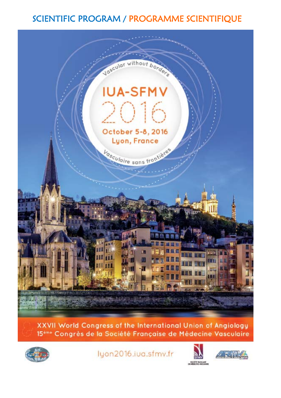# SCIENTIFIC PROGRAM / PROGRAMME SCIENTIFIQUE



XXVII World Congress of the International Union of Angiology 15<sup>ème</sup> Congrès de la Société Française de Médecine Vasculaire



lyon2016.iua.sfmv.fr



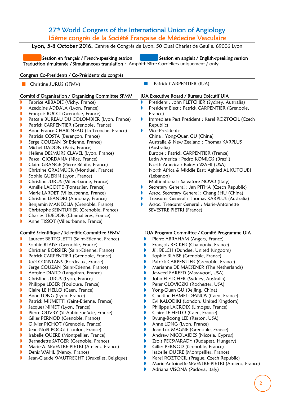## 27<sup>th</sup> World Congress of the International Union of Angiology 15ème congrès de la Société Française de Médecine Vasculaire

Lyon, 5-8 October 2016, Centre de Congrès de Lyon, 50 Quai Charles de Gaulle, 69006 Lyon

Session en français / French-speaking session Session en anglais / English-speaking session Traduction simultanée / Simultaneous translation : Amphithéâtre Cordeliers uniquement / only

## Congress Co-Presidents / Co-Présidents du congrès

**Christine JURUS (SFMV)** Patrick CARPENTIER (IUA)

## Comité d'Organisation / Organizing Committee SFMV

- Fabrice ABBADIE (Vichy, France)
- **Azeddine ADDALA (Lyon, France)**
- **François BUCCI (Grenoble, France)**
- **Pascale BUREAU DU COLOMBIER (Lyon, France)**
- **Patrick CARPENTIER (Grenoble, France)**
- **Anne-France CHAIGNEAU (La Tronche, France)**
- **Patricia COSTA (Besançon, France)**
- Serge COUZAN (St Etienne, France)
- **Michel DADON (Paris, France)**
- **H**élène DESMURS CLAVEL (Lyon, France)
- **Pascal GIORDANA (Nice, France)**
- **Claire GRANGE (Pierre Bénite, France)**
- **Christine GRASMUCK (Montluel, France)**
- **Sophie GUERIN (Lyon, France)**
- **Christine JURUS (Villeurbanne, France)**
- **Amélie LACOSTE (Pontarlier, France)**
- **Marie LARDET (Villeurbanne, France)**
- **Christine LEANDRI (Annonay, France)**
- **Benjamin MANEGLIA (Grenoble, France)**
- **Christophe SEINTURIER (Grenoble, France)**
- **Charles TEJEDOR (Chamalières, France)**
- **Anne TISSOT (Villeurbanne, France)**

## Comité Scientifique / Scientific Committee SFMV

- Laurent BERTOLETTI (Saint-Etienne, France)
- **Sophie BLAISE (Grenoble, France)**
- **Christian BOISSIER (Saint-Etienne, France)**
- **Patrick CARPENTIER (Grenoble, France)**
- **Joël CONSTANS (Bordeaux, France)**
- Serge COUZAN (Saint-Etienne, France)
- **Antoine DIARD (Langoiran, France)**
- **Christine JURUS (Lyon, France)**
- **Philippe LEGER (Toulouse, France)**
- **Claire LE HELLO (Caen, France)**
- **Anne LONG (Lyon, France)**
- **Patrick MISMETTI (Saint-Etienne, France)**
- **Jacques NINET (Lyon, France)**
- **Pierre OUVRY (St-Aubin sur Scie, France)**
- **Gilles PERNOD (Grenoble, France)**
- **D** Olivier PICHOT (Grenoble, France)
- **Jean-Noël POGGI (Toulon, France)**
- **I** Isabelle QUERE (Montpellier, France)
- Bernadette SATGER (Grenoble, France)
- **Marie-A. SEVESTRE-PIETRI (Amiens, France)**
- **D** Denis WAHL (Nancy, France)
- Jean-Claude WAUTRECHT (Bruxelles, Belgique)
- 
- President : John FLETCHER (Sydney, Australia)
- **President Elect : Patrick CARPENTIER (Grenoble,** France)
- **Immediate Past President : Karel ROZTOCIL (Czech** Republic)
- **Vice-Presidents:** 
	- China : Yong-Quan GU (China) Australia & New Zealand : Thomas KARPLUS (Australia) Europe : Patrick CARPENTIER (France) Latin America : Pedro KOMLOS (Brazil) North America : Rakesh WAHI (USA) North Africa & Middle East: Aghiad AL KUTOUBI
	- (Lebanon)
	- Multinational : Salvatore NOVO (Italy)
- **Secretary General : Jan PITHA (Czech Republic)**
- Assoc. Secretary General : Chang SHU (China)
- **Treasurer General : Thomas KARPLUS (Australia)**
- **Assoc. Treasurer General : Marie-Antoinette** SEVESTRE PIETRI (France)

#### IUA Program Committee / Comité Programme UIA

- **Pierre ABRAHAM (Angers, France)**
- **François BECKER (Chamonix, France)**
- **Jill BELCH (Dundee, United Kingdom)**
- **Sophie BLAISE (Grenoble, France)**
- **Patrick CARPENTIER (Grenoble, France)**
- **Marianne DE MAESENER (The Netherlands)**
- **Jaweed FAREED (Maywood, USA)**
- **John FLETCHER (Sydney, Australia)**
- **Peter GLOVICZKI (Rochester, USA)**
- **P** Yong-Quan GU (Beijing, China)
- **Claudine HAMEL-DESNOS (Caen, France)**
- **B** Evi KALODIKI (London, United Kingdom)
- **Philippe LACROIX (Limoges, France)**
- **Claire LE HELLO (Caen, France)**
- Byung-Boong LEE (Reston, USA)
- **Anne LONG (Lyon, France)**
- **Jean-Luc MAGNE (Grenoble, France)**
- **Andrew NICOLAIDES (Nicosia, Cyprus)**
- **B** Zsolt PECSVARADY (Budapest, Hungary)
- **Gilles PERNOD (Grenoble, France)**
- **I** Isabelle QUERE (Montpellier, France)
- **Karel ROZTOCIL (Prague, Czech Republic)**
- Marie-Antoinette SEVESTRE-PIETRI (Amiens, France)
- **Adriana VISONA (Padova, Italy)**
- 
- 

## IUA Executive Board / Bureau Exécutif UIA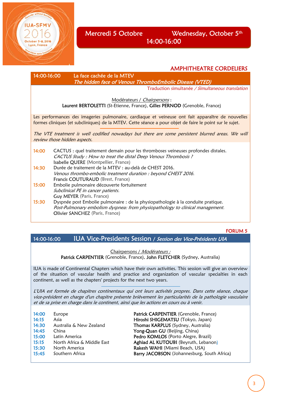

## Mercredi 5 Octobre Wednesday, October 5<sup>th</sup> 14:00-16:00

14:00-16:00 La face cachée de la MTEV

The hidden face of Venous ThromboEmbolic Disease (VTED)

Traduction simultanée / Simultaneous translation

AMPHITHEATRE CORDELIERS

Modérateurs / Chairpersons :

Laurent BERTOLETTI (St-Etienne, France), Gilles PERNOD (Grenoble, France)

Les performances des imageries pulmonaire, cardiaque et veineuse ont fait apparaître de nouvelles formes cliniques (et subcliniques) de la MTEV. Cette séance a pour objet de faire le point sur le sujet.

The VTE treatment is well codified nowadays but there are some persistent blurred areas. We will review those hidden aspects.

14:00 CACTUS : quel traitement demain pour les thromboses veineuses profondes distales. CACTUS Study : How to treat the distal Deep Venous Thrombosis ? **Isabelle QUERE** (Montpellier, France)<br>**14:30** Durée de traitement de la MTEV : au-Durée de traitement de la MTEV : au-delà de CHEST 2016. Venous thrombo-embolic treatment duration : beyond CHEST 2016. Francis COUTURAUD (Brest, France) 15:00 Embolie pulmonaire découverte fortuitement Subclinical PE in cancer patients. Guy MEYER (Paris, France) 15:30 Dyspnée post Embolie pulmonaire : de la physiopathologie à la conduite pratique. Post-Pulmonary embolism dyspnea: from physiopathology to clinical management. Olivier SANCHEZ (Paris, France)

#### FORUM 5

14:00-16:00 IUA Vice-Presidents Session / Session des Vice-Présidents UIA

#### Chairpersons / Modérateurs : Patrick CARPENTIER (Grenoble, France), John FLETCHER (Sydney, Australia)

IUA is made of Continental Chapters which have their own activities. This session will give an overview of the situation of vascular health and practice and organization of vascular specialties in each continent, as well as the chapters' projects for the next two years.

L'UIA est formée de chapitres continentaux qui ont leurs activités propres. Dans cette séance, chaque vice-président en charge d'un chapitre présente brièvement les particularités de la pathologie vasculaire et de sa prise en charge dans le continent, ainsi que les actions en cours ou à venir.

| 14:00 | Europe                     |
|-------|----------------------------|
| 14:15 | Asia                       |
| 14:30 | Australia & New Zealand    |
| 14:45 | China                      |
| 15:00 | Latin America              |
| 15:15 | North Africa & Middle Fast |
| 15:30 | North America              |
| 15:45 | Southern Africa            |
|       |                            |

Patrick CARPENTIER (Grenoble, France) Hiroshi SHIGEMATSU (Tokyo, Japan) Thomas KARPLUS (Sydney, Australia) Yong-Quan GU (Beijing, China) Pedro KOMLOS (Porto Alegre, Brazil) Aghiad AL KUTOUBI (Beyruth, Lebanon) Rakesh WAHI (Miami Beach, USA) Barry JACOBSON (Johannesburg, South Africa)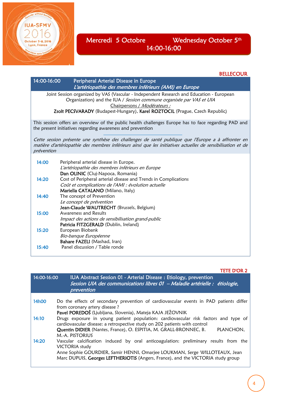

í

## Mercredi 5 Octobre Wednesday October 5<sup>th</sup> 14:00-16:00

## **BELLECOUR**

| 14:00-16:00 | Peripheral Arterial Disease in Europe<br>L'artériopathie des membres inférieurs (AMI) en Europe                                                                                                                   |
|-------------|-------------------------------------------------------------------------------------------------------------------------------------------------------------------------------------------------------------------|
|             | Joint Session organized by VAS (Vascular - Independent Research and Education - European<br>Organization) and the IUA / Session commune organisée par VAS et UIA<br>Chairpersons / Modérateurs :                  |
|             | Zsolt PECSVARADY (Budapest-Hungary), Karel ROZTOCIL (Prague, Czech Republic)                                                                                                                                      |
|             | This session offers an overview of the public health challenges Europe has to face regarding PAD and<br>the present initiatives regarding awareness and prevention                                                |
| prévention  | Cette session présente une synthèse des challenges de santé publique que l'Europe a à affronter en<br>matière d'artériopathie des membres inférieurs ainsi que les initiatives actuelles de sensibilisation et de |
| 14:00       | Peripheral arterial disease in Europe.<br>L'artériopathie des membres inférieurs en Europe<br>Dan OLINIC (Cluj-Napoca, Romania)                                                                                   |
| 14:20       | Cost of Peripheral arterial disease and Trends in Complications<br>Coût et complications de l'AMI : évolution actuelle<br>Mariella CATALANO (Milano, Italy)                                                       |
| 14:40       | The concept of Prevention<br>Le concept de prévention<br>Jean-Claude WAUTRECHT (Brussels, Belgium)                                                                                                                |
| 15:00       | Awareness and Results<br>Impact des actions de sensibilisation grand-public<br>Patricia FITZGERALD (Dublin, Ireland)                                                                                              |
| 15:20       | European Biobank<br>Bio-banque Européenne<br>Bahare FAZELI (Mashad, Iran)                                                                                                                                         |
| 15:40       | Panel discussion / Table ronde                                                                                                                                                                                    |

#### TETE D'OR 2

| 14:00-16:00 | IUA Abstract Session 01 - Arterial Disease : Etiology, prevention<br>Session UIA des communications libres 01 - Maladie artérielle : étiologie,<br>prevention                                                                                                                                                                       |
|-------------|-------------------------------------------------------------------------------------------------------------------------------------------------------------------------------------------------------------------------------------------------------------------------------------------------------------------------------------|
| 14h00       | Do the effects of secondary prevention of cardiovascular events in PAD patients differ<br>from coronary artery disease?                                                                                                                                                                                                             |
| 14:10       | Pavel POREDOŠ (Ljubljana, Slovenia), Mateja KAJA JEŽOVNIK<br>Drugs exposure in young patient population: cardiovascular risk factors and type of<br>cardiovascular disease: a retrospective study on 202 patients with control<br>Quentin DIDIER (Nantes, France), O. ESPITIA, M. GRALL-BRONNEC, B.<br>PLANCHON.<br>M.-A. PISTORIUS |
| 14:20       | Vascular calcification induced by oral anticoagulation: preliminary results from the<br><b>VICTORIA</b> study<br>Anne Sophie GOURDIER, Samir HENNI, Omarjee LOUKMAN, Serge WILLOTEAUX, Jean<br>Marc DUPUIS, Georges LEFTHERIOTIS (Angers, France), and the VICTORIA study group                                                     |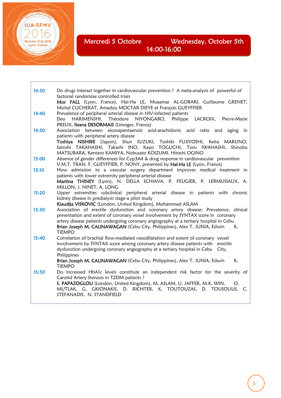Mercredi 5 Octobre Wednesday, October 5th 14:00-16:00

i<br>I

**IUA-SFMV** 

October 5-8, 2016 Lyon, France

| 14:30 | Do drugs interact together in cardiovascular prevention ? A meta-analysis of powerful of          |
|-------|---------------------------------------------------------------------------------------------------|
|       | factorial randomize controlled trials                                                             |
|       | Mor FALL (Lyon, France), Hai-Ha LE, Muaamar AL-GOBARI, Guillaume GRENET,                          |
|       | Michel CUCHERAT, Amadou MOCTAR DIEYE et François GUEYFFIER                                        |
| 14:40 | Prevalence of peripheral arterial disease in HIV-infected patients                                |
|       | LACROIX, Pierre-Marie<br>Deo HARIMENSHI, Théodore NIYONGABO, Philippe                             |
|       | PREUX, Ileana DESORMAIS (Limoges, France)                                                         |
| 14:50 | Association between eicosapentaenoic acid-arachidonic acid ratio and aging in                     |
|       | patients with peripheral artery disease                                                           |
|       | Toshiya NISHIBE (Japon), Shun SUZUKI, Toshiki FUJIYOSHI, Keita MARUNO,                            |
|       | Satoshi TAKAHASHI, Takashi INO, Kayo TOGUCHI, Toru IWAHASHI, Shinobu                              |
|       | MATSUBARA, Kentaro KAMIYA, Nobusato KOIZUMI, Hitoshi OGINO                                        |
| 15:00 | Absence of gender differences for Cyp3A4 & drug response in cardiovascular prevention             |
|       | V.M.T. TRAN, F. GUEYFFIER, P. NONY, presented by Haï-Ha LE (Lyon, France)                         |
| 15:10 | How admission to a vascular surgery department improves medical treatment in                      |
|       | patients with lower extremity peripheral arterial disease                                         |
|       | Martina THINEY (Lyon), N. DELLA SCHIAVA, P. FEUGIER, P. LERMUSIAUX, A.                            |
|       | MILLON, J. NINET, A. LONG                                                                         |
| 15:20 | Upper extremities subclinical peripheral arterial disease in patients with chronic                |
|       | kidney disease in predialysis stage-a pilot study                                                 |
|       | Klaudija VISKOVIC (London, United Kingdom), Mohammed ASLAM                                        |
| 15:30 | Association of erectile dysfunction and coronary artery disease: Prevalence, clinical             |
|       | presentation and extent of coronary vessel involvement by SYNTAX score in coronary                |
|       | artery disease patients undergoing coronary angiography at a tertiary hospital in Cebu            |
|       | Brian Joseph M. CALINAWAGAN (Cebu City, Philippines), Alex T. JUNIA, Edwin<br>К.<br><b>TIEMPO</b> |
| 15:40 | Correlation of brachial flow-mediated vasodilatation and extent of coronary vessel                |
|       | involvement by SYNTAX score among coronary artery disease patients with erectile                  |
|       | dysfunction undergoing coronary angiography at a tertiary hospital in Cebu<br>City,               |
|       | Philippines                                                                                       |
|       | K.<br>Brian Joseph M. CALINAWAGAN (Cebu City, Philippines), Alex T. JUNIA, Edwin                  |
|       | <b>TIEMPO</b>                                                                                     |
| 15:50 | Do increased HbA1c levels constitute an independent risk factor for the severity of               |
|       | Carotid Artery Stenosis in T2DM patients ?                                                        |
|       | S. PAPAZOGLOU (London, United Kingdom), M. ASLAM, U. JAFFER, M.K. WIN,<br>O.                      |
|       | MUTLAK, G. GKIONAKIS, D. RICHTER, K. TOUTOUZAS, D. TOUSOULIS, C.                                  |
|       | STEFANADIS, N. STANDFIELD                                                                         |
|       |                                                                                                   |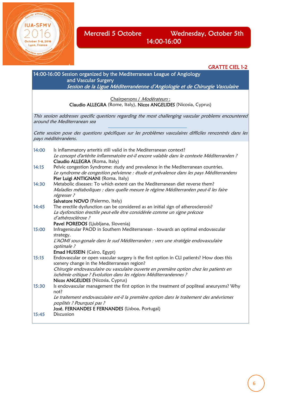

Mercredi 5 Octobre Wednesday, October 5th 14:00-16:00

GRATTE CIEL 1-2 14:00-16:00 Session organized by the Mediterranean League of Angiology and Vascular Surgery Session de la Ligue Méditerranéenne d'Angiologie et de Chirurgie Vasculaire Chairpersons / Modérateurs : Claudio ALLEGRA (Rome, Italy), Nicos ANGELIDES (Nicosia, Cyprus) This session addresses specific questions regarding the most challenging vascular problems encountered around the Mediterranean sea Cette session pose des questions spécifiques sur les problèmes vasculaires difficiles rencontrés dans les pays méditérranéens. 14:00 Is inflammatory arteritis still valid in the Mediterranean context? Le concept d'artérite inflammatoire est-il encore valable dans le contexte Méditerranéen ? Claudio ALLEGRA (Roma, Italy) 14:15 Pelvic congestion Syndrome: study and prevalence in the Mediterranean countries. Le syndrome de congestion pelvienne : étude et prévalence dans les pays Méditerranéens Pier Luigi ANTIGNANI (Roma, Italy) 14:30 Metabolic diseases: To which extent can the Mediterranean diet reverse them? Maladies métaboliques : dans quelle mesure le régime Méditerranéen peut-il les faire régresser ? Salvatore NOVO (Palermo, Italy) 14:45 The erectile dysfunction can be considered as an initial sign of atherosclerosis? La dysfonction érectile peut-elle être considérée comme un signe précoce d'athérosclérose ? Pavel POREDOS (Ljubljana, Slovenia) 15:00 Infragenicular PAOD in Southern Mediterranean - towards an optimal endovascular strategy. L'AOMI sous-gonale dans le sud Méditerranéen : vers une stratégie endovasculaire optimale ? Emad HUSSEIN (Cairo, Egypt) 15:15 Endovascular or open vascular surgery is the first option in CLI patients? How does this scenery change in the Mediterranean region? Chirurgie endovasculaire ou vasculaire ouverte en première option chez les patients en ischémie critique ? Evolution dans les régions Méditerranéennes ? Nicos ANGELIDES (Nicosia, Cyprus) 15:30 Is endovascular management the first option in the treatment of popliteal aneurysms? Why not? Le traitement endovasculaire est-il la première option dans le traitement des anévrismes poplités ? Pourquoi pas ? José. FERNANDES E FERNANDES (Lisboa, Portugal) 15:45 Discussion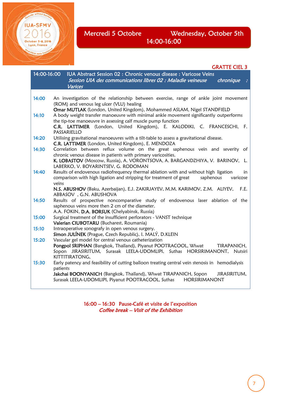Mercredi 5 Octobre Wednesday, October 5th 14:00-16:00

#### GRATTE CIEL 3 14:00-16:00 IUA Abstract Session 02 : Chronic venous disease : Varicose Veins Session UIA des communications libres 02 : Maladie veineuse chronique Varices 14:00 An investigation of the relationship between exercise, range of ankle joint movement (ROM) and venous leg ulcer (VLU) healing Omar MUTLAK (London, United Kingdom), Mohammed ASLAM, Nigel STANDFIELD 14:10 A body weight transfer manoeuvre with minimal ankle movement significantly outperforms the tip-toe manoeuvre in assessing calf muscle pump function C.R. LATTIMER (London, United Kingdom), E. KALODIKI, C. FRANCESCHI, F. PASSARIELLO 14:20 Utilising gravitational manoeuvres with a tilt-table to assess a gravitational disease. C.R. LATTIMER (London, United Kingdom), E. MENDOZA 14:30 Correlation between reflux volume on the great saphenous vein and severity of chronic venous disease in patients with primary varicosities. K. LOBASTOV (Moscow, Russia), A. VORONTSOVA, A. BARGANDZHIYA, V. BARINOV, L. LABERKO, V. BOYARINTSEV, G. RODOMAN 14:40 Results of endovenous radiofrequency thermal ablation with and without high ligation in comparison with high ligation and stripping for treatment of great saphenous varicose veins N.S. ABUSHOV (Baku, Azerbaijan), E.J. ZAKIRJAYEV, M.M. KARIMOV, Z.M. ALIYEV, F.E. ABBASOV , G.N. ABUSHOVA 14:50 Results of prospective noncomparative study of endovenous laser ablation of the saphenous veins more then 2 cm of the diameter. A.A. FOKIN, D.A. BORSUK (Chelyabinsk, Russia) 15:00 Surgical treatment of the insufficient perforators - VANST technique Valerian CIUBOTARU (Bucharest, Roumania) 15:10 Intraoperative sonografy in open venous surgery. Simon JULÍNEK (Prague, Czech Republic), I. MALÝ, D.KLEIN 15:20 Vascular gel model for central venous catheterization Pongpol SRIPHAN (Bangkok, Thaïland), Piyanut POOTRACOOL, Wiwat TIRAPANICH, Sopon JIRASIRITUM, Surasak LEELA-UDOMLIPI, Suthas HORSIRIMANONT, Nutsiri KITTITIRATONG, 15:30 Early patency and feasibility of cutting balloon treating central vein stenosis in hemodialysis patients Jakchai BOONYANICH (Bangkok, Thaïland), Wiwat TIRAPANICH, Sopon JIRASIRITUM, Surasak LEELA-UDOMLIPI, Piyanut POOTRACOOL, Suthas HORSIRIMANONT

yon, France

16:00 – 16:30 Pause-Café et visite de l'exposition Coffee break – Visit of the Exhibition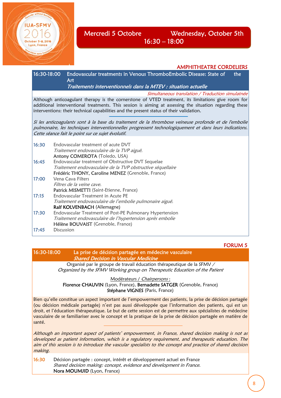

## Mercredi 5 Octobre Wednesday, October 5th 16:30 – 18:00

AMPHITHEATRE CORDELIERS

16:30-18:00 Endovascular treatments in Venous ThromboEmbolic Disease: State of the Art

Traitements interventionnels dans la MTEV : situation actuelle

Simultaneous translation / Traduction simulatnée

Although anticoagulant therapy is the cornerstone of VTED treatment, its limitations give room for additional interventional treatments. This session is aiming at assessing the situation regarding these interventions: their technical capabilities and the present status of their validation.

Si les anticoagulants sont à la base du traitement de la thrombose veineuse profonde et de l'embolie pulmonaire, les techniques interventionnelles progressent technologiquement et dans leurs indications. Cette séance fait le point sur ce sujet évolutif.

| 16:30 | Endovascular treatment of acute DVT                         |
|-------|-------------------------------------------------------------|
|       | Traitement endovasculaire de la TVP aiguë.                  |
|       | Antony COMEROTA (Toledo, USA)                               |
| 16:45 | Endovascular treatment of Obstructive DVT Sequelae          |
|       | Traitement endovasculaire de la TVP obstructive séquellaire |
|       | Frédéric THONY, Caroline MENEZ (Grenoble, France)           |
| 17:00 | Vena Cava Filters                                           |
|       | Filtres de la veine cave.                                   |
|       | Patrick MISMETTI (Saint-Etienne, France)                    |
| 17:15 | Endovascular Treatment in Acute PE                          |
|       | Traitement endovasculaire de l'embolie pulmonaire aiguë.    |
|       | Ralf KOLVENBACH (Allemagne)                                 |
| 17:30 | Endovascular Treatment of Post-PE Pulmonary Hypertension    |
|       | Traitement endovasculaire de l'hypertension après embolie   |
|       | Hélène BOUVAIST (Grenoble, France)                          |
| 17:45 | Discussion                                                  |
|       |                                                             |

FORUM 5

16:30-18:00 La prise de décision partagée en médecine vasculaire Shared Decision in Vascular Medicine

Organisé par le groupe de travail éducation thérapeutique de la SFMV / Organized by the SFMV Working group on Therapeutic Education of the Patient

Modérateurs / Chairpersons :

Florence CHAUVIN (Lyon, France), Bernadette SATGER (Grenoble, France) Stéphane VIGNES (Paris, France)

Bien qu'elle constitue un aspect important de l'empowerment des patients, la prise de décision partagée (ou décision médicale partagée) n'est pas aussi développée que l'information des patients, qui est un droit, et l'éducation thérapeutique. Le but de cette session est de permettre aux spécialistes de médecine vasculaire de se familiariser avec le concept et la pratique de la prise de décision partagée en matière de santé.

Although an important aspect of patients' empowerment, in France, shared decision making is not as developed as patient information, which is a regulatory requirement, and therapeutic education. The aim of this session is to introduce the vascular specialists to the concept and practice of shared decision making.

16:30 Décision partagée : concept, intérêt et développement actuel en France Shared decision making: concept, evidence and development in France. Nora MOUMJID (Lyon, France)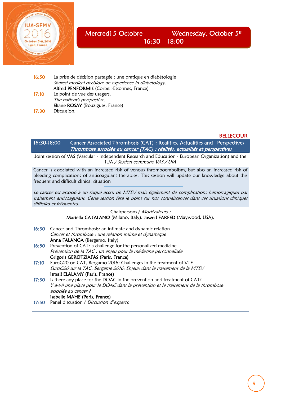

## Mercredi 5 Octobre Wednesday, October 5<sup>th</sup> 16:30 – 18:00

| 16:50 | La prise de décision partagée : une pratique en diabétologie<br>Shared medical decision: an experience in diabetology.<br>Alfred PENFORMIS (Corbeil-Essonnes, France) |
|-------|-----------------------------------------------------------------------------------------------------------------------------------------------------------------------|
| 17:10 | Le point de vue des usagers.<br>The patient's perspective.<br>Eliane ROSAY (Bouzigues, France)                                                                        |
| 17:30 | Discussion.                                                                                                                                                           |

#### **BELLECOUR**

16:30-18:00 Cancer Associated Thrombosis (CAT) : Realities, Actualities and Perspectives Thrombose associée au cancer (TAC) : réalités, actualités et perspectives Joint session of VAS (Vascular - Independent Research and Education - European Organization) and the

IUA / Session commune VAS / UIA

Cancer is associated with an increased risk of venous thromboembolism, but also an increased risk of bleeding complications of anticoagulant therapies. This session will update our knowledge about this frequent and difficult clinical situation

Le cancer est associé à un risqué accru de MTEV mais également de complications hémorragiques par traitement anticoagulant. Cette session fera le point sur nos connaissances dans ces situations cliniques difficiles et fréquentes.

## Chairpersons / Modérateurs : Mariella CATALANO (Milano, Italy), Jawed FAREED (Maywood, USA), 16:30 Cancer and Thrombosis: an intimate and dynamic relation

Cancer et thrombose : une relation intime et dynamique Anna FALANGA (Bergamo, Italy) 16:50 Prevention of CAT: a challenge for the personalized medicine Prévention de la TAC : un enjeu pour la médecine personnalisée

#### Grigoris GEROTZIAFAS (Paris, France)

- 17:10 EuroG20 on CAT, Bergamo 2016: Challenges in the treatment of VTE EuroG20 sur la TAC, Bergame 2016: Enjeux dans le traitement de la MTEV Ismail ELALAMY (Paris, France)
- 17:30 Is there any place for the DOAC in the prevention and treatment of CAT? Y a-t-il une place pour le DOAC dans la prévention et le traitement de la thrombose associée au cancer ? Isabelle MAHE (Paris, France)
- 17:50 Panel discussion / Discussion d'experts.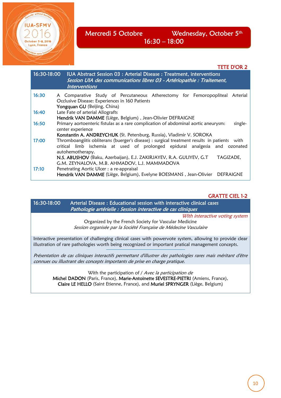

## Mercredi 5 Octobre Wednesday, October 5<sup>th</sup> 16:30 – 18:00

#### TETE D'OR 2

|       | 16:30-18:00 IUA Abstract Session 03 : Arterial Disease : Treatment, interventions<br>Session UIA des communications libres 03 - Artériopathie : Traitement,<br><i><b>Interventions</b></i>                                                                               |
|-------|--------------------------------------------------------------------------------------------------------------------------------------------------------------------------------------------------------------------------------------------------------------------------|
| 16:30 | A Comparative Study of Percutaneous Atherectomy for Femoropopliteal Arterial<br>Occlusive Disease: Experiences in 160 Patients<br>Yongquan GU (Beijing, China)                                                                                                           |
| 16:40 | Late Fate of arterial Allografts<br>Hendrik VAN DAMME (Liège, Belgium), Jean-Olivier DEFRAIGNE                                                                                                                                                                           |
| 16:50 | Primary aortoenteric fistulas as a rare complication of abdominal aortic aneurysm:<br>single-<br>center experience                                                                                                                                                       |
| 17:00 | Konstantin A. ANDREYCHUK (St. Petersburg, Russia), Vladimir V. SOROKA<br>Thromboangiitis obliterans (buerger's disease) : surgical treatment results in patients with<br>critical limb ischemia at used of prolonged epidural analgesia and ozonated<br>autohemotherapy. |
| 17:10 | N.S. ABUSHOV (Baku, Azerbaijan), E.J. ZAKIRJAYEV, R.A. GULIYEV, G.T<br>TAGIZADE.<br>G.M. ZEYNALOVA, M.B. AHMADOV, L.J. MAMMADOVA<br>Penetrating Aortic Ulcer : a re-appraisal<br>Hendrik VAN DAMME (Liège, Belgium), Evelyne BOESMANS, Jean-Olivier<br><b>DEFRAIGNE</b>  |

GRATTE CIEL 1-2

16:30-18:00 Arterial Disease : Educational session with interactive clinical cases Pathologie artérielle : Session interactive de cas cliniques With interactive voting system Organized by the French Society for Vascular Medicine Session organisée par la Société Française de Médecine Vasculaire Interactive presentation of challenging clinical cases with powervote system, allowing to provide clear illustration of rare pathologies worth being recognized or important pratical management concepts. Présentation de cas cliniques interactifs permettant d'illustrer des pathologies rares mais méritant d'être connues ou illustrant des concepts importants de prise en charge pratique. With the participation of / Avec la participation de Michel DADON (Paris, France), Marie-Antoinette SEVESTRE-PIETRI (Amiens, France),

Claire LE HELLO (Saint Etienne, France), and Muriel SPRYNGER (Liège, Belgium)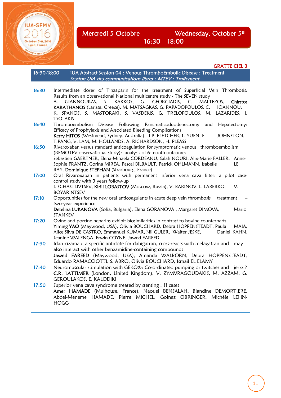October 5-8, 2016 Lyon, France sons tro

Mercredi 5 Octobre Wednesday, October 5<sup>th</sup> 16:30 – 18:00

GRATTE CIEL 3

| 16:30-18:00 | IUA Abstract Session 04 : Venous ThromboEmbolic Disease : Treatment<br>Session UIA des communications libres : MTEV : Traitement                                                                                                                                                                                                                                                                                                 |
|-------------|----------------------------------------------------------------------------------------------------------------------------------------------------------------------------------------------------------------------------------------------------------------------------------------------------------------------------------------------------------------------------------------------------------------------------------|
| 16:30       | Intermediate doses of Tinzaparin for the treatment of Superficial Vein Thrombosis:<br>Results from an observational National multicentre study - The SEVEN study<br>KAKKOS, G. GEORGIADIS,<br>MALTEZOS,<br>Chirstos<br>GIANNOUKAS.<br>S.<br>C.<br>А.<br>KARATHANOS (Larissa, Greece), M. MATSAGKAS, G. PAPADOPOULOS, C.<br>IOANNOU,<br>K. SPANOS, S. MASTORAKI, S. VASDEKIS, G. TRELOPOULOS, M. LAZARIDES, I.<br><b>TSOLAKIS</b> |
| 16:40       | Thromboembolism Disease Following Pancreaticoduodenectomy<br>Hepatectomy:<br>and<br>Efficacy of Prophylaxis and Associated Bleeding Complications<br>Kerry HITOS (Westmead, Sydney, Australia), J.P. FLETCHER, L. YUEN, E.<br>JOHNSTON,<br>T.PANG, V. LAM, M. HOLLANDS, A. RICHARDSON, H. PLEASS                                                                                                                                 |
| 16:50       | Rivaroxaban versus standard anticoagulation for symptomatic venous thromboembolism<br>(REMOTEV observational study): analysis of 6-month outcomes<br>Sebastien GAERTNER, Elena-Mihaela CORDEANU, Salah NOURI, Alix-Marie FALLER, Anne-<br>Sophie FRANTZ, Corina MIREA, Pascal BILBAULT, Patrick OHLMANN, Isabelle<br>LE<br>RAY, Dominique STEPHAN (Strasbourg, France)                                                           |
| 17:00       | Oral Rivaroxaban in patients with permanent inferior vena cava filter: a pilot case-<br>control study with 3 years follow-up<br>I. SCHASTLIVTSEV, Kirill LOBASTOV (Moscow, Russia), V. BARINOV, L. LABERKO,<br>$V_{\cdot}$<br><b>BOYARINTSEV</b>                                                                                                                                                                                 |
| 17:10       | Opportunities for the new oral anticoagulants in acute deep vein thrombosis<br>treatment<br>two-year experience<br>Detelina LUKANOVA (Sofia, Bulgaria), Elena GORANOVA, Margaret DIMOVA,<br>Mario<br><b>STANKEV</b>                                                                                                                                                                                                              |
| 17:20       | Ovine and porcine heparins exhibit biosimilarities in contrast to bovine counterparts.<br>Yiming YAO (Maywood, USA), Olivia BOUCHARD, Debra HOPPENSTEADT, Paula<br>MAIA,<br>Alice Silva DE CASTRO, Emmanuel KUMAR, Nil GULER, Walter JESKE,<br>Daniel KAHN,<br>Jeanine WALENGA, Erwin COYNE, Jawed FAREED                                                                                                                        |
| 17:30       | Idarucizamab, a specific antidote for dabigatran, cross-reacts with melagatran and<br>may<br>also interact with other benzamidine-containing compounds<br>Jawed FAREED (Maywood, USA), Amanda WALBORN, Debra HOPPENSTEADT,<br>Eduardo RAMACCIOTTI, S. ABRO, Olivia BOUCHARD, Ismail EL ELAMY                                                                                                                                     |
| 17:40       | Neuromuscular stimulation with GEKO®: Co-ordinated pumping or twitches and jerks ?<br>C.R. LATTIMER (London, United Kingdom), V. ZYMVRAGOUDAKIS, M. AZZAM, G.<br><b>GEROULAKOS, E. KALODIKI</b>                                                                                                                                                                                                                                  |
| 17:50       | Superior vena cava syndrome treated by stenting : 11 cases<br>Amer HAMADE (Mulhouse, France), Naouel BENSALAH, Blandine DEMORTIERE,<br>Abdel-Meneme HAMADE, Pierre MICHEL, Golnaz OBRINGER, Michèle LEHN-<br><b>HOGG</b>                                                                                                                                                                                                         |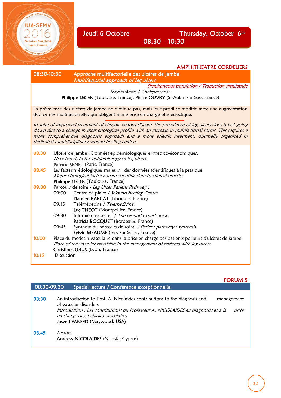

AMPHITHEATRE CORDELIERS

| 08:30-10:30 |                   | Approche multifactorielle des ulcères de jambe                                                              |
|-------------|-------------------|-------------------------------------------------------------------------------------------------------------|
|             |                   | Multifactorial approach of leg ulcers                                                                       |
|             |                   | Simultaneous translation / Traduction simulatnée                                                            |
|             |                   | Modérateurs / Chairpersons:                                                                                 |
|             |                   | Philippe LEGER (Toulouse, France), Pierre OUVRY (St-Aubin sur Scie, France)                                 |
|             |                   | La prévalence des ulcères de jambe ne diminue pas, mais leur profil se modifie avec une augmentation        |
|             |                   | des formes multifactorielles qui obligent à une prise en charge plus éclectique.                            |
|             |                   | In spite of improved treatment of chronic venous disease, the prevalence of leg ulcers does is not going    |
|             |                   | down due to a change in their etiological profile with an increase in multifactorial forms. This requires a |
|             |                   | more comprehensive diagnostic approach and a more eclectic treatment, optimally organized in                |
|             |                   | dedicated multidisciplinary wound healing centers.                                                          |
|             |                   |                                                                                                             |
| 08:30       |                   | Ulcère de jambe : Données épidémiologiques et médico-économiques.                                           |
|             |                   | New trends in the epidemiology of leg ulcers.                                                               |
|             |                   | Patricia SENET (Paris, France)                                                                              |
| 08:45       |                   | Les facteurs étiologiques majeurs : des données scientifiques à la pratique                                 |
|             |                   | Major etiological factors: from scientific data to clinical practice                                        |
| 09:00       |                   | Philippe LEGER (Toulouse, France)<br>Parcours de soins / Leg Ulcer Patient Pathway :                        |
|             | 09:00             | Centre de plaies / Wound healing Center.                                                                    |
|             |                   | Damien BARCAT (Libourne, France)                                                                            |
|             | 09:15             | Télémédecine / Telemedicine.                                                                                |
|             |                   | Luc THEOT (Montpellier, France)                                                                             |
|             | 09:30             | Infirmière experte. / The wound expert nurse.                                                               |
|             |                   | Patricia BOCQUET (Bordeaux, France)                                                                         |
|             | 09:45             | Synthèse du parcours de soins. / Patient pathway : synthesis.                                               |
|             |                   | Sylvie MEAUME (Ivry sur Seine, France)                                                                      |
| 10:00       |                   | Place du médecin vasculaire dans la prise en charge des patients porteurs d'ulcères de jambe.               |
|             |                   | Place of the vascular physician in the management of patients with leg ulcers.                              |
|             |                   | Christine JURUS (Lyon, France)                                                                              |
| 10:15       | <b>Discussion</b> |                                                                                                             |
|             |                   |                                                                                                             |

## FORUM 5

| 08:30-09:30 | Special lecture / Conférence exceptionnelle                                                                                                                                                                                                                                          |
|-------------|--------------------------------------------------------------------------------------------------------------------------------------------------------------------------------------------------------------------------------------------------------------------------------------|
| 08:30       | An introduction to Prof. A. Nicolaides contributions to the diagnosis and<br>management<br>of vascular disorders<br>Introduction : Les contributions du Professeur A. NICOLAIDES au diagnostic et à la<br>prise<br>en charge des maladies vasculaires<br>Jawed FAREED (Maywood, USA) |
| 08.45       | Lecture<br>Andrew NICOLAIDES (Nicosia, Cyprus)                                                                                                                                                                                                                                       |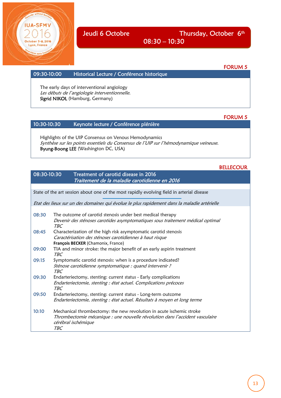

Jeudi 6 Octobre Thursday, October 6<sup>th</sup> 08:30 – 10:30

#### FORUM 5

FORUM 5

#### 09:30-10:00 Historical Lecture / Conférence historique

The early days of interventional angiology Les débuts de l'angiologie interventionnelle. Sigrid NIKOL (Hamburg, Germany)

#### 10:30-10:30 Keynote lecture / Conférence plénière

Highlights of the UIP Consensus on Venous Hemodynamics Synthèse sur les points essentiels du Consensus de l'UIP sur l'hémodynamique veineuse. Byung-Boong LEE (Washington DC, USA)

#### BELLECOUR

#### 08:30-10:30 Treatment of carotid disease in 2016 Traitement de la maladie carotidienne en 2016

State of the art session about one of the most rapidly evolving field in arterial disease

Etat des lieux sur un des domaines qui évolue le plus rapidement dans la maladie artérielle

08:30 The outcome of carotid stenosis under best medical therapy Devenir des sténoses carotides asymptomatiques sous traitement médical optimal TBC 08:45 Characterization of the high risk asymptomatic carotid stenosis Caractérisation des sténoses carotidiennes à haut risque **François BECKER** (Chamonix, France) 09:00 TIA and minor stroke: the major benefit of an early aspirin treatment TBC 09:15 Symptomatic carotid stenosis: when is a procedure indicated? Sténose carotidienne symptomatique : quand intervenir ? TBC 09:30 Endarteriectomy, stenting: current status - Early complications Endarteriectomie, stenting : état actuel. Complications précoces TBC 09:50 Endarteriectomy, stenting: current status - Long-term outcome Endarteriectomie, stenting : état actuel. Résultats à moyen et long terme 10:10 Mechanical thrombectomy: the new revolution in acute ischemic stroke Thrombectomie mécanique : une nouvelle révolution dans l'accident vasculaire cérébral ischémique TBC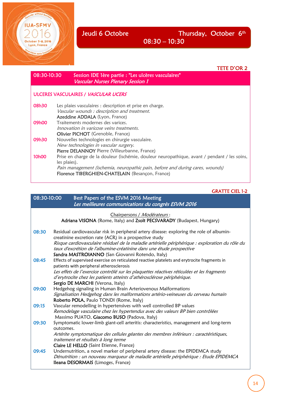without bord

**IUA-SFMV** 

October 5-8, 2016<br>Lyon, France

Viaire sans trontiè

Jeudi 6 Octobre **Thursday**, October 6<sup>th</sup> 08:30 – 10:30

|                    | TETE D'OR 2                                                                                                                       |
|--------------------|-----------------------------------------------------------------------------------------------------------------------------------|
| 08:30-10:30        | Session IDE 1ère partie : "Les ulcères vasculaires"<br><b>Vascular Nurses Plenary Session 1</b>                                   |
|                    | <b>ULCERES VASCULAIRES / VASCULAR UCERS</b>                                                                                       |
| 08h30              | Les plaies vasculaires : description et prise en charge.                                                                          |
|                    | Vascular wounds : description and treatment.                                                                                      |
|                    | <b>Azeddine ADDALA</b> (Lyon, France)                                                                                             |
| 09h00              | Traitements modernes des varices.                                                                                                 |
|                    | Innovation in varicose veins treatments.                                                                                          |
|                    | <b>Olivier PICHOT</b> (Grenoble, France)                                                                                          |
| 09h30              | Nouvelles technologies en chirurgie vasculaire.                                                                                   |
|                    | New technologies in vascular surgery.                                                                                             |
|                    | Pierre DELANNOY Pierre (Villeurbanne, France)                                                                                     |
| 10 <sub>h</sub> 00 | Prise en charge de la douleur (ischémie, douleur neuropathique, avant / pendant / les soins,<br>les plaies).                      |
|                    | Pain management (ischemia, neuropathic pain, before and during cares, wounds)<br>Florence TIBERGHIEN-CHATELAIN (Besançon, France) |

## GRATTE CIEL 1-2

í

| 08:30-10:00 | Best Papers of the ESVM 2016 Meeting<br>Les meilleures communications du congrès ESVM 2016                                                                                                                                                                                                                                                                                         |
|-------------|------------------------------------------------------------------------------------------------------------------------------------------------------------------------------------------------------------------------------------------------------------------------------------------------------------------------------------------------------------------------------------|
|             | Chairpersons / Modérateurs:<br>Adriana VISONA (Rome, Italy) and Zsolt PECSVARADY (Budapest, Hungary)                                                                                                                                                                                                                                                                               |
| 08:30       | Residual cardiovascular risk in peripheral artery disease: exploring the role of albumin-<br>creatinine excretion rate (ACR) in a prospective study<br>Risque cardiovasculaire résiduel de la maladie artérielle périphérique : exploration du rôle du<br>taux d'excrétion de l'albumine-créatinine dans une étude prospective<br>Sandra MASTROIANNO (San Giovanni Rotendo, Italy) |
| 08:45       | Effects of supervised exercise on reticulated reactive platelets and erytrocite fragments in<br>patients with peripheral atherosclerosis<br>Les effets de l'exercice contrôlé sur les plaquettes réactives réticulées et les fragments<br>d'erytrocite chez les patients atteints d'athérosclérose périphérique.<br>Sergio DE MARCHI (Verona, Italy)                               |
| 09:00       | Hedgehog signaling in Human Brain Arteriovenous Malformations<br>Signalisation Hedgehog dans les malformations artério-veineuses du cerveau humain<br>Roberto POLA, Paulo TONDI (Rome, Italy)                                                                                                                                                                                      |
| 09:15       | Vascular remodelling in hypertensives with well controlled BP values<br>Remodelage vasculaire chez les hypertendus avec des valeurs BP bien contrôlées<br>Massimo PUATO, Giacomo BUSO (Padova, Italy)                                                                                                                                                                              |
| 09:30       | Symptomatic lower-limb giant-cell arteritis: characteristics, management and long-term<br>outcomes.<br>Artérite symptomatique des cellules géantes des membres inférieurs : caractéristiques,<br>traitement et résultats à long terme<br>Claire LE HELLO (Saint Etienne, France)                                                                                                   |
| 09:45       | Undernutrition, a novel marker of peripheral artery disease: the EPIDEMCA study<br>Dénutrition : un nouveau marqueur de maladie artérielle périphérique : Etude EPIDEMCA<br>Ileana DESORMAIS (Limoges, France)                                                                                                                                                                     |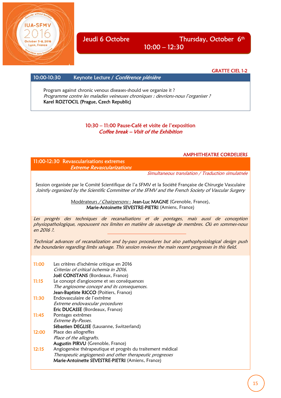Jeudi 6 Octobre Thursday, October 6<sup>th</sup>  $10:00 - 12:30$ 

GRATTE CIEL 1-2

#### 10:00-10:30 Keynote Lecture / Conférence plénière

yon, France

Program against chronic venous diseases-should we organize it ? Programme contre les maladies veineuses chroniques : devrions-nous l'organiser ? Karel ROZTOCIL (Prague, Czech Republic)

#### 10:30 – 11:00 Pause-Café et visite de l'exposition Coffee break – Visit of the Exhibition

#### AMPHITHEATRE CORDELIERS

11:00-12:30 Revascularisations extremes Extreme Revascularizations

Simultaneous translation / Traduction simulatnée

Session organisée par le Comité Scientifique de l'a SFMV et la Société Française de Chirurgie Vasculaire Jointly organized by the Scientific Committee of the SFMV and the French Society of Vascular Surgery

> Modérateurs / Chairpersons : Jean-Luc MAGNE (Grenoble, France), Marie-Antoinette SEVESTRE-PIETRI (Amiens, France)

Les progrès des techniques de recanalisations et de pontages, mais aussi de conception physiopathologique, repoussent nos limites en matière de sauvetage de membres. Où en sommes-nous en 2016 ?.

Technical advances of recanalization and by-pass procedures but also pathophysiological design push the boundaries regarding limbs salvage. This session reviews the main recent progresses in this field.

| 11:00 | Les critères d'ischémie critique en 2016                   |
|-------|------------------------------------------------------------|
|       | Criterias of critical ischemia in 2016.                    |
|       | Joël CONSTANS (Bordeaux, France)                           |
| 11:15 | Le concept d'angiosome et ses conséquences                 |
|       | The angiosome concept and its consequences.                |
|       | Jean-Baptiste RICCO (Poitiers, France)                     |
| 11:30 | Endovasculaire de l'extrême                                |
|       | Extreme endovascular procedures                            |
|       | Eric DUCASSE (Bordeaux, France)                            |
| 11:45 | Pontages extrêmes                                          |
|       | Extreme By-Passes.                                         |
|       | Sébastien DEGLISE (Lausanne, Switzerland)                  |
| 12:00 | Place des allogreffes                                      |
|       | Place of the allografts.                                   |
|       | <b>Augustin PIRVU</b> (Grenoble, France)                   |
| 12:15 | Angiogenèse thérapeutique et progrès du traitement médical |
|       | Therapeutic angiogenesis and other therapeutic progresses  |
|       | Marie-Antoinette SEVESTRE-PIETRI (Amiens, France)          |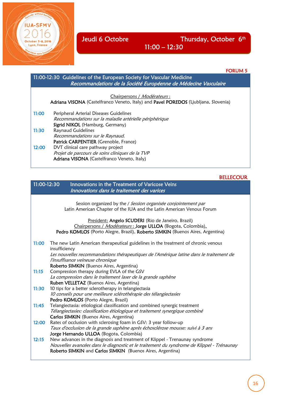October 5-8, 2016 Lyon, France

## 11:00 – 12:30

#### FORUM 5

í

| 11:00-12:30 Guidelines of the European Society for Vascular Medicine<br>Recommandations de la Société Européenne de Médecine Vasculaire |                                                                                                                                      |
|-----------------------------------------------------------------------------------------------------------------------------------------|--------------------------------------------------------------------------------------------------------------------------------------|
|                                                                                                                                         | Chairpersons / <i>Modérateurs</i> :<br>Adriana VISONA (Castelfranco Veneto, Italy) and Pavel POREDOS (Ljubljana, Slovenia)           |
| 11:00                                                                                                                                   | Peripheral Arterial Diseases Guidelines<br>Recommandations sur la maladie artérielle périphérique<br>Sigrid NIKOL (Hamburg, Germany) |
| 11:30                                                                                                                                   | <b>Raynaud Guidelines</b><br>Recommandations sur le Raynaud.<br>Patrick CARPENTIER (Grenoble, France)                                |
| 12:00                                                                                                                                   | DVT clinical care pathway project<br>Projet de parcours de soins cliniques de la TVP<br>Adriana VISONA (Castelfranco Veneto, Italy)  |

#### BELLECOUR

| 11:00-12:30 | Innovations in the Treatment of Varicose Veins<br>Innovations dans le traitement des varices                                                                                                                                                                                    |
|-------------|---------------------------------------------------------------------------------------------------------------------------------------------------------------------------------------------------------------------------------------------------------------------------------|
|             | Session organized by the / Session organisée conjointement par<br>Latin American Chapter of the IUA and the Latin American Venous Forum                                                                                                                                         |
|             | President: Angelo SCUDERI (Rio de Janeiro, Brazil)<br>Chairpersons / Modérateurs : Jorge ULLOA (Bogota, Colombia),<br>Pedro KOMLOS (Porto Alegre, Brazil), Roberto SIMKIN (Buenos Aires, Argentina)                                                                             |
| 11:00       | The new Latin American therapeutical guidelines in the treatment of chronic venous<br>insufficiency<br>Les nouvelles recommandations thérapeutiques de l'Amérique latine dans le traitement de<br>l'insuffisance veineuse chronique<br>Roberto SIMKIN (Buenos Aires, Argentina) |
| 11:15       | Compression therapy during EVLA of the GSV<br>La compression dans le traitement laser de la grande saphène<br>Ruben VELLETAZ (Buenos Aires, Argentina)                                                                                                                          |
| 11:30       | 10 tips for a better sclerotherapy in telangiectasia<br>10 conseils pour une meilleure sclérothérapie des télangiectasies<br>Pedro KOMLOS (Porto Alegre, Brazil)                                                                                                                |
| 11:45       | Telangiectasia: etiological classification and combined synergic treatment<br>Télangiectasies: classification étiologique et traitement synergique combiné<br><b>Carlos SIMKIN</b> (Buenos Aires, Argentina)                                                                    |
| 12:00       | Rates of occlusion with sclerosing foam in GSV: 3 year follow-up<br>Taux d'occlusion de la grande saphène après échosclérose mousse: suivi à 3 ans<br>Jorge Hernando ULLOA (Bogota, Colombia)                                                                                   |
| 12:15       | New advances in the diagnosis and treatment of Klippel - Trenaunay syndrome<br>Nouvelles avancées dans le diagnostic et le traitement du syndrome de Klippel - Trénaunay<br>Roberto SIMKIN and Carlos SIMKIN (Buenos Aires, Argentina)                                          |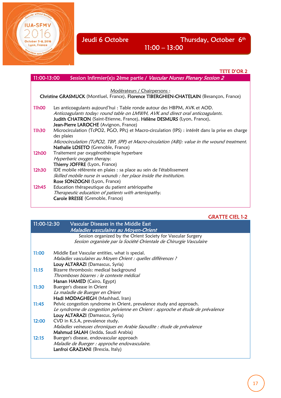October 5-8, 2016 Lyon, France

í

## 11:00 – 13:00

|                    | TETE D'OR 2                                                                                                                                                                                                                                                                    |
|--------------------|--------------------------------------------------------------------------------------------------------------------------------------------------------------------------------------------------------------------------------------------------------------------------------|
| 11:00-13:00        | Session Infirmier(e)s 2ème partie / Vascular Nurses Plenary Session 2                                                                                                                                                                                                          |
|                    |                                                                                                                                                                                                                                                                                |
|                    | Modérateurs / Chairpersons :                                                                                                                                                                                                                                                   |
|                    | Christine GRASMUCK (Montluel, France), Florence TIBERGHIEN-CHATELAIN (Besançon, France)                                                                                                                                                                                        |
| 11 <sub>h</sub> 00 | Les anticoagulants aujourd'hui : Table ronde autour des HBPM, AVK et AOD.<br>Anticoagulants today: round table on LMWH, AVK and direct oral anticoagulants.<br>Judith CHATRON (Saint-Etienne, France), Hélène DESMURS (Lyon, France),<br>Jean-Pierre LAROCHE (Avignon, France) |
| 11h30              | Microcirculation (TcPO2, PGO, PPc) et Macro-circulation (IPS) : intérêt dans la prise en charge<br>des plaies<br>Microcirculation (TcPO2, TBP, SPP) et Macro-circulation (ABI): value in the wound treatment.<br>Nathalie LOSETO (Grenoble, France)                            |
| 12h00              | Traitement par oxygénothérapie hyperbare<br>Hyperbaric oxygen therapy.<br>Thierry JOFFRE (Lyon, France)                                                                                                                                                                        |
| 12h30              | IDE mobile référente en plaies : sa place au sein de l'établissement<br>Skilled mobile nurse in wounds : her place inside the institution.<br>Rose SONZOGNI (Lyon, France)                                                                                                     |
| 12h45              | Education thérapeutique du patient artériopathe<br>Therapeutic education of patients with arteriopathy.<br>Carole BRESSE (Grenoble, France)                                                                                                                                    |

## GRATTE CIEL 1-2

| $11:00-12:30$ | Vascular Diseases in the Middle East                                            |
|---------------|---------------------------------------------------------------------------------|
|               | Maladies vasculaires au Moyen-Orient                                            |
|               | Session organized by the Orient Society for Vascular Surgery                    |
|               | Session organisée par la Société Orientale de Chirurgie Vasculaire              |
| 11:00         | Middle East Vascular entities, what is special.                                 |
|               | Maladies vasculaires au Moyen Orient : quelles différences ?                    |
|               | Louy ALTARAZI (Damascus, Syria)                                                 |
| 11:15         | Bizarre thrombosis: medical background                                          |
|               | Thromboses bizarres : le contexte médical                                       |
|               | Hanan HAMED (Cairo, Egypt)                                                      |
| 11:30         | Buerger's disease in Orient                                                     |
|               | La maladie de Buerger en Orient                                                 |
|               | Hadi MODAGHEGH (Mashhad, Iran)                                                  |
| 11:45         | Pelvic congestion syndrome in Orient, prevalence study and approach.            |
|               | Le syndrome de congestion pelvienne en Orient : approche et étude de prévalence |
|               | Louy ALTARAZI (Damascus, Syria)                                                 |
| 12:00         | CVD in K.S.A, prevalence study.                                                 |
|               | Maladies veineuses chroniques en Arabie Saoudite : étude de prévalence          |
|               | Mahmud SALAH (Jedda, Saudi Arabia)                                              |
| 12:15         | Buerger's disease, endovascular approach                                        |
|               | Maladie de Buerger : approche endovasculaire.                                   |
|               | Lanfroi GRAZIANI (Brescia, Italy)                                               |
|               |                                                                                 |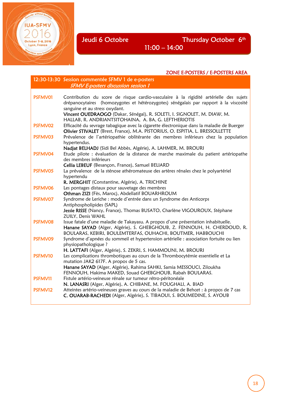October 5-8, 2016 Lyon, France

Jeudi 6 Octobre Thursday October 6<sup>th</sup>

11:00 – 14:00

#### ZONE E-POSTERS / E-POSTERS AREA

|         | 12:30-13:30 Session commentée SFMV 1 de e-posters                                                                                                                                                                                                                                          |
|---------|--------------------------------------------------------------------------------------------------------------------------------------------------------------------------------------------------------------------------------------------------------------------------------------------|
|         | <b>SFMV E-posters discussion session 1</b>                                                                                                                                                                                                                                                 |
| PSFMV01 | Contribution du score de risque cardio-vasculaire à la rigidité artérielle des sujets<br>drépanocytaires (homozygotes et hétérozygotes) sénégalais par rapport à la viscosité<br>sanguine et au stress oxydant.<br>Vincent OUEDRAOGO (Dakar, Sénégal), R. SOLETI, I. SIGNOLET, M. DIAW, M. |
|         | HALLAB, R. ANDRIANTSITOHAINA, A. BA, G. LEFTHERIOTIS                                                                                                                                                                                                                                       |
| PSFMV02 | Efficacité du sevrage tabagique avec la cigarette électronique dans la maladie de Buerger<br>Olivier STIVALET (Brest, France), M.A. PISTORIUS, O. ESPITIA, L. BRESSOLLETTE                                                                                                                 |
| PSFMV03 | Prévalence de l'artériopathie oblitérante des membres inférieurs chez la population<br>hypertendus.                                                                                                                                                                                        |
| PSFMV04 | Nadjat BELHADJ (Sidi Bel Abbès, Algérie), A. LAHMER, M. BROURI<br>Etude pilote : évaluation de la distance de marche maximale du patient artériopathe<br>des membres inférieurs                                                                                                            |
| PSFMV05 | Cellia LEBEUF (Besançon, France), Samuel BELIARD<br>La prévalence de la sténose athéromateuse des artères rénales chez le polyartériel<br>hypertendu                                                                                                                                       |
| PSFMV06 | R. MERGHIT (Constantine, Algérie), A. TRICHINE<br>Les pontages distaux pour sauvetage des membres                                                                                                                                                                                          |
|         | Othman ZIZI (Fès, Maroc), Abdellatif BOUARHROUM                                                                                                                                                                                                                                            |
| PSFMV07 | Syndrome de Leriche : mode d'entrée dans un Syndrome des Anticorps<br>Antiphospholipides (SAPL)                                                                                                                                                                                            |
|         | Jessie RISSE (Nancy, France), Thomas BUSATO, Charlène VIGOUROUX, Stéphane<br>ZUILY, Denis WAHL                                                                                                                                                                                             |
| PSFMV08 | Issue fatale d'une maladie de Takayasu. A propos d'une présentation inhabituelle.<br>Hanane SAYAD (Alger, Algérie), S. GHEBGHOUB, Z. FENNOUH, H. CHERDOUD, R.<br>BOULARAS, KEBIRI, BOULEMTERFAS, OUHACHI, BOUTMER, HABBOUCHI                                                               |
| PSFMV09 | Syndrome d'apnées du sommeil et hypertension artérielle : association fortuite ou lien<br>physiopathologique?                                                                                                                                                                              |
| PSFMV10 | H. LATTAFI (Alger, Algérie), S. ZEKRI, S. HAMMOUNI, M. BROURI<br>Les complications thrombotiques au cours de la Thrombocytémie essentielle et La<br>mutation JAK2 617F. A propos de 5 cas.<br>Hanane SAYAD (Alger, Algérie), Rahima SAHKI, Samia MESSOUCI, Ziloukha                        |
| PSFMV11 | FENNOUH, Hakima MAKED, Souad GHEBGHOUB, Rabah BOULARAS.<br>Fistule artério-veineuse rénale sur tumeur rétro-péritonéale<br>N. LANASRI (Alger, Algérie), A. CHIBANE, M. FOUGHALI, A. BIAD                                                                                                   |
| PSFMV12 | Atteintes artério-veineuses graves au cours de la maladie de Behcet : à propos de 7 cas<br>C. OUARAB-RACHEDI (Alger, Algérie), S. TIBAOUI, S. BOUMEDINE, S. AYOUB                                                                                                                          |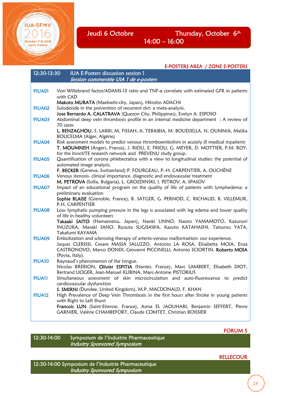October 5-8, 2016 Lyon, France

Jeudi 6 Octobre Thursday, October 6<sup>th</sup> 14:00 – 16:00

í

|               | E-POSTERS AREA / ZONE E-POSTERS                                                                                                                                                                                                                      |
|---------------|------------------------------------------------------------------------------------------------------------------------------------------------------------------------------------------------------------------------------------------------------|
| 12:30-13:30   | IUA E-Posters discussion session 1                                                                                                                                                                                                                   |
|               | Session commentée UIA 1 de e-posters                                                                                                                                                                                                                 |
|               |                                                                                                                                                                                                                                                      |
| <b>PIUA01</b> | Von Willebrand factor/ADAMS-13 ratio and TNF-α correlate with estimated GFR in patients<br>with CAD                                                                                                                                                  |
|               | Makoto MURATA (Maebashi-city, Japan), Hitosho ADACHI                                                                                                                                                                                                 |
| <b>PIUA02</b> | Sulodexide in the prevention of recurrent dvt: a meta-analysis.                                                                                                                                                                                      |
|               | Jose Bernardo A. CALATRAVA (Quezon City, Philippines), Evelyn A. ESPOSO                                                                                                                                                                              |
| PIUA03        | Abdominal deep vein thrombosis profile in an internal medicine department : A review of<br>70 cases                                                                                                                                                  |
|               | L. BENZAGHOU, S. LARBI, M. FISSAH, A. TEBAIBIA, M. BOUDJELLA, N. OUMNIA, Malika                                                                                                                                                                      |
|               | BOUCELMA (Alger, Algérie)                                                                                                                                                                                                                            |
| PIUA04        | Risk assessment models to predict venous thromboembolism in acutely ill medical inpatients<br>T. MOUMNEH (Angers, France), J. RIOU, E. FRIOU, G. MEYER, D. MOTTIER, P.M. ROY,<br>for the InnoVTE research network and PREVENU study group.           |
| PIUA05        | Quantification of corona phlebectatica with a view to longitudinal studies: the potential of                                                                                                                                                         |
|               | automated image analysis.                                                                                                                                                                                                                            |
|               | F. BECKER (Geneva, Switzerland) P. FOURGEAU, P.-H. CARPENTIER, A. OUCHÈNE                                                                                                                                                                            |
| <b>PIUA06</b> | Venous stenosis- clinical importance, diagnostic and endovascular treatment                                                                                                                                                                          |
|               | M. PETROVA (Sofia, Bulgaria), L. GROZDINSKI, I. PETROV, A. SPASOV                                                                                                                                                                                    |
| PIUA07        | Impact of an educational program on the quality of life of patients with lymphedema: a<br>preliminary evaluation                                                                                                                                     |
|               | Sophie BLAISE (Grenoble, France), B. SATGER, G. PERNOD, C. RICHAUD, B. VILLEMUR,<br>P.H. CARPENTIER                                                                                                                                                  |
| PIUA08        | Low lymphatic pumping pressure in the legs is associated with leg edema and lower quality<br>of life in healthy volunteers                                                                                                                           |
|               | Takaaki SAITO (Hamamatsu, Japan), Naoki UNNO, Naoto YAMAMOTO, Kazunori                                                                                                                                                                               |
|               | INUZUKA, Masaki SANO, Ryouta SUGISAWA, Kazuto KATAHASHI, Tatsurou YATA,<br>Takafumi KAYAMA                                                                                                                                                           |
| <b>PIUA09</b> | Embolization and sclerosing therapy of arterio-venous malformation: our experience.<br>Jaques CLERISSI, Cesare MASSA SALUZZO, Antonio LA ROSA, Elisabetta MOIA, Enza<br>CASTRONOVO, Marco DONDI, Giovanni PICCINELLI, Antonio SCIORTIN, Roberto MOIA |
|               | (Pavia, Italy).                                                                                                                                                                                                                                      |
| <b>PIUA10</b> | Raynaud's phenomenon of the tongue.                                                                                                                                                                                                                  |
|               | Nicolas BREBION, Olivier ESPITIA (Nantes, France), Marc LAMBERT, Elisabeth DIOT,<br>Bertrand LIOGER, Jean-Manuel KUBINA, Marc-Antoine PISTORIUS                                                                                                      |
| PIUA11        | Simultaneous assessment of skin microcirculation and auto-fluorescence to predict<br>cardiovascular dysfunction                                                                                                                                      |
|               | S. SMIRNI (Dundee, United Kingdom), M.P. MACDONALD, F. KHAN                                                                                                                                                                                          |
| <b>PIUA12</b> | High Prevalence of Deep Vein Thrombosis in the first hours after Stroke in young patients<br>with Right to Left Shunt                                                                                                                                |
|               | Francois LUN (Saint-Etienne, France), Asma EL JAOUHARI, Benjamin SEFFERT, Pierre<br>GARNIER, Valérie CHAMBEFORT, Claude COMTET, Christian BOISSIER                                                                                                   |

FORUM 5

12:30-14:00 Symposium de l'Industrie Pharmaceutique Industry Sponsored Symposium

#### BELLECOUR

12:30-14:00 Symposium de l'Industrie Pharmaceutique Industry Sponsored Symposium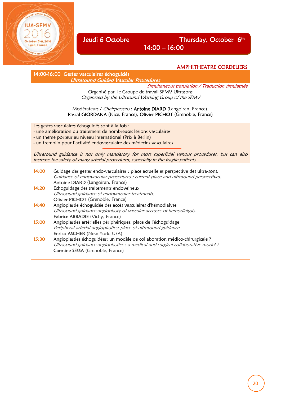# Jeudi 6 Octobre Thursday, October 6<sup>th</sup>

14:00 – 16:00

## AMPHITHEATRE CORDELIERS

14:00-16:00 Gestes vasculaires échoguidés Ultrasound Guided Vascular Procedures

Lyon, France

Simultaneous translation / Traduction simulatnée

Organisé par le Groupe de travail SFMV Ultrasons Organized by the Ultrsound Working Group of the SFMV

Modérateurs / Chairpersons : Antoine DIARD (Langoiran, France). Pascal GIORDANA (Nice, France), Olivier PICHOT (Grenoble, France)

Les gestes vasculaires échoguidés sont à la fois :

- une amélioration du traitement de nombreuses lésions vasculaires

- un thème porteur au niveau international (Prix à Berlin)

- un tremplin pour l'activité endovasculaire des médecins vasculaires

Ultrasound guidance is not only mandatory for most superficial venous procedures, but can also increase the safety of many arterial procedures, especially in the fragile patients

| 14:00 | Guidage des gestes endo-vasculaires : place actuelle et perspective des ultra-sons.<br>Guidance of endovascular procedures : current place and ultrasound perspectives.<br>Antoine DIARD (Langoiran, France) |
|-------|--------------------------------------------------------------------------------------------------------------------------------------------------------------------------------------------------------------|
| 14:20 | Echoguidage des traitements endoveineux                                                                                                                                                                      |
|       | Ultrasound guidance of endovascular treatments.                                                                                                                                                              |
|       | Olivier PICHOT (Grenoble, France)                                                                                                                                                                            |
| 14:40 | Angioplastie échoguidée des accès vasculaires d'hémodialyse                                                                                                                                                  |
|       | Ultrasound guidance angioplasty of vascular accesses of hemodialysis.                                                                                                                                        |
|       | Fabrice ABBADIE (Vichy, France)                                                                                                                                                                              |
| 15:00 | Angioplasties artérielles périphériques: place de l'échoguidage                                                                                                                                              |
|       | Peripheral arterial angioplasties: place of ultrasound guidance.                                                                                                                                             |
|       | Enrico ASCHER (New York, USA)                                                                                                                                                                                |
| 15:30 | Angioplasties échoguidées: un modèle de collaboration médico-chirurgicale ?                                                                                                                                  |
|       | Ultrasound guidance angioplasties : a medical and surgical collaborative model ?                                                                                                                             |
|       | <b>Carmine SESSA</b> (Grenoble, France)                                                                                                                                                                      |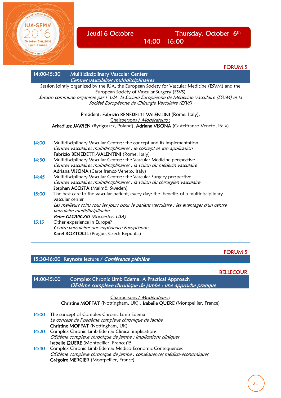

Jeudi 6 Octobre Thursday, October 6<sup>th</sup> 14:00 – 16:00

|             | <b>FORUM 5</b>                                                                                                                                      |
|-------------|-----------------------------------------------------------------------------------------------------------------------------------------------------|
| 14:00-15:30 | <b>Mulltidisciplinary Vascular Centers</b><br>Centres vasculaires multidisciplinaires                                                               |
|             | Session jointly organized by the IUA, the European Society for Vascular Medicine (ESVM) and the<br>European Society of Vascular Surgery (ESVS)      |
|             | Session commune organisée par l'UIA, la Société Européenne de Médecine Vasculaire (ESVM) et la<br>Société Européenne de Chirurgie Vasculaire (ESVS) |
|             | President: Fabrizio BENEDETTI-VALENTINI (Rome, Italy),                                                                                              |
|             | Chairpersons / Modérateurs:                                                                                                                         |
|             | Arkadiusz JAWIEN (Bydgoszcz, Poland), Adriana VISONA (Castelfranco Veneto, Italy)                                                                   |
|             |                                                                                                                                                     |
| 14:00       | Multidisciplinary Vascular Centers: the concept and its implementation                                                                              |
|             | Centres vasculaires multidisciplinaires : le concept et son application                                                                             |
|             | Fabrizio BENEDETTI-VALENTINI (Rome, Italy)                                                                                                          |
| 14:30       | Multidisciplinary Vascular Centers: the Vascular Medicine perspective                                                                               |
|             | Centres vasculaires multidisciplinaires : la vision du médecin vasculaire                                                                           |
|             | Adriana VISONA (Castelfranco Veneto, Italy)                                                                                                         |
| 14:45       | Multidisciplinary Vascular Centers: the Vascular Surgery perspective                                                                                |
|             | Centres vasculaires multidisciplinaires : la vision du chirurgien vasculaire                                                                        |
|             | Stephan ACOSTA (Malmö, Sweden)                                                                                                                      |
| 15:00       | The best care to the vascular patient, every day: the benefits of a multidisciplinary<br>vascular center                                            |
|             |                                                                                                                                                     |
|             | Les meilleurs soins tous les jours pour le patient vasculaire : les avantages d'un centre                                                           |
|             | vasculaire multidisciplinaire                                                                                                                       |
|             | Peter GLOVICZKI (Rochester, USA)                                                                                                                    |
| 15:15       | Other experience in Europe?                                                                                                                         |
|             | Centre vasculaire: une expérience Européenne.                                                                                                       |
|             | Karel ROZTOCIL (Prague, Czech Republic)                                                                                                             |
|             |                                                                                                                                                     |

#### FORUM 5

15:30-16:00 Keynote lecture / Conférence plénière

### BELLECOUR

| 14:00-15:00 | Complex Chronic Limb Edema: A Practical Approach<br>OEdème complexe chronique de jambe : une approche pratique                                                             |
|-------------|----------------------------------------------------------------------------------------------------------------------------------------------------------------------------|
|             | Chairpersons / Modérateurs:<br>Christine MOFFAT (Nottingham, UK), Isabelle QUERE (Montpellier, France)                                                                     |
| 14:00       | The concept of Complex Chronic Limb Edema<br>Le concept de l'oedème complexe chronique de jambe<br>Christine MOFFAT (Nottingham, UK)                                       |
| 14:20       | Complex Chronic Limb Edema: Clinical implications<br>OEdème complexe chronique de jambe : implications cliniques<br>Isabelle QUERE (Montpellier, France)15                 |
| 14:40       | Complex Chronic Limb Edema: Medico-Economic Consequences<br>OEdème complexe chronique de jambe : conséquences médico-économiques<br>Grégoire MERCIER (Montpellier, France) |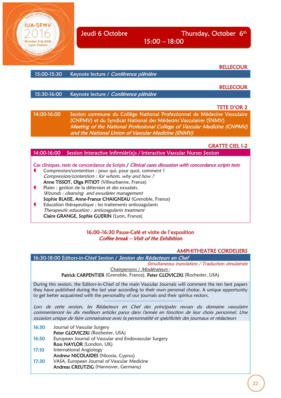

**ILA-SEM** 

Jeudi 6 Octobre Thursday, October 6<sup>th</sup>

15:00 – 18:00

**BELLECOUR** 

15:00-15:30 Keynote lecture / Conférence plénière

**BELLECOUR** 

15:30-16:00 Keynote lecture / Conférence plénière

#### TETE D'OR 2

14:00-16:00 Session commune du Collège National Professionnel de Médecine Vasculaire (CNPMV) et du Syndicat National des Médecins Vasculaires (SNMV) Meeting of the National Professional College of Vascular Medicine (CNPMV) and the National Union of Vascular Medicine (SNMV)

#### GRATTE CIEL 1-2

#### 14:00-16:00 Session Interactive Infirmièr(e)s / Interactive Vascular Nurses Session

- Cas cliniques, tests de concordance de Scripts / Clinical cases discussion with concordance scripts tests
- Compression/contention : pour qui, pour quoi, comment ? Compression/contention : for whom, why and how ? Anne TISSOT, Olga PITIOT (Villeurbanne, France)
- Plaies : gestion de la détersion et des exsudats. Wounds : cleansing and exsudates management Sophie BLAISE, Anne-France CHAIGNEAU (Grenoble, France)
- Education thérapeutique : les traitements anticoagulants Therapeutic education : anticoagulants treatment Claire GRANGE, Sophie GUERIN (Lyon, France)

16:00–16:30 Pause-Café et visite de l'exposition Coffee break – Visit of the Exhibition

#### AMPHITHEATRE CORDELIERS

16:30-18:00 Editors-in-Chief Session / Session des Rédacteurs en Chef

Simultaneous translation / Traduction simulatnée Chairpersons / Modérateurs :

Patrick CARPENTIER (Grenoble, France), Peter GLOVICZKI (Rochester, USA)

During this session, the Editors-in-Chief of the main Vascular Journals will comment the ten best papers they have published during the last year according to their own personal choice. A unique opportunity to get better acquainted with the personality of our journals and their spiritus rectors.

Lors de cette session, les Rédacteurs en Chef des principales revues du domaine vasculaire commenteront les dix meilleurs articles parus dans l'année en fonction de leur choix personnel. Une occasion unique de faire connaissance avec la personnalité et spécificités des journaux et rédacteurs

- 16:30 Journal of Vascular Surgery Peter GLOVICZKI (Rochester, USA)
- 16:50 European Journal of Vascular and Endovascular Surgery Ross NAYLOR (London, UK)
- 17:10 International Angiology
- Andrew NICOLAIDES (Nicosia, Cyprus)
- 17:30 VASA. European Journal of Vascular Medicine Andreas CREUTZIG (Hannover, Germany)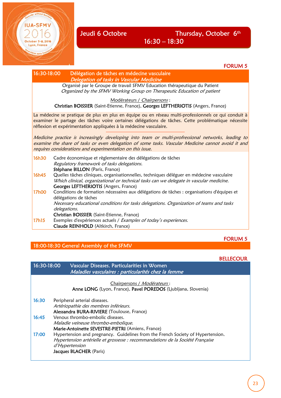Lyon, France

#### FORUM 5

#### 16:30-18:00 Délégation de tâches en médecine vasculaire Delegation of tasks in Vascular Medicine

Organisé par le Groupe de travail SFMV Education thérapeutique du Patient Organized by the SFMV Working Group on Therapeutic Education of patient

Modérateurs / Chairpersons :

Christian BOISSIER (Saint-Etienne, France), Georges LEFTHERIOTIS (Angers, France)

La médecine se pratique de plus en plus en équipe ou en réseau multi-professionnels ce qui conduit à examiner le partage des tâches voire certaines délégations de tâches. Cette problématique nécessite réflexion et expérimentation appliquées à la médecine vasculaire.

Medicine practice is increasingly developing into team or multi-profressional networks, leading to examine the share of tasks or even delegation of some tasks. Vascular Medicine cannot avoid it and requires considerations and experimentation on this issue.

| 16h30 | Cadre économique et règlementaire des délégations de tâches<br>Regulatory framework of tasks delegations.                                                                           |
|-------|-------------------------------------------------------------------------------------------------------------------------------------------------------------------------------------|
|       | Stéphane BILLON (Paris, France)                                                                                                                                                     |
| 16h45 | Quelles tâches cliniques, organisationnelles, techniques déléguer en médecine vasculaire<br>Which clinical, organizational or technical tasks can we delegate in vascular medicine. |
|       | Georges LEFTHERIOTIS (Angers, France)                                                                                                                                               |
| 17h00 | Conditions de formation nécessaires aux délégations de tâches : organisations d'équipes et<br>délégations de tâches                                                                 |
|       | Necessary educational conditions for tasks delegations. Organization of teams and tasks<br>delegations.                                                                             |
|       | Christian BOISSIER (Saint-Etienne, France)                                                                                                                                          |
| 17h15 | Exemples d'expériences actuels / Examples of today's experiences.                                                                                                                   |
|       | <b>Claude REINHOLD</b> (Altkirch, France)                                                                                                                                           |

#### FORUM 5

**BELLECOUR** 

#### 18:00-18:30 General Assembly of the SFMV

| 16:30-18:00 | Vascular Diseases. Particularities in Women<br>Maladies vasculaires : particularités chez la femme                                                                                                             |
|-------------|----------------------------------------------------------------------------------------------------------------------------------------------------------------------------------------------------------------|
|             | Chairpersons / Modérateurs:<br>Anne LONG (Lyon, France), Pavel POREDOS (Ljubljana, Slovenia)                                                                                                                   |
| 16:30       | Peripheral arterial diseases.<br>Artériopathie des membres inférieurs.<br>Alessandra BURA-RIVIERE (Toulouse, France)                                                                                           |
| 16:45       | Venous thrombo-embolic diseases.<br>Maladie veineuse thrombo-embolique.<br>Marie-Antoinette SEVESTRE-PIETRI (Amiens, France)                                                                                   |
| 17:00       | Hypertension and pregnancy. Guidelines from the French Society of Hypertension.<br>Hypertension artérielle et grossesse : recommandations de la Société Française<br>d'Hypertension<br>Jacques BLACHER (Paris) |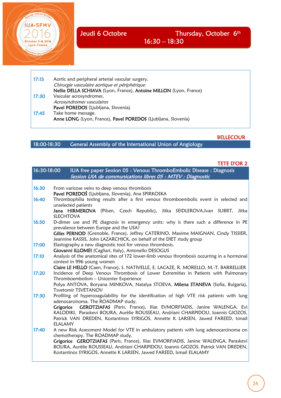



17:15 Aortic and peripheral arterial vascular surgery. Chirurgie vasculaire aortique et périphérique Nellie DELLA SCHIAVA (Lyon, France), Antoine MILLON (Lyon, France) 17:30 Vascular acrosyndromes. Acrosyndromes vasculaires Pavel POREDOS (Ljubljana, Slovenia) 17:45 Take home message. Anne LONG (Lyon, France), Pavel POREDOS (Ljubljana, Slovenia)

#### BELLECOUR

## 18:00-18:30 General Assembly of the International Union of Angiology

#### TETE D'OR 2

| 16:30-18:00 | IUA free paper Session 05 : Venous ThromboEmbolic Disease : Diagnosis<br>Session UIA de communications libres 05 : MTEV : Diagnostic                                                                                                                                                                                                                                                                |
|-------------|-----------------------------------------------------------------------------------------------------------------------------------------------------------------------------------------------------------------------------------------------------------------------------------------------------------------------------------------------------------------------------------------------------|
| 16:30       | From varicose veins to deep venous thrombosis<br>Pavel POREDOŠ (Ljubljana, Slovenia), Ana SPIRKOSKA                                                                                                                                                                                                                                                                                                 |
| 16:40       | Thrombophilia testing results after a first venous thromboembolic event in selected and<br>unselected patients<br>Jana HIRMEROVA (Pilsen, Czech Republic), Jitka SEIDLEROVA, Ivan SUBRT, Jitka<br>SLECHTOVA                                                                                                                                                                                         |
| 16:50       | D-dimer use and PE diagnosis in emergency units: why is there such a difference in PE<br>prevalence between Europe and the USA?<br>Gilles PERNOD (Grenoble, France), Jeffrey CATERINO, Maxime MAIGNAN, Cindy TISSIER,<br>Jeannine KASSIS, John LAZARCHICK, on behalf of the DIET study group                                                                                                        |
| 17:00       | Elastography a new diagnostic tool for venous thrombosis.<br>Giovanni ILLOMEI (Cagliari, Italy), Antonello DESOGUS                                                                                                                                                                                                                                                                                  |
| 17:10       | Analysis of the anatomical sites of 172 lower-limb venous thrombosis occurring in a hormonal<br>context in 996 young women<br>Claire LE HELLO (Caen, France), S. NATIVELLE, E. LACAZE, R. MORELLO, M.-T. BARRELLIER                                                                                                                                                                                 |
| 17:20       | Incidence of Deep Venous Thrombosis of Lower Extremities in Patients with Pulmonary<br>Thromboembolism - Unicenter Experience<br>Polya ANTOVA, Boryana MINKOVA, Natalya STOEVA, Milena STANEVA (Sofia, Bulgaria),<br>Tsvetomir TSVETANOV                                                                                                                                                            |
| 17:30       | Profiling of hypercoagulability for the identification of high VTE risk patients with lung<br>adenocarcinoma. The ROADMAP study.<br>Grigorios GEROTZIAFAS (Paris, France), Ilias EVMORFIADIS, Janine WALENGA, Evi<br>KALODIKI, Paraskevi BOURA, Aurèlie ROUSSEAU, Andriani CHARPIDOU, Ioannis GIOZOS,<br>Patrick VAN DREDEN, Kostantinos SYRIGOS, Annette K LARSEN, Jawed FAREED, Ismail<br>ELALAMY |
| 17:40       | A new Risk Assessment Model for VTE in ambulatory patients with lung adenocarcinoma on<br>chemotherapy. The ROADMAP study.<br>Grigorios GEROTZIAFAS (Paris, France), Ilias EVMORFIADIS, Janine WALENGA, Paraskevi<br>BOURA, Aurèlie ROUSSEAU, Andriani CHARPIDOU, Ioannis GIOZOS, Patrick VAN DREDEN,<br>Kostantinos SYRIGOS, Annette K LARSEN, Jawed FAREED, Ismail ELALAMY                        |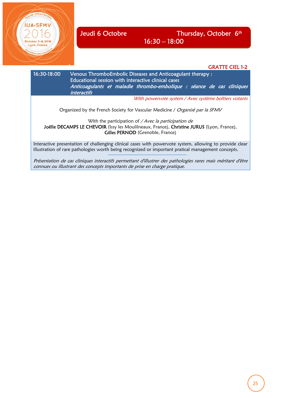

 $5 - 8, 2016$ Lyon, France

Jeudi 6 Octobre Thursday, October 6<sup>th</sup> 16:30 – 18:00

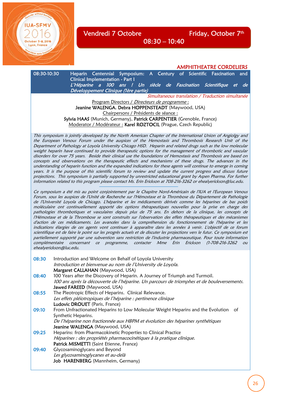Vendredi 7 Octobre Friday, October 7<sup>th</sup>

08:30 – 10:40

AMPHITHEATRE CORDELIERS 08:30-10:30 Heparin Centennial Symposium: A Century of Scientific Fascination and Clinical Implementation - Part I L'Héparine a 100 ans ! Un siècle de Fascination Scientifique et de Développement Clinique (1ère partie) Simultaneous translation / Traduction simultanée Program Directors / Directeurs de programme : Jeanine WALENGA, Debra HOPPENSTEADT (Maywood, USA) Chairpersons / Présidents de séance : Sylvia HAAS (Munich, Germany), Patrick CARPENTIER (Grenoble, France) Moderator / Modérateur : Karel ROZTOCIL (Prague, Czech Republic)

This symposium is jointly developed by the North American Chapter of the International Union of Angiolgy and the European Venous Forum under the auspices of the Hemostasis and Thrombosis Research Unit of the Department of Pathology at Loyola University Chicago HSD. Heparin and related drugs such as the low molecular weight heparin have continued to provide therapeutic options for the management of thrombotic and vascular disorders for over 75 years. Beside their clinical use the foundations of Hemostasis and Thrombosis are based on concepts and observations on the therapeutic effects and mechanisms of these drugs. The advances in the understanding of heparin function and the expanded indications for these agents will continue to emerge in coming years. It is the purpose of this scientific forum to review and update the current progress and discuss future projections. This symposium is partially supported by unrestricted educational grant by Aspen Pharma. For further information related to this program please contact Ms. Erin Erickson at 708-216-3262 or ehealyerickson@luc.edu.

Ce symposium a été mis au point conjointement par le Chapitre Nord-Américain de l'IUA et l'European Venous Forum, sous les auspices de l'Unité de Recherche sur l'Hémostase et la Thrombose du Département de Pathologie de l'Université Loyola de Chicago. L'héparine et les médicaments dérivés comme les héparines de bas poids moléculaire ont continuellement apporté des options thérapeutiques nouvelles pour la prise en charge des pathologies thrombotiques et vasculaires depuis plus de 75 ans. En dehors de la clinique, les concepts de l'Hémostase et de la Thrombose se sont construits sur l'observation des effets thérapeutiques et des mécanismes d'action de ces médicaments. Les avancées dans la compréhension du fonctionnement de l'héparine et les indications élargies de ces agents vont continuer à apparaître dans les années à venir. L'objectif de ce forum scientifique est de faire le point sur les progrès actuels et de discuter les projections vers le futur. Ce symposium est partiellement supporté par une subvention sans restriction de l'industrie pharmaceutique. Pour toute information complémentaire concernant ce programme, contacter Mme Erin Erickson (1-708-216-3262 ou ehealyerickson@luc.edu.

| 08:30 | Introduction and Welcome on Behalf of Loyola University<br>Introduction et bienvenue au nom de l'University de Loyola.<br>Margaret CALLAHAN (Maywood, USA)                                                                       |
|-------|----------------------------------------------------------------------------------------------------------------------------------------------------------------------------------------------------------------------------------|
| 08:40 | 100 Years after the Discovery of Heparin. A Journey of Triumph and Turmoil.<br>100 ans après la découverte de l'héparine. Un parcours de triomphes et de bouleversements.<br>Jawed FAREED (Maywood, USA)                         |
| 08:55 | The Pleotropic Effects of Heparins. Clinical Relevance.<br>Les effets pléiotropiques de l'héparine : pertinence clinique<br>Ludovic DROUET (Paris, France)                                                                       |
| 09:10 | From Unfractionated Heparins to Low Molecular Weight Heparins and the Evolution<br>of<br>Synthetic Heparins.<br>De l'héparine non fractionnée aux HBPM et évolution des héparines synthétiques<br>Jeanine WALENGA (Maywood, USA) |
| 09:25 | Heparins: from Pharmacokinetic Properties to Clinical Practice<br>Héparines : des propriétés pharmacocinétiques à la pratique clinique.<br>Patrick MISMETTI (Saint Etienne, France)                                              |
| 09:40 | Glycosaminoglycans and Beyond<br>Les glycosaminoglycanes et au-delà<br>Job HARENBERG (Mannheim, Germany)                                                                                                                         |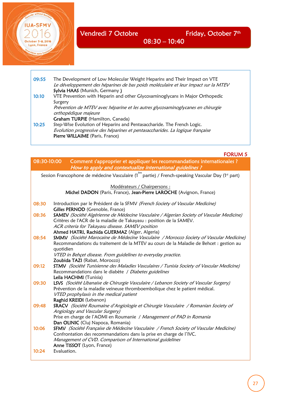**ILIA-SEM** 

October 5-8, 2016 Lyon, France

09:55 The Development of Low Molecular Weight Heparins and Their Impact on VTE Le développement des héparines de bas poids moléculaire et leur impact sur la MTEV Sylvia HAAS (Munich, Germany) 10:10 VTE Prevention with Heparin and other Glycosaminoglycans in Major Orthopedic Surgery Prévention de MTEV avec héparine et les autres glycosaminoglycanes en chirurgie orthopédique majeure Graham TURPIE (Hamilton, Canada) 10:25 Step-Wise Evolution of Heparins and Pentasaccharide. The French Logic. Evolution progressive des héparines et pentasaccharides. La logique française Pierre WILLAIME (Paris, France)

#### FORUM 5

| 08:30-10:00 | Comment s'approprier et appliquer les recommandations internationales ?<br>How to apply and contextualize international guidelines ?                                                                                                                                                            |  |  |  |  |
|-------------|-------------------------------------------------------------------------------------------------------------------------------------------------------------------------------------------------------------------------------------------------------------------------------------------------|--|--|--|--|
|             | Session Francophone de médecine Vasculaire (1 <sup>ère</sup> partie) / French-speaking Vascular Day (1 <sup>st</sup> part)                                                                                                                                                                      |  |  |  |  |
|             | Modérateurs / Chairpersons :<br>Michel DADON (Paris, France), Jean-Pierre LAROCHE (Avignon, France)                                                                                                                                                                                             |  |  |  |  |
| 08:30       | Introduction par le Président de la SFMV (French Society of Vascular Medicine)<br>Gilles PERNOD (Grenoble, France)                                                                                                                                                                              |  |  |  |  |
| 08:36       | SAMEV (Société Algérienne de Médecine Vasculaire / Algerian Society of Vascular Medicine)<br>Critères de l'ACR de la maladie de Takayasu : position de la SAMEV.<br>ACR criteria for Takayasu disease. SAMEV position<br>Ahmed HATRI, Rachida GUERMAZ (Alger, Algeria)                          |  |  |  |  |
| 08:54       | SMMV (Société Marocaine de Médecine Vasculaire / Morocco Society of Vascular Medicine)<br>Recommandations du traitement de la MTEV au cours de la Maladie de Behcet : gestion au<br>quotidien<br>VTED in Behçet disease. From guidelines to everyday practice.<br>Zoubida TAZI (Rabat, Morocco) |  |  |  |  |
| 09:12       | STMV (Société Tunisienne des Maladies Vasculaires / Tunisia Society of Vascular Medicine)<br>Recommandations dans le diabète / Diabetes guidelines<br>Leila HACHMI (Tunisia)                                                                                                                    |  |  |  |  |
| 09:30       | LSVS (Société Libanaise de Chirurgie Vasculaire / Lebanon Society of Vascular Surgery)<br>Prévention de la maladie veineuse thromboembolique chez le patient médical.<br>VTED prophylaxis in the medical patient<br>Raghid KREIDI (Lebanon)                                                     |  |  |  |  |
| 09:48       | SRACV (Société Roumaine d'Angiologie et Chirurgie Vasculaire / Romanian Society of<br>Angiology and Vascular Surgery)<br>Prise en charge de l'AOMI en Roumanie / Management of PAD in Romania<br>Dan OLINIC (Cluj Napoca, Romania)                                                              |  |  |  |  |
| 10:06       | SFMV (Société Française de Médecine Vasculaire / French Society of Vascular Medicine)<br>Confrontation des recommandations dans la prise en charge de l'IVC.<br>Management of CVD. Comparison of International guidelines<br>Anne TISSOT (Lyon, France)                                         |  |  |  |  |
| 10:24       | Evaluation.                                                                                                                                                                                                                                                                                     |  |  |  |  |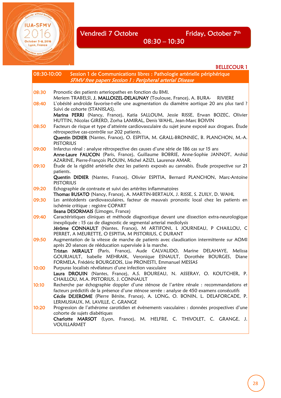**IUA-SFMV** 

October 5-8, 2016 Lyon, France

BELLECOUR 1

| 08:30-10:00 | Session 1 de Communications libres : Pathologie artérielle périphérique<br><b>SFMV</b> free papers Session 1 : Peripheral arterial Disease                                                                                                                                                            |
|-------------|-------------------------------------------------------------------------------------------------------------------------------------------------------------------------------------------------------------------------------------------------------------------------------------------------------|
|             |                                                                                                                                                                                                                                                                                                       |
| 08:30       | Pronostic des patients arteriopathes en fonction du BMI.<br>Meriem TRABELSI, J. MALLOIZEL-DELAUNAY (Toulouse, France), A. BURA- RIVIERE                                                                                                                                                               |
| 08:40       | L'obésité androïde favorise-t-elle une augmentation du diamètre aortique 20 ans plus tard ?<br>Suivi de cohorte (STANISLAS).                                                                                                                                                                          |
|             | Marina PERRI (Nancy, France), Katia SALLOUM, Jessie RISSE, Erwan BOZEC, Olivier<br>HUTTIN, Nicolas GIRERD, Zorha LAMIRAL, Denis WAHL, Jean-Marc BOIVIN                                                                                                                                                |
| 08:50       | Facteurs de risque et type d'atteinte cardiovasculaire du sujet jeune exposé aux drogues. Étude<br>rétrospective cas-contrôle sur 202 patients.<br>Quentin DIDIER (Nantes, France), O. ESPITIA, M. GRALL-BRONNEC, B. PLANCHON, M.-A.                                                                  |
|             | <b>PISTORIUS</b>                                                                                                                                                                                                                                                                                      |
| 09:00       | Infarctus rénal : analyse rétrospective des causes d'une série de 186 cas sur 15 ans<br>Anne-Laure FAUCON (Paris, France), Guillaume BOBRIE, Anne-Sophie JANNOT, Arshid<br>AZARINE, Pierre-François PLOUIN, Michel AZIZI, Laurence AMAR.                                                              |
| 09:10       | Étude de la rigidité artérielle chez les patients exposés au cannabis. Étude prospective sur 21<br>patients.                                                                                                                                                                                          |
|             | Quentin DIDIER (Nantes, France), Olivier ESPITIA, Bernard PLANCHON, Marc-Antoine<br><b>PISTORIUS</b>                                                                                                                                                                                                  |
| 09:20       | Echographie de contraste et suivi des artérites inflammatoires<br>Thomas BUSATO (Nancy, France), A. MARTIN-BERTAUX, J. RISSE, S. ZUILY, D. WAHL                                                                                                                                                       |
| 09:30       | Les antécédents cardiovasculaires, facteur de mauvais pronostic local chez les patients en<br>ischémie critique : registre COPART<br>Ileana DESORMAIS (Limoges, France)                                                                                                                               |
| 09:40       | Caractéristiques cliniques et méthode diagnostique devant une dissection extra-neurologique<br>inexpliquée : 15 cas de diagnostic de segmental arterial mediolysis<br>Jérôme CONNAULT (Nantes, France), M ARTIFONI, L JOURNEAU, P CHAILLOU, C<br>PERRET, A MEURETTE, O ESPITIA, M PISTORIUS, C DURANT |
| 09:50       | Augmentation de la vitesse de marche de patients avec claudication intermittente sur AOMI<br>après 20 séances de rééducation supervisée à la marche.                                                                                                                                                  |
|             | Tristan MIRAULT (Paris, France), Aude CALVALIDO, Marine DELAHAYE, Melissa<br>GOURJAULT, Isabelle MEHRAIK, Veronique ESNAULT, Dorothée BOURGES, Diane<br>FORMELA, Frédéric BOURGEOIS, Lise PRONESTI, Emmanuel MESSAS                                                                                   |
| 10:00       | Purpuras localisés révélateurs d'une infection vasculaire<br>Laura DROUIN (Nantes, France), A.S. BOUREAU, N. ASSERAY, O. KOUTCHER, P.<br>CHAILLOU, M.A. PISTORIUS, J. CONNAULT                                                                                                                        |
| 10:10       | Recherche par échographie doppler d'une sténose de l'artère rénale : recommandations et<br>facteurs prédictifs de la présence d'une sténose serrée : analyse de 450 examens consécutifs                                                                                                               |
|             | Cécile DEJEROME (Pierre Bénite, France), A. LONG, O. BONIN, L. DELAFORCADE, P.<br>LERMUSIAUX, M. LAVILLE, C. GRANGE                                                                                                                                                                                   |
| 10:20       | Progression de l'athérome carotidien et évènements vasculaires : données prospectives d'une<br>cohorte de sujets diabétiques                                                                                                                                                                          |
|             | Charlotte MARSOT (Lyon, France), M. HELFRE, C. THIVOLET, C. GRANGE, J.<br>VOUILLARMET                                                                                                                                                                                                                 |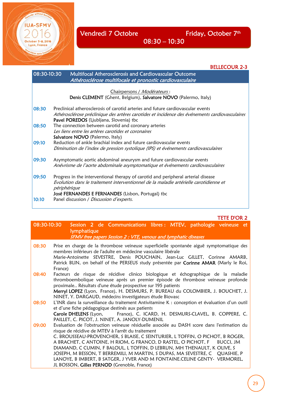

BELLECOUR 2-3 08:30-10:30 Multifocal Atherosclerosis and Cardiovascular Outcome Athérosclérose multifocale et pronostic cardiovasculaire Chairpersons / Modérateurs : Denis CLEMENT (Ghent, Belgium), Salvatore NOVO (Palermo, Italy) 08:30 Preclinical atherosclerosis of carotid arteries and future cardiovascular events Athérosclérose préclinique des artères carotides et incidence des événements cardiovasculaires Pavel POREDOS (Ljubljana, Slovenia) tbc 08:50 The connection between carotid and coronary arteries Les liens entre les artères carotides et coronaires Salvatore NOVO (Palermo, Italy) 09:10 Reduction of ankle brachial index and future cardiovascular events Diminution de l'index de pression systolique (IPS) et événements cardiovasculaires 09:30 Asymptomatic aortic abdominal aneurysm and future cardiovascular events Anévrisme de l'aorte abdominale asymptomatique et événements cardiovasculaires 09:50 Progress in the interventional therapy of carotid and peripheral arterial disease Evolution dans le traitement interventionnel de la maladie artérielle carotidienne et périphérique José FERNANDES E FERNANDES (Lisbon, Portugal) tbc 10:10 Panel discussion / Discussion d'experts.

TETE D'OR 2

|                    |  | 08:30-10:30 Session 2 de Communications libres : MTEV, pathologie veineuse et |  |  |  |
|--------------------|--|-------------------------------------------------------------------------------|--|--|--|
| <b>lymphatique</b> |  |                                                                               |  |  |  |
|                    |  | <b>SFMV</b> free papers Session 2 : VTE, venous and lymphatic diseases        |  |  |  |

| 08:30 | Prise en charge de la thrombose veineuse superficielle spontanée aiguë symptomatique des<br>membres inférieurs de l'adulte en médecine vasculaire libérale<br>Marie-Antoinette SEVESTRE, Denis POUCHAIN, Jean-Luc GILLET, Corinne AMARB,<br>Patrick BLIN, on behalf of the PERSEUS study présentée par Corinne AMAR (Marly le Roi,<br>France)                                                                                                                                                                                                                                                       |
|-------|-----------------------------------------------------------------------------------------------------------------------------------------------------------------------------------------------------------------------------------------------------------------------------------------------------------------------------------------------------------------------------------------------------------------------------------------------------------------------------------------------------------------------------------------------------------------------------------------------------|
| 08:40 | Facteurs de risque de récidive clinico biologique et échographique de la maladie<br>thromboembolique veineuse après un premier épisode de thrombose veineuse profonde<br>proximale Résultats d'une étude prospective sur 195 patients<br>Merryl LOPEZ (Lyon, France), H. DESMURS, P. BUREAU du COLOMBIER, J. BOUCHET, J.<br>NINET, Y. DARGAUD, médecins investigateurs étude Biovasc                                                                                                                                                                                                                |
| 08:50 | L'INR dans la surveillance du traitement Antivitamine K : conception et évaluation d'un outil<br>et d'une fiche pédagogique destinés aux patients<br>Carole DHELENS (Lyon, France), C. ICARD, H. DESMURS-CLAVEL, B. COPPERE, C.<br>PAILLET, C. PICOT, J. NINET, A. JANOLY-DUMENIL                                                                                                                                                                                                                                                                                                                   |
| 09:00 | Evaluation de l'obstruction veineuse résiduelle associée au DASH score dans l'estimation du<br>risque de récidive de MTEV à l'arrêt du traitement<br>C. BROUSSEAU-PROVENCHER, S BLAISE, C SEINTURIER, L TOFFIN, O PICHOT, B ROGER,<br>A BRACHET, C ANTOINE, H RIOM, G FRANCO, D RASTEL, O PICHOT, F BUCCI, JM<br>DIAMAND, C CUMIN, F BALOUL, L TOFFIN, D LEBRUN, MH THENAULT, K OLIVE, S<br>JOSEPH, M BESSON, T BERREMILI, M MARTIN, S DUPAS, MA SEVESTRE, C QUASHIE, P<br>LANOYE, B IMBERT, B SATGER, J YVER AND M FONTAINE.CELINE GENTY- VERMOREL,<br>JL BOSSON, Gilles PERNOD (Grenoble, France) |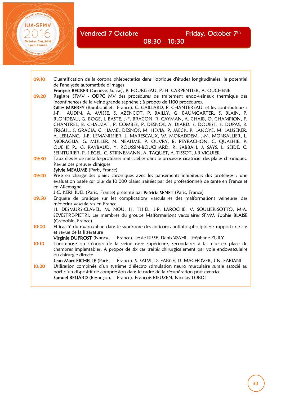lar without bord

**IUA-SFMV** 

October 5-8, 2016<br>Lyon, France

 $\sqrt{2}$ 

| 09:10 | Quantification de la corona phlebectatica dans l'optique d'études longitudinales: le potentiel<br>de l'analysée automatisée d'images |
|-------|--------------------------------------------------------------------------------------------------------------------------------------|
|       | François BECKER (Genève, Suisse), P. FOURGEAU, P.-H. CARPENTIER, A. OUCHENE                                                          |
| 09:20 | Registre SFMV - ODPC MV des procédures de traitement endo-veineux thermique des                                                      |
|       | incontinences de la veine grande saphène ; à propos de 1100 procédures.                                                              |
|       | Gilles MISEREY (Rambouillet, France), C. GAILLARD, P. CHANTEREAU, et les contributeurs :                                             |
|       | J-P. AUDIN, A. AVISSE, S. AZENCOT, P. BAILLY, G. BAUMGARTER, S. BLAIN, P.                                                            |
|       | BLONDEAU, G. BOGE, I. BASTE, J-F. BRACON, R. CAYMAN, A. CHAIB, O. CHAMPION, F.                                                       |
|       | CHANTREL, B. CHAUZAT, P. COMBES, P. DESNOS, A. DIARD, S. DOUEST, S. DUPAS, B.                                                        |
|       | FRIGUL, S. GRACIA, C. HAMEL DESNOS, M. HEVIA, P. JAECK, P. LANOYE, M. LAUSEKER,                                                      |
|       | A. LEBLANC, J-B. LEMANISSIER, J. MARESCAUX, W. MOKADDEM, J-M. MONSALLIER, L.                                                         |
|       | MORAGLIA, G. MULLER, N. NEAUME, P. OUVRY, B. PEYRACHON, C. QUASHIE, P.                                                               |
|       | QUEHE P., G. RAYBAUD, Y. ROUSSIN-BOUCHARD, R. SABBAH, J. SAYS, L. SEIDE, C.                                                          |
|       | SEINTURIER, P. SIEGEL, C. STIRNEMANN, A. TAQUET, A. TISSOT, J-B.VIGUIER                                                              |
| 09:30 | Taux élevés de métallo-protéases matricielles dans le processus cicatriciel des plaies chroniques.                                   |
|       | Revue des preuves cliniques                                                                                                          |
|       | Sylvie MEAUME (Paris, France)                                                                                                        |
| 09:40 | Prise en charge des plaies chroniques avec les pansements inhibiteurs des protéases : une                                            |
|       | évaluation basée sur plus de 10 000 plaies traitées par des professionnels de santé en France et                                     |
|       | en Allemagne<br>J-C. KERIHUEL (Paris, France) présenté par Patricia SENET (Paris, France)                                            |
| 09:50 | Enquête de pratique sur les complications vasculaires des malformations veineuses des                                                |
|       | médecins vasculaires en France                                                                                                       |
|       | H. DESMURS-CLAVEL, M. NOU, H. THIEL, J-P. LAROCHE, V. SOULIER-SOTTO, M-A.                                                            |
|       | SEVESTRE-PIETRI, Les membres du groupe Malformations vasculaires SFMV, Sophie BLAISE                                                 |
|       | (Grenoble, France),                                                                                                                  |
| 10:00 | Efficacité du rivaroxaban dans le syndrome des anticorps antiphospholipides : rapports de cas                                        |
|       | et revue de la littérature                                                                                                           |
|       | Virginie DUFROST (Nancy, France), Jessie RISSE, Denis WAHL, Stéphane ZUILY                                                           |
| 10:10 | Thrombose ou sténoses de la veine cave supérieure, secondaires à la mise en place de                                                 |
|       | chambres implantables. A propos de six cas traités chirurgicalement par voie endovasculaire                                          |
|       | ou chirurgie directe.                                                                                                                |
|       | Jean-Marc FICHELLE (Paris, France), S. SALVI, D. FARGE, D. MACHOVER, J-N. FABIANI                                                    |
| 10:20 | Utilisation combinée d'un système d'électro stimulation neuro musculaire surale associé au                                           |
|       | port d'un dispositif de compression dans le cadre de la récupération post exercice.                                                  |
|       | Samuel BELIARD (Besançon, France), François BIEUZEN, Nicolas TORDI                                                                   |

30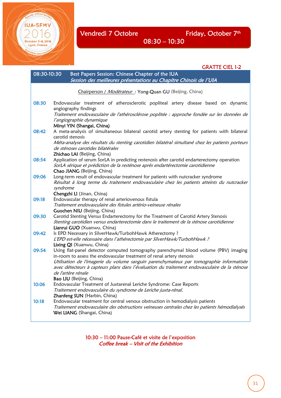GRATTE CIEL 1-2 08:30-10:30 Best Papers Session: Chinese Chapter of the IUA Session des meilleures présentations au Chapitre Chinois de l'UIA Chairperson / Modérateur: Yong-Quan GU (Beijing, China) 08:30 Endovascular treatment of atherosclerotic popliteal artery disease based on dynamic angiography findings Traitement endovasculaire de l'athérosclérose poplitée : approche fondée sur les données de l'angiographie dynamique Minyi YIN (Shangai, China) 08:42 A meta-analysis of simultaneous bilateral carotid artery stenting for patients with bilateral carotid stenosis Méta-analyse des résultats du stenting carotidien bilatéral simultané chez les patients porteurs de sténoses carotides bilatérales Zhichao LAI (Beijing, China) 08:54 Application of serum SorLA in predicting restenosis after carotid endarterectomy operation SorLA sérique et prédiction de la resténose après endartérectomie carotidienne Chao JIANG (Beijing, China) 09:06 Long-term result of endovascular treatment for patients with nutcracker syndrome Résultat à long terme du traitement endovasculaire chez les patients atteints du nutcracker syndrome Chengzhi LI (Jinan, China) 09:18 Endovascular therapy of renal arteriovenous fistula Traitement endovasculaire des fistules artério-veineuse rénales Guochen NIU (Beijing, China) 09:30 Carotid Stenting Versus Endarterectomy for the Treatment of Carotid Artery Stenosis Stenting carotidien versus endarterectomie dans le traitement de la sténose carotidienne Lianrui GUO (Xuanwu, China) 09:42 Is EPD Necessary in SilverHawk/TurbohHawk Atherectomy? L'EPD est-elle nécessaire dans l'athérectomie par SilverHawk/TurbohHawk ? Lixing QI (Xuanwu, China) 09:54 Using flat-panel detector computed tomography parenchymal blood volume (PBV) imaging in-room to assess the endovascular treatment of renal artery stenosis Utilisation de l'imagerie du volume sanguin parenchymateux par tomographie informatisée avec détecteurs à capteurs plans dans l'évaluation du traitement endovasculaire de la sténose de l'artère rénale Bao LIU (Beijing, China) 10:06 Endovascular Treatment of Juxtarenal Leriche Syndrome: Case Reports Traitement endovasculaire du syndrome de Leriche juxta-rénal. Zhanfeng SUN (Harbin, China) 10:18 Endovascular treatment for central venous obstruction in hemodialysis patients Traitement endovasculaire des obstructions veineuses centrales chez les patients hémodialysés Wei LIANG (Shangai, China)

> 10:30 – 11:00 Pause-Café et visite de l'exposition Coffee break – Visit of the Exhibition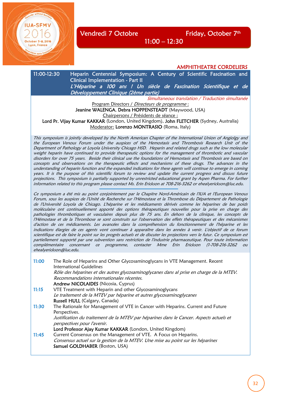Vendredi 7 Octobre Friday, October 7<sup>th</sup>

AMPHITHEATRE CORDELIERS

11:00-12:30 Heparin Centennial Symposium: A Century of Scientific Fascination and Clinical Implementation - Part II L'Héparine a 100 ans ! Un siècle de Fascination Scientifique et de Développement Clinique (2ème partie) Simultaneous translation / Traduction simultanée Program Directors / Directeurs de programme : Jeanine WALENGA, Debra HOPPENSTEADT (Maywood, USA)

11:00 – 12:30

Chairpersons / Présidents de séance :

Lord Pr. Vijay Kumar KAKKAR (London, United Kingdom), John FLETCHER (Sydney, Australia) Moderator: Lorenzo MONTRASIO (Roma, Italy)

This symposium is jointly developed by the North American Chapter of the International Union of Angiolgy and the European Venous Forum under the auspices of the Hemostasis and Thrombosis Research Unit of the Department of Pathology at Loyola University Chicago HSD. Heparin and related drugs such as the low molecular weight heparin have continued to provide therapeutic options for the management of thrombotic and vascular disorders for over 75 years. Beside their clinical use the foundations of Hemostasis and Thrombosis are based on concepts and observations on the therapeutic effects and mechanisms of these drugs. The advances in the understanding of heparin function and the expanded indications for these agents will continue to emerge in coming years. It is the purpose of this scientific forum to review and update the current progress and discuss future projections. This symposium is partially supported by unrestricted educational grant by Aspen Pharma. For further information related to this program please contact Ms. Erin Erickson at 708-216-3262 or ehealyerickson@luc.edu.

Ce symposium a été mis au point conjointement par le Chapitre Nord-Américain de l'IUA et l'European Venous Forum, sous les auspices de l'Unité de Recherche sur l'Hémostase et la Thrombose du Département de Pathologie de l'Université Loyola de Chicago. L'héparine et les médicaments dérivés comme les héparines de bas poids moléculaire ont continuellement apporté des options thérapeutiques nouvelles pour la prise en charge des pathologies thrombotiques et vasculaires depuis plus de 75 ans. En dehors de la clinique, les concepts de l'Hémostase et de la Thrombose se sont construits sur l'observation des effets thérapeutiques et des mécanismes d'action de ces médicaments. Les avancées dans la compréhension du fonctionnement de l'héparine et les indications élargies de ces agents vont continuer à apparaître dans les années à venir. L'objectif de ce forum scientifique est de faire le point sur les progrès actuels et de discuter les projections vers le futur. Ce symposium est partiellement supporté par une subvention sans restriction de l'industrie pharmaceutique. Pour toute information complémentaire concernant ce programme, contacter Mme Erin Erickson (1-708-216-3262 ou ehealyerickson@luc.edu.

11:00 The Role of Heparins and Other Glycosaminoglycans in VTE Management. Recent International Guidelines Rôle des héparines et des autres glycosaminoglycanes dans al prise en charge de la MTEV. Recommandations internationales récentes. Andrew NICOLAIDES (Nicosia, Cyprus) 11:15 VTE Treatment with Heparin and other Glycosaminoglycans Le traitement de la MTEV par héparine et autres glycosaminoglycanes Russell HULL (Calgary, Canada) 11:30 The Rationale for Management of VTE in Cancer with Heparins. Current and Future Perspectives. Justification du traitement de la MTEV par héparines dans le Cancer. Aspects actuels et perspectives pour l'avenir. Lord Professor Ajay Kumar KAKKAR (London, United Kingdom) 11:45 Current Consensus on the Management of VTE. A Focus on Heparins. Consensus actuel sur la gestion de la MTEV. Une mise au point sur les héparines Samuel GOLDHABER (Boston, USA)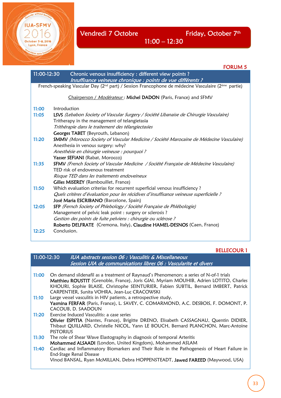October 5-8, 2016<br>Lyon, France 1996<br>Ma<sub>cquaire</sub> <sub>sons</sub> treating

**IUA-SFMV** 

|             | <b>FORUM 5</b>                                                                                                             |
|-------------|----------------------------------------------------------------------------------------------------------------------------|
| 11:00-12:30 | Chronic venous insufficiency : different view points ?<br>Insuffisance veineuse chronique : points de vue différents ?     |
|             | French-speaking Vascular Day (2 <sup>nd</sup> part) / Session Francophone de médecine Vasculaire (2 <sup>ème</sup> partie) |
|             | Chairperson / Modérateur: Michel DADON (Paris, France) and SFMV                                                            |
| 11:00       | Introduction                                                                                                               |
| 11:05       | LSVS (Lebabon Society of Vascular Surgery / Société Libanaise de Chirurgie Vasculaire)                                     |
|             | Tritherapy in the management of telangietasia                                                                              |
|             | Trithérapie dans le traitement des télangiectasies                                                                         |
|             | Georges TABET (Beyrouth, Lebanon)                                                                                          |
| 11:20       | SMMV (Morocco Society of Vascular Medicine / Société Marocaine de Médecine Vasculaire)                                     |
|             | Anesthesia in venous surgery: why?                                                                                         |
|             | Anesthésie en chirurgie veineuse : pourquoi ?                                                                              |
|             | Yasser SEFIANI (Rabat, Morocco)                                                                                            |
| 11:35       | SFMV (French Society of Vascular Medicine / Société Française de Médecine Vasculaire)                                      |
|             | TED risk of endovenous treatment                                                                                           |
|             | Risque TED dans les traitements endoveineux                                                                                |
|             | <b>Gilles MISEREY</b> (Rambouillet, France)                                                                                |
| 11:50       | Which evaluation criterias for recurrent superficial venous insufficiency?                                                 |
|             | Quels critères d'évaluation pour les récidives d'insuffisance veineuse superficielle ?                                     |
|             | José Maria ESCRIBANO (Barcelone, Spain)                                                                                    |
| 12:05       | SFP (Fernch Society of Phlebology / Société Française de Phlébologie)                                                      |
|             | Management of pelvic leak point : surgery or sclerosis ?                                                                   |
|             | Gestion des points de fuite pelviens : chirurgie ou sclérose ?                                                             |
|             | Roberto DELFRATE (Cremona, Italy), Claudine HAMEL-DESNOS (Caen, France)                                                    |
| 12:25       | Conclusion.                                                                                                                |

## BELLECOUR 1

| 11:00-12:30 | IUA abstracts session 06 : Vasculitis & Miscellaneous           |
|-------------|-----------------------------------------------------------------|
|             | Session UIA de communications libres 06 : Vascularite et divers |

| 11:00 | On demand sildenafil as a treatment of Raynaud's Phenomenon: a series of N-of-1 trials<br>Matthieu ROUSTIT (Grenoble, France), Joris GIAI, Myriam MOUHIB, Adrien LOTITO, Charles<br>KHOURI, Sophie BLAISE, Christophe SEINTURIER, Fabien SUBTIL, Bernard IMBERT, Patrick<br>CARPENTIER, Sunita VOHRA, Jean-Luc CRACOWSKI |
|-------|--------------------------------------------------------------------------------------------------------------------------------------------------------------------------------------------------------------------------------------------------------------------------------------------------------------------------|
| 11:10 | Large vessel vasculitis in HIV patients, a retrospective study.                                                                                                                                                                                                                                                          |
|       | Yasmina FERFAR (Paris, France), L. SAVEY, C. COMARMOND, A.C. DESBOIS, F. DOMONT, P.                                                                                                                                                                                                                                      |
|       | CACOUB, D. SAADOUN                                                                                                                                                                                                                                                                                                       |
| 11:20 | Exercise Induced Vasculitis: a case series                                                                                                                                                                                                                                                                               |
|       | Olivier ESPITIA (Nantes, France), Brigitte DRENO, Elisabeth CASSAGNAU, Quentin DIDIER,                                                                                                                                                                                                                                   |
|       | Thibaut QUILLARD, Christelle NICOL, Yann LE BOUCH, Bernard PLANCHON, Marc-Antoine<br><b>PISTORIUS</b>                                                                                                                                                                                                                    |
| 11:30 | The role of Shear Wave Elastography in diagnosis of temporal Arteritis                                                                                                                                                                                                                                                   |
|       | Mohammed ALSAADI (London, United Kingdom), Mohammed ASLAM                                                                                                                                                                                                                                                                |
| 11:40 | Cardiac and Inflammatory Biomarkers and Their Role in the Pathogenesis of Heart Failure in<br>End-Stage Renal Disease                                                                                                                                                                                                    |
|       | Vinod BANSAL, Ryan McMILLAN, Debra HOPPENSTEADT, Jawed FAREED (Maywood, USA)                                                                                                                                                                                                                                             |
|       |                                                                                                                                                                                                                                                                                                                          |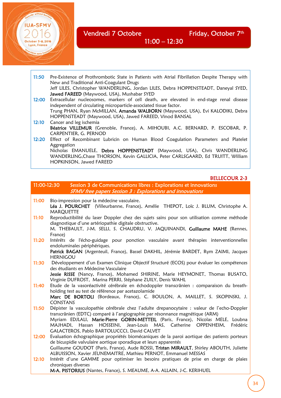

Vendredi 7 Octobre Friday, October 7<sup>th</sup> October 5-8, 2016 **12:30** 

11:50 Pre-Existence of Prothrombotic State in Patients with Atrial Fibrillation Despite Therapy with New and Traditional Anti-Coagulant Drugs Jeff LILES, Christopher WANDERLING, Jordan LILES, Debra HOPPENSTEADT, Daneyal SYED, Jawed FAREED (Maywood, USA), Mushabar SYED 12:00 Extracellular nucleosomes, markers of cell death, are elevated in end-stage renal disease independent of circulating microparticle-associated tissue factor. Trung PHAN, Ryan McMILLAN, Amanda WALBORN (Maywood, USA), Evi KALODIKI, Debra HOPPENSTEADT (Maywood, USA), Jawed FAREED, Vinod BANSAL 12:10 Cancer and leg ischemia Béatrice VILLEMUR (Grenoble, France), A. MIHOUBI, A.C. BERNARD, P. ESCOBAR, P. CARPENTIER, G. PERNOD 12:20 Effect of Recombinant Lubricin on Human Blood Coagulation Parameters and Platelet Aggregation Nicholas EMANUELE, Debra HOPPENSTEADT (Maywood, USA), Chris WANDERLING

 WANDERLING,Chase THORSON, Kevin GALLICIA, Peter CARLSGAARD, Ed TRUITT, William HOPKINSON, Jawed FAREED

#### BELLECOUR 2-3

| 11:00-12:30 | Session 3 de Communications libres : Explorations et innovations<br><b>SFMV</b> free papers Session 3 : Explorations and innovations                                                                                                                                                                                                                                                         |
|-------------|----------------------------------------------------------------------------------------------------------------------------------------------------------------------------------------------------------------------------------------------------------------------------------------------------------------------------------------------------------------------------------------------|
| 11:00       | Bio-impression pour la médecine vasculaire.<br>Léa J. POURCHET (Villeurbanne, France), Amélie THEPOT, Loïc J. BLUM, Christophe A.<br><b>MARQUETTE</b>                                                                                                                                                                                                                                        |
| 11:10       | Reproductibilité du laser Doppler chez des sujets sains pour son utilisation comme méthode<br>diagnostique d'une artériopathie digitale obstructive.<br>M. THEBAULT, J-M. SELLI, S. CHAUDRU, V. JAQUINANDI, Guillaume MAHE (Rennes,<br>France)                                                                                                                                               |
| 11:20       | Intérêts de l'écho-guidage pour ponction vasculaire avant thérapies interventionnelles<br>endoluminales périphériques.<br>Patrick BAGAN (Argenteuil, France), Bassel DAKHIL, Jérémie BARDET, Rym ZAIMI, Jacques<br><b>HERNIGOU</b>                                                                                                                                                           |
| 11:30       | Développement d'un Examen Clinique Objectif Structuré (ECOS) pour évaluer les compétences<br>des étudiants en Médecine Vasculaire<br>Jessie RISSE (Nancy, France), Mohamed SHIRINE, Marie HEYMONET, Thomas BUSATO,<br>Virginie DUFROST, Marina PERRI, Stéphane ZUILY, Denis WAHL                                                                                                             |
| 11:40       | Etude de la vasoréactivité cérébrale en échodoppler transcrânien : comparaison du breath-<br>holding test au test de référence par acetazolamide<br>Marc DE BORTOLI (Bordeaux, France), C. BOULON, A. MAILLET, S. SKOPINSKI, J.<br><b>CONSTANS</b>                                                                                                                                           |
| 11:50       | Dépister la vasculopathie cérébrale chez l'adulte drepanocytaire : valeur de l'echo-Doppler<br>transcrânien (EDTC) comparé à l'angiographie par résonnance magnétique (ARM)<br>Myriam EDJLALI, Marie-Pierre GOBIN-METTEIL (Paris, France), Nicolas MELE, Loubna<br>MAJHADI, Hassan HOSSEINI, Jean-Louis MAS, Catherine OPPENHEIM,<br>Frédéric<br>GALACTEROS, Pablo BARTOLUCCCI, David CALVET |
| 12:00       | Evaluation échographique propriétés biomécaniques de la paroi aortique des patients porteurs<br>de bicuspidie valvulaire aortique sporadique et leurs apparentés<br>Guillaume GOUDOT (Paris, France), Aude ROSSI, Tristan MIRAULT, Shirley ABOUTH, Juliette<br>ALBUISSON, Xavier JEUNEMAITRE, Mathieu PERNOT, Emmanuel MESSAS                                                                |
| 12:10       | Intérêt d'une GAMME pour optimiser les besoins pratiques de prise en charge de plaies<br>chroniques diverses<br>M-A. PISTORIUS (Nantes, France), S. MEAUME, A-A. ALLAIN, J-C. KERIHUEL                                                                                                                                                                                                       |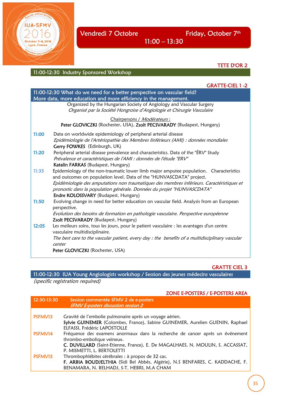

TETE D'OR 2

### 11:00-12:30 Industry Sponsored Workshop

|       | <b>GRATTE-CIEL 1 -2</b>                                                                                                      |
|-------|------------------------------------------------------------------------------------------------------------------------------|
|       | 11:00-12:30 What do we need for a better perspective on vascular field?                                                      |
|       | More data, more education and more efficiency in the management.                                                             |
|       | Organized by the Hungarian Society of Angiology and Vascular Surgery                                                         |
|       | Organisé par la Société Hongroise d'Angiologie et Chirurgie Vasculaire                                                       |
|       | Chairpersons / Modérateurs :                                                                                                 |
|       | Peter GLOVICZKI (Rochester, USA), Zsolt PECSVARADY (Budapest, Hungary)                                                       |
| 11:00 | Data on worldwide epidemiology of peripheral arterial disease                                                                |
|       | Epidémiologie de l'Artériopathie des Membres linférieurs (AMI) : données mondiales                                           |
|       | Gerry FOWKES (Edinburgh, UK)                                                                                                 |
| 11:20 | Peripheral arterial disease prevalence and characteristics. Data of the "ÉRV" Study                                          |
|       | Prévalence et caractéristiques de l'AMI : données de l'étude "ERV"                                                           |
|       | Katalin FARKAS (Budapest, Hungary)                                                                                           |
| 11:35 | Epidemiology of the non-traumatic lower limb major amputee population.  Characteristics                                      |
|       | and outcomes on population level. Data of the "HUNVASCDATA" project.                                                         |
|       | Epidémiologie des amputations non traumatiques des membres inférieurs. Caractéristiques et                                   |
|       | pronostic dans la population générale. Données du projet "HUNVASCDATA"                                                       |
|       | Endre KOLOSSVARY (Budapest, Hungary)                                                                                         |
| 11:50 | Evolving change in need for better education on vascular field. Analysis from an European<br>perspective.                    |
|       | Evolution des besoins de formation en pathologie vasculaire. Perspective européenne                                          |
|       | Zsolt PECSVARADY (Budapest, Hungary)                                                                                         |
| 12:05 | Les meileurs soins, tous les jours, pour le patient vasculaire : les avantages d'un centre<br>vasculaire multidisciplinaire. |
|       | The best care to the vascular patient, every day : the benefits of a multidisciplinary vascular                              |
|       | center                                                                                                                       |
|       | Peter GLOVICZKI (Rochester, USA)                                                                                             |
|       |                                                                                                                              |

11:00 – 13:30

GRATTE CIEL 3

11:00-12:30 IUA Young Angiologists workshop / Session des jeunes médecins vasculaires (specific registration required)

#### ZONE E-POSTERS / E-POSTERS AREA

| 12:30-13:30 | Session commentée SFMV 2 de e-posters<br><b>SFMV E-posters discussion session 2</b> |
|-------------|-------------------------------------------------------------------------------------|
|             |                                                                                     |
| PSFMV13     | Gravité de l'embolie pulmonaire après un voyage aérien.                             |
|             | Sylvie GUINEMER (Colombes, France), Sabine GUINEMER, Aurelien GUENIN, Raphael       |
|             | ELFASSI, Frédéric LAPOSTOLLE                                                        |
| PSFMV14     | Fréquence des examens anormaux dans la recherche de cancer après un événement       |
|             | thrombo-embolique veineux.                                                          |
|             | C. DUVILLARD (Saint-Etienne, France), E. De MAGALHAES, N. MOULIN, S. ACCASSAT,      |
|             | P. MISMETTI, L. BERTOLETTI                                                          |
| PSFMV15     | Thrombophlébites cérébrales : à propos de 32 cas.                                   |
|             | F. ARBIA BOUDJELTHIA (Sidi Bel Abbès, Algérie), N.S BENFARES, C. KADDACHE, F.       |
|             | BENAMARA, N. BELHADJ, S-T. HEBRI, M.A CHAM                                          |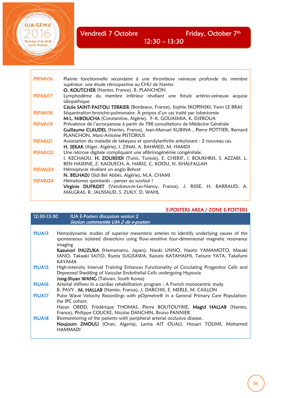E

**IUA-SFMV** 

October 5-8, 2016 Lyon, France

| PSFMV16        | Plainte fonctionnelle secondaire à une thrombose veineuse profonde du membre<br>supérieur: une étude rétrospective au CHU de Nantes |
|----------------|-------------------------------------------------------------------------------------------------------------------------------------|
|                | O. KOUTCHER (Nantes, France), B. PLANCHON                                                                                           |
| <b>PSFMV17</b> | Lymphodème du membre inférieur révélant une fistule artério-veineuse acquise                                                        |
|                | idiopathique                                                                                                                        |
|                | Cécile SAINT-PASTOU TERRIER (Bordeaux, France), Sophie SKOPINSKI, Yann LE BRAS                                                      |
| PSFMV18        | Séquestration broncho-pulmonaire. À propos d'un cas traité par lobectomie                                                           |
|                | M-L. NIBOUCHA (Constantine, Algérie), F-K. GOUASMIA, K. DJEROUA                                                                     |
| <b>PSFMV19</b> | Prévalence de l'acrocyanose à partir de 798 consultations de Médecine Générale                                                      |
|                | Guillaume CLAUDEL (Nantes, France), Jean-Manuel KUBINA, Pierre POTTIER, Bernard                                                     |
|                | PLANCHON, Marc-Antoine PISTORIUS                                                                                                    |
| PSFMV21        | Association du maladie de takayasu et spondylarthrite ankylosant : 2 nouveau cas.                                                   |
|                | H. SEKAK (Alger, Algérie), I. ZINAI, A. BAHMED, M. HAMDI                                                                            |
| PSFMV22        | Une nécrose digitale compliquant une afibrinogénémie congénitale.                                                                   |
|                | I. KECHAOU, H. ZOUBEIDI (Tunis, Tunisie), E. CHERIF, I. BOUKHRIS, S. AZZABI, L.                                                     |
|                | BEN HASSINE, Z. KAOUECH, A. HARIZ, C. KOOLI, N. KHALFALLAH                                                                          |
| PSFMV23        | Hémoptysie révélant un angio Behcet                                                                                                 |
|                | N. BELHADJ (Sidi Bel Abbès, Algérie), M.A. CHAMI                                                                                    |
| PSFMV24        | Hématomes spontanés : penser au scorbut !                                                                                           |
|                | Virginie DUFROST (Vandoeuvre-Les-Nancy, France), J. RISSE, H. BARRAUD, A.                                                           |
|                | MALGRAS, R. JAUSSAUD, S. ZUILY, D. WAHL                                                                                             |
|                |                                                                                                                                     |

12:30 – 13:30

#### E-POSTERS AREA / ZONE E-POSTERS

| 12:30-13:30        | <b>IUA E-Posters discussion session 2</b><br>Session commentée UIA 2 de e-posters                                                                                                                                 |
|--------------------|-------------------------------------------------------------------------------------------------------------------------------------------------------------------------------------------------------------------|
| PIUA <sub>13</sub> | Hemodynamic studies of superior mesenteric arteries to identify underlying causes of the<br>spontaneous isolated dissections using flow-sensitive four-dimensional magnetic resonance                             |
|                    | imaging<br>Kazunori INUZUKA (Hamamatsu, Japan), Naoki UNNO, Naoto YAMAMOTO, Masaki<br>SANO, Takaaki SAITO, Ryota SUGISAWA, Kazuto KATAHASHI, Tatsuro YATA, Takafumi<br><b>KAYAMA</b>                              |
| PIUA <sub>15</sub> | High-intensity Interval Training Enhances Functionality of Circulating Progenitor Cells and<br>Depressed Shedding of Vascular Endothelial Cells undergoing Hypoxia<br>Jong-Shyan WANG (Taïwan, South Korea)       |
| PIUA <sub>16</sub> | Arterial stiffness in a cardiac rehabilitation program : A French monocentric study<br>B. PAVY, M. HALLAB (Nantes, France), J. DARCHIS, E. MERLE, M. CAILLON                                                      |
| PIUA17             | Pulse Wave Velocity Recordings with pOpmetre® in a General Primary Care Population:<br>the <b>IPC</b> cohort.                                                                                                     |
| PIUA <sub>18</sub> | Hasan OBEID, Frédérique THOMAS, Pierre BOUTOUYRIE, Magid HALLAB (Nantes,<br>France), Philippe COUCKE, Nicolas DANCHIN, Bruno PANNIER<br>Biomonitoring of the patients with peripheral arterial occlusive disease. |
|                    | Noujoum ZMOULI (Oran, Algeria), Lamia AIT OUALI, Houari TOUMI, Mohamed<br><b>HAMMADI</b>                                                                                                                          |
|                    |                                                                                                                                                                                                                   |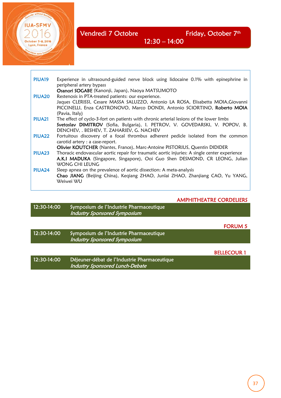**ILIA-SEM** 

Lyon, France

PIUA19 Experience in ultrasound-guided nerve block using lidocaine 0.1% with epinephrine in peripheral artery bypass **Osanori SOGABE** (Kanonji, Japan), Naoya MATSUMOTO<br>PIUA20 Restenosis in PTA-treated patients: our experience. Restenosis in PTA-treated patients: our experience. Jaques CLERISSI, Cesare MASSA SALUZZO, Antonio LA ROSA, Elisabetta MOIA,Giovanni PICCINELLI, Enza CASTRONOVO, Marco DONDI, Antonio SCIORTINO, Roberto MOIA (Pavia, Italy) PIUA21 The effect of cyclo-3-fort on patients with chronic arterial lesions of the lower limbs Svetoslav DIMITROV (Sofia, Bulgaria), I. PETROV, V. GOVEDARSKI, V. POPOV, B. DENCHEV, . BESHEV, T. ZAHARIEV, G. NACHEV PIUA22 Fortuitous discovery of a focal thrombus adherent pedicle isolated from the common carotid artery : a case-report. Olivier KOUTCHER (Nantes, France), Marc-Antoine PISTORIUS, Quentin DIDIDER PIUA23 Thoracic endovascular aortic repair for traumatic aortic injuries: A single center experience A.K.I MADUKA (Singapore, Singapore), Ooi Guo Shen DESMOND, CR LEONG, Julian WONG CHI LEUNG PIUA24 Sleep apnea on the prevalence of aortic dissection: A meta-analysis Chao JIANG (Beijing China), Keqiang ZHAO, Junlai ZHAO, Zhanjiang CAO, Yu YANG, Weiwei WU

12:30 – 14:00

#### AMPHITHEATRE CORDELIERS

12:30-14:00 Symposium de l'Industrie Pharmaceutique Industry Sponsored Symposium

FORUM 5

12:30-14:00 Symposium de l'Industrie Pharmaceutique Industry Sponsored Symposium

BELLECOUR 1

| 12:30-14:00 | Déjeuner-débat de l'Industrie Pharmaceutique |  |
|-------------|----------------------------------------------|--|
|             | Industry Sponsored Lunch-Debate              |  |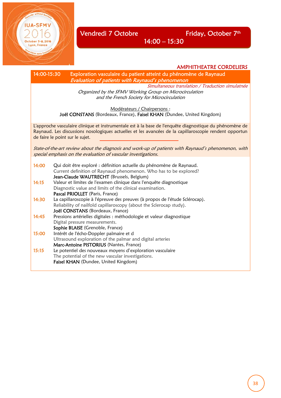Vendredi 7 Octobre Friday, October 7<sup>th</sup>

14:00 – 15:30

AMPHITHEATRE CORDELIERS

14:00-15:30 Exploration vasculaire du patient atteint du phénomène de Raynaud Evaluation of patients with Raynaud's phenomenon Simultaneous translation / Traduction simulatnée Organized by the SFMV Working Group on Microcirculation and the French Society for Microcirculation Modérateurs / Chairpersons : Joël CONSTANS (Bordeaux, France), Faisel KHAN (Dundee, United Kingdom) L'approche vasculaire clinique et instrumentale est à la base de l'enquête diagnostique du phénomène de Raynaud. Les discussions nosologiques actuelles et les avancées de la capillaroscopie rendent opportun de faire le point sur le sujet. State-of-the-art review about the diagnosis and work-up of patients with Raynaud's phenomenon, with special emphasis on the evaluation of vascular investigations. 14:00 Qui doit être exploré : définition actuelle du phénomène de Raynaud. Current definition of Raynaud phenomenon. Who has to be explored? Jean-Claude WAUTRECHT (Brussels, Belgium) 14:15 Valeur et limites de l'examen clinique dans l'enquête diagnostique Diagnostic value and limits of the clinical examination. Pascal PRIOLLET (Paris, France) 14:30 La capillaroscopie à l'épreuve des preuves (à propos de l'étude Sclérocap). Reliability of nailfold capillaroscopy (about the Sclerocap study). Joël CONSTANS (Bordeaux, France) 14:45 Pressions artérielles digitales : méthodologie et valeur diagnostique Digital pressure measurements. Sophie BLAISE (Grenoble, France) 15:00 Intérêt de l'écho-Doppler palmaire et d Ultrasound exploration of the palmar and digital arteries Marc-Antoine PISTORIUS (Nantes, France) 15:15 Le potentiel des nouveaux moyens d'exploration vasculaire The potential of the new vascular investigations. Faisel KHAN (Dundee, United Kingdom)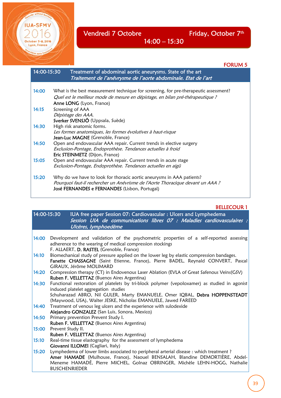E

Vendredi 7 Octobre Friday, October 7<sup>th</sup>

FORUM 5

| 14:00-15:30 | Treatment of abdominal aortic aneurysms. State of the art<br>Traitement de l'anévrysme de l'aorte abdominale. Etat de l'art                                                                              |
|-------------|----------------------------------------------------------------------------------------------------------------------------------------------------------------------------------------------------------|
| 14:00       | What is the best measurement technique for screening, for pre-therapeutic assessment?                                                                                                                    |
|             | Quel est le meilleur mode de mesure en dépistage, en bilan pré-thérapeutique ?                                                                                                                           |
|             | Anne LONG (Lyon, France)                                                                                                                                                                                 |
| 14:15       | Screening of AAA                                                                                                                                                                                         |
|             | Dépistage des AAA.                                                                                                                                                                                       |
|             | Sverker SVENSJÖ (Uppsala, Suède)                                                                                                                                                                         |
| 14:30       | High risk anatomic forms.<br>Les formes anatomiques, les formes évolutives à haut-risque                                                                                                                 |
|             | Jean-Luc MAGNE (Grenoble, France)                                                                                                                                                                        |
| 14:50       | Open and endovascular AAA repair. Current trends in elective surgery                                                                                                                                     |
|             | Exclusion-Pontage, Endoprothèse. Tendances actuelles à froid                                                                                                                                             |
|             | <b>Eric STEINMETZ</b> (Dijon, France)                                                                                                                                                                    |
| 15:05       | Open and endovascular AAA repair. Current trends in acute stage                                                                                                                                          |
|             | Exclusion-Pontage, Endoprothèse. Tendances actuelles en aigü                                                                                                                                             |
| 15:20       | Why do we have to look for thoracic aortic aneurysms in AAA patients?<br>Pourquoi faut-il rechercher un Anévrisme de l'Aorte Thoracique devant un AAA ?<br>José FERNANDES e FERNANDES (Lisbon, Portugal) |
|             |                                                                                                                                                                                                          |

14:00 – 15:30

#### BELLECOUR 1

14:00-15:30 IUA free paper Session 07: Cardiovascular : Ulcers and Lymphedema Session UIA de communications libres 07 : Maladies cardiovasculaires : Ulcères, lymphoedème

- 14:00 Development and validation of the psychometric properties of a self-reported assessing adherence to the wearing of medical compression stockings F. ALLAERT, D. RASTEL (Grenoble, France)
- 14:10 Biomechanical study of pressure applied on the lower leg by elastic compression bandages. Fanette CHASSAGNE (Saint Etienne, France), Pierre BADEL, Reynald CONVERT, Pascal GIRAUX, Jérôme MOLIMARD
- 14:20 Compression therapy (CT) in Endovenous Laser Ablation (EVLA of Great Safenous Veins(GSV) Ruben F. VELLETTAZ (Buenos Aires Argentina)
- 14:30 Functional restoration of platelets by tri-block polymer (vepoloxamer) as studied in agonist induced platelet aggregation studies Schuharazad ABRO, Nil GULER, Marty EMANUELE, Omer IQBAL, Debra HOPPENSTEADT
- (Maywood, USA), Walter JESKE, Nicholas EMANUELE, Jawed FAREED 14:40 Treatment of venous leg ulcers and the experience with sulodexide
- Alejandro GONZALEZ (San Luis, Sonora, Mexico)
- 14:50 Primary prevention Prevent Study I.
- Ruben F. VELLETTAZ (Buenos Aires Argentina)
- 15:00 Prevent Study II.
	- Ruben F. VELLETTAZ (Buenos Aires Argentina)
- 15:10 Real-time tissue elastography for the assessment of lymphedema Giovanni ILLOMEI (Cagliari, Italy)
- 15:20 Lymphedema of lower limbs associated to peripheral arterial disease : which treatment ? Amer HAMADE (Mulhouse, France), Naouel BENSALAH, Blandine DEMORTIÈRE, Abdel-Meneme HAMADÉ, Pierre MICHEL, Golnaz OBRINGER, Michèle LEHN-HOGG, Nathalie BUSCHENRIEDER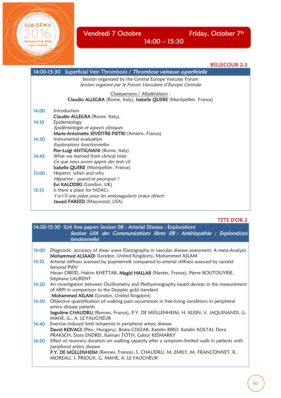

E

**IUA-SFMV** 

October 5-8, 2016 Lyon, France

BELLECOUR 2-3

|       | 14:00-15:30 Superficial Vein Thrombosis / <i>Thrombose veineuse superficielle</i>                                      |
|-------|------------------------------------------------------------------------------------------------------------------------|
|       | Session organized by the Central Europe Vascular Forum<br>Session organisé par le Forum Vasculaire d'Europe Centrale   |
|       | Chairpersons / Modérateurs :<br>Claudio ALLEGRA (Rome, Italy), Isabelle QUERE (Montpellier, France)                    |
| 14:00 | Introduction<br>Claudio ALLEGRA (Rome, Italy),                                                                         |
| 14:10 | Epidemiology<br>Epidémiologie et aspects cliniques<br>Marie-Antoinette SEVESTRE-PIETRI (Amiens, France)                |
| 14:30 | Instrumental evaluation<br>Explorations fonctionnelles<br>Pier-Luigi ANTIGNANI (Rome, Italy)                           |
| 14:45 | What we learned from clinical trials<br>Ce que nous avons appris des tests cli<br>Isabelle QUERE (Montpellier, France) |
| 15:00 | Heparin: when and why<br>Héparine : quand et pourquoi ?<br>Evi KALODIKI (London, UK)                                   |
| 15:15 | Is there a place for NOACs<br>Y-a-t'il une place pour les anticoagulants oraux directs<br>Jawed FAREED (Maywood, USA)  |

14:00 – 15:30

## TETE D'OR 2

| 14:00-15:30 IUA free papers Session 08 : Arterial Disease : Explorations<br>Session UIA des Communications libres 08 : Artériopathie : Explorations                                                  |  |  |
|------------------------------------------------------------------------------------------------------------------------------------------------------------------------------------------------------|--|--|
| fonctionnelles                                                                                                                                                                                       |  |  |
|                                                                                                                                                                                                      |  |  |
| Diagnostic accuracy of shear wave Elastography in vascular disease assessment: A meta-Analysis<br>Mohammed ALSAADI (London, United Kingdom), Mohammed ASLAM                                          |  |  |
| Arterial stiffness assessed by popmetre® compaired to arterial stiffness assessed by carotid<br>femoral PWV                                                                                          |  |  |
| Hasan OBEID, Hakim KHETTAB, Magid HALLAB (Nantes, France), Pierre BOUTOUYRIE,<br>Stéphane LAURENT                                                                                                    |  |  |
| An investigation between Oscillometry and Plethysmography based devices in the measurement<br>of ABPI in comparison to the Doppler gold standard<br>Mohammed ASLAM (London, United Kingdom)          |  |  |
| Objective quantification of walking pain occurrences in free-living conditions in peripheral<br>artery disease patients                                                                              |  |  |
| Segolène CHAUDRU (Rennes, France), P.Y. DE MÜLLENHEIM, H. KLEIN, V. JAQUINANDI, G.<br>MAHE, G., A. LE FAUCHEUR                                                                                       |  |  |
| Exercise induced limb ischaemia in peripheral artery disease<br>David KOVACS (Pécs, Hungary), Beata CSISZAR, Katalin BIRO, Katalin KOLTAI, Dora<br>PRAKSCH, Dora ENDREI, Kalman TOTH, Gabor KESMARKY |  |  |
| Effect of recovery duration on walking capacity after a symptom-limited walk in patients with<br>peripheral artery disease                                                                           |  |  |
| P.Y. DE MÜLLENHEIM (Rennes, France), S. CHAUDRU, M. EMILY, M. FRANCONNET, R.<br>MOREAU, J. PRIOUX, G. MAHE, A. LE FAUCHEUR                                                                           |  |  |
|                                                                                                                                                                                                      |  |  |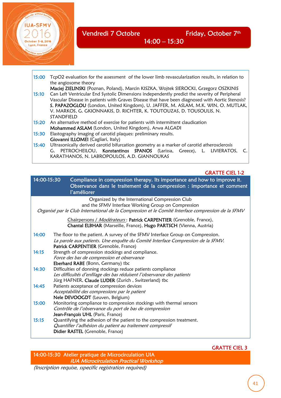

15:00 TcpO2 evaluation for the assessment of the lower limb revascularization results, in relation to the angiosome theory

 Maciej ZIELINSKI (Poznan, Poland), Marcin KISZKA, Wojtek SIEROCKI, Grzegorz OSZKINIS 15:10 Can Left Ventricular End Systolic Dimensions independently predict the severity of Peripheral Vascular Disease in patients with Graves Disease that have been diagnosed with Aortic Stenosis? S. PAPAZOGLOU (London, United Kingdom), U. JAFFER, M. ASLAM, M.K. WIN, O. MUTLAK, V. MARKOS, G. GKIONNAKIS, D. RICHTER, K. TOUTOUZAS, D. TOUSOULIS, N. STANDFIELD

15:20 An alternative method of exercise for patients with intermittent claudication Mohammed ASLAM (London, United Kingdom), Arwa ALGADI

15:30 Elastography imaging of carotid plaques: preliminary results. Giovanni ILLOMEI (Cagliari, Italy)

15:40 Ultrasonically derived carotid bifurcation geometry as a marker of carotid atherosclerosis G. PETROCHEILOU, Konstantinos SPANOS (Larissa, Greece), L. LIVIERATOS, C. KARATHANOS, N. LABROPOULOS, A.D. GIANNOUKAS

#### GRATTE CIEL 1-2

| 14:00-15:30 | Compliance in compression therapy. Its importance and how to improve it.<br>Observance dans le traitement de la compression : importance et comment<br>l'améliorer                                           |
|-------------|--------------------------------------------------------------------------------------------------------------------------------------------------------------------------------------------------------------|
|             | Organized by the International Compression Club<br>and the SFMV Interface Working Group on Compression<br>Organisé par le Club International de la Compression et le Comité Interface compression de la SFMV |
|             | Chairpersons / Modérateurs: Patrick CARPENTIER (Grenoble, France),<br>Chantal ELBHAR (Marseille, France), Hugo PARTSCH (Vienna, Austria)                                                                     |
| 14:00       | The floor to the patient. A survey of the SFMV Interface Group on Compression.<br>La parole aux patients. Une enquête du Comité Interface Compression de la SFMV.<br>Patrick CARPENTIER (Grenoble, France)   |
| 14:15       | Strength of compression stockings and compliance.<br>Force des bas de compression et observance<br>Eberhard RABE (Bonn, Germany) tbc                                                                         |
| 14:30       | Difficulties of donning stockings reduce patients compliance<br>Les difficultés d'enfilage des bas réduisent l'observance des patients<br>Jürg HAFNER, Claude LUDER (Zurich, Switzerland) tbc                |
| 14:45       | Patients acceptance of compression devices<br>Acceptabilité des compressions par le patient<br>Nele DEVOOGDT (Leuven, Belgium)                                                                               |
| 15:00       | Monitoring compliance to compression stockings with thermal sensors<br>Contrôle de l'observance du port de bas de compression<br>Jean-François UHL (Paris, France)                                           |
| 15:15       | Quantifying the adhesion of the patient to the compression treatment.<br>Quantifier l'adhésion du patient au traitement compressif<br>Didier RASTEL (Grenoble, France)                                       |

#### GRATTE CIEL 3

14:00-15:30 Atelier pratique de Microcirculation UIA IUA Microcirculation Practical Workshop

(Inscription requise, sspecific registration required)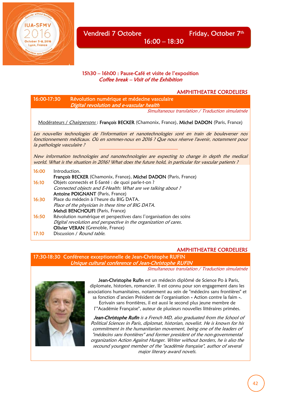

#### 15h30 – 16h00 : Pause-Café et visite de l'exposition Coffee break – Visit of the Exhibition

#### AMPHITHEATRE CORDELIERS

| 16:00-17:30 | Révolution numérique et médecine vasculaire<br>Digital revolution and e-vascular health                                                                                                                                           |
|-------------|-----------------------------------------------------------------------------------------------------------------------------------------------------------------------------------------------------------------------------------|
|             | Simultaneous translation / Traduction simulatnée                                                                                                                                                                                  |
|             | Modérateurs / Chairpersons: François BECKER (Chamonix, France), Michel DADON (Paris, France)                                                                                                                                      |
|             | Les nouvelles technologies de l'information et nanotechnologies sont en train de bouleverser nos<br>fonctionnements médicaux. Où en sommes-nous en 2016 ? Que nous réserve l'avenir, notamment pour<br>la pathologie vasculaire ? |
|             | New information technologies and nanotechnologies are expecting to change in depth the medical<br>world. What is the situation in 2016? What does the future hold, in particular for vascular patients ?                          |
| 16:00       | Introduction.<br>François BECKER (Chamonix, France), Michel DADON (Paris, France)                                                                                                                                                 |
| 16:10       | Objets connectés et E-Santé : de quoi parle-t-on ?<br>Connected objects and E-Health: What are we talking about?<br><b>Antoine POIGNANT</b> (Paris, France)                                                                       |
| 16:30       | Place du médecin à l'heure du BIG DATA.<br>Place of the physician in these time of BIG DATA.<br>Mehdi BENCHOUFI (Paris, France)                                                                                                   |
| 16:50       | Révolution numérique et perspectives dans l'organisation des soins<br>Digital revolution and perspective in the organization of cares.<br><b>Olivier VERAN</b> (Grenoble, France)                                                 |

17:10 Discussion / Round table.

#### AMPHITHEATRE CORDELIERS

17:30-18:30 Conférence exceptionnelle de Jean-Christophe RUFIN Unique cultural conference of Jean-Christophe RUFIN

Simultaneous translation / Traduction simulatnée



Jean-Christophe Rufin est un médecin diplômé de Science Po à Paris, diplomate, historien, romancier. Il est connu pour son engagement dans les associations humanitaires, notamment au sein de "médecins sans frontières" et sa fonction d'ancien Président de l'organisation « Action contre la faim ».

 Ecrivain sans frontières, il est aussi le second plus jeune membre de l'"Académie Française", auteur de plusieurs nouvelles littéraires primées.

Jean-Christophe Rufin is a French MD, also graduated from the School of Political Sciences in Paris, diplomat, historian, novelist. He is known for his commitment in the humanitarian movement, being one of the leaders of "médecins sans frontières" and former president of the non-governmental organization Action Against Hunger. Writer without borders, he is also the secound youngest member of the "académie française", author of several major literary award novels.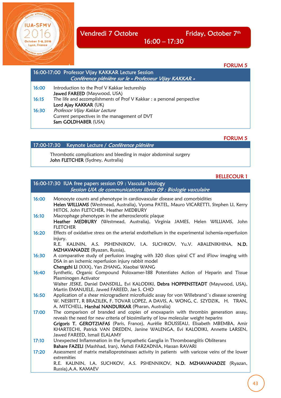October 5-8, 2016 Lyon, France

Vendredi 7 Octobre Friday, October 7<sup>th</sup>

16:00 – 17:30

FORUM 5

|       | 16:00-17:00 Professor Vijay KAKKAR Lecture Session<br>Conférence plénière sur le « Professeur Vijay KAKKAR » |
|-------|--------------------------------------------------------------------------------------------------------------|
| 16:00 | Introduction to the Prof V Kakkar lectureship<br>Jawed FAREED (Maywood, USA)                                 |
| 16:15 | The life and accomplishments of Prof V Kakkar : a personal perspective<br>Lord Ajay KAKKAR (UK)              |
| 16:30 | Professor Vijay Kakkar Lecture<br>Current perspectives in the management of DVT<br>Sam GOLDHABER (USA)       |

FORUM 5

| 17:00-17:30 Keynote Lecture / Conférence plénière |  |  |  |  |
|---------------------------------------------------|--|--|--|--|
|---------------------------------------------------|--|--|--|--|

 Thrombotic complications and bleeding in major abdominal surgery John FLETCHER (Sydney, Australia)

## BELLECOUR 1

|       | 16:00-17:30 IUA free papers session 09 : Vascular biology<br>Session UIA de communications libres 09 : Biologie vasculaire                                                                                                                                                                                                                                                     |
|-------|--------------------------------------------------------------------------------------------------------------------------------------------------------------------------------------------------------------------------------------------------------------------------------------------------------------------------------------------------------------------------------|
| 16:00 | Monocyte counts and phenotype in cardiovascular disease and comorbidities<br>Helen WILLIAMS (Westmead, Australia), Vyoma PATEL, Mauro VICARETTI, Stephen LI, Kerry<br>HITOS, John FLETCHER, Heather MEDBURY                                                                                                                                                                    |
| 16:10 | Macrophage phenotypes in the atherosclerotic plaque<br>Heather MEDBURY (Westmead, Australia), Virginia JAMES, Helen WILLIAMS, John<br><b>FLETCHER</b>                                                                                                                                                                                                                          |
| 16:20 | Effects of oxidative stress on the arterial endothelium in the experimental ischemia-reperfusion<br>injury.<br>R.E. KALININ, A.S. PSHENNIKOV, I.A. SUCHKOV, Yu.V. ABALENIKHINA, N.D.<br>MZHAVANADZE (Ryazan, Russia),                                                                                                                                                          |
| 16:30 | A comparative study of perfusion imaging with 320 slices spiral CT and iFlow imaging with<br>DSA in an ischemic reperfusion injury rabbit model<br>Chengzhi LI (XXX), Yan ZHANG, Xiaobai WANG                                                                                                                                                                                  |
| 16:40 | Synthetic, Organic Compound Poloxamer-188 Potentiates Action of Heparin and Tissue<br>Plasminogen Activator<br>Walter JESKE, Daniel DANSDILL, Evi KALODIKI, Debra HOPPENSTEADT (Maywood, USA),<br>Martin EMANUELE, Jawed FAREED, Jae S. CHO                                                                                                                                    |
| 16:50 | Application of a shear microgradient microfluidic assay for von Willebrand's disease screening<br>W. NESBITT, R BRAZILEK, F. TOVAR LOPEZ, A DAVIS, A. WONG, C. SZYDZIK, H. TRAN,<br>A. MITCHELL, Harshal NANDURKAR (Pharan, Australia)                                                                                                                                         |
| 17:00 | The comparison of branded and copies of enoxaparin with thrombin generation assay,<br>reveals the need for new criteria of biosimilarity of low molecular weight heparins<br>Grigoris T. GEROTZIAFAS (Paris, France), Aurèlie ROUSSEAU, Elisabeth MBEMBA, Amir<br>KHARTECHI, Patrick VAN DREDEN, Janine WALENGA, Evi KALODIKI, Annette LARSEN,<br>Jawed FAREED, Ismail ELALAMY |
| 17:10 | Unexpected Inflammation in the Sympathetic Ganglia in Thromboangiitis Obliterans<br>Bahare FAZELI (Mashhad, Iran), Mehdi FARZADNIA, Hassan RAVARI                                                                                                                                                                                                                              |
| 17:20 | Assessment of matrix metalloproteinases activity in patients with varicose veins of the lower<br>extremities<br>R.E. KALININ, I.A. SUCHKOV, A.S. PSHENNIKOV, N.D. MZHAVANADZE (Ryazan,                                                                                                                                                                                         |
|       | Russia), A.A. KAMAEV                                                                                                                                                                                                                                                                                                                                                           |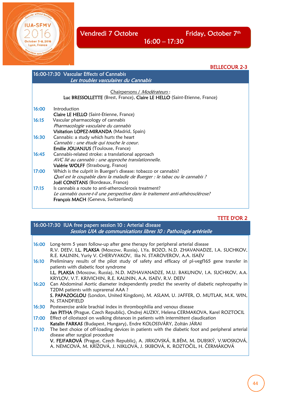Vendredi 7 Octobre Friday, October 7<sup>th</sup>

without bo

**IUA-SFMV** 

October 5-8, 2016 Lyon, France

BELLECOUR 2-3

| 16:00-17:30 Vascular Effects of Cannabis<br>Les troubles vasculaires du Cannabis |                                                                                |
|----------------------------------------------------------------------------------|--------------------------------------------------------------------------------|
|                                                                                  |                                                                                |
|                                                                                  | Chairpersons / Modérateurs:                                                    |
|                                                                                  | Luc BRESSOLLETTE (Brest, France), Claire LE HELLO (Saint-Etienne, France)      |
| 16:00                                                                            | Introduction                                                                   |
|                                                                                  | <b>Claire LE HELLO</b> (Saint-Etienne, France)                                 |
| 16:15                                                                            | Vascular pharmacology of cannabis                                              |
|                                                                                  | Pharmacologie vasculaire du cannabis                                           |
|                                                                                  | Visitation LOPEZ-MIRANDA (Madrid, Spain)                                       |
| 16:30                                                                            | Cannabis: a study which hurts the heart                                        |
|                                                                                  | Cannabis : une étude qui touche le coeur.                                      |
|                                                                                  | <b>Emilie JOUANJUS</b> (Toulouse, France)                                      |
| 16:45                                                                            | Cannabis-related stroke: a translational approach                              |
|                                                                                  | AVC lié au cannabis : une approche translationnelle.                           |
|                                                                                  | Valérie WOLFF (Strasbourg, France)                                             |
| 17:00                                                                            | Which is the culprit in Buerger's disease: tobacco or cannabis?                |
|                                                                                  | Quel est le coupable dans la maladie de Buerger : le tabac ou le cannabis ?    |
|                                                                                  | Joël CONSTANS (Bordeaux, France)                                               |
| 17:15                                                                            | Is cannabis a route to anti-atherosclerosis treatment?                         |
|                                                                                  | Le cannabis ouvre-t-il une perspective dans le traitement anti-athérosclérose? |
|                                                                                  | François MACH (Geneva, Switzerland)                                            |
|                                                                                  |                                                                                |

16:00 – 17:30

## TETE D'OR 2

| 16:00-17:30 IUA free papers session 10 : Arterial disease<br>Session UIA de communications libres 10 : Pathologie artérielle |                                                                                                                                       |  |
|------------------------------------------------------------------------------------------------------------------------------|---------------------------------------------------------------------------------------------------------------------------------------|--|
|                                                                                                                              |                                                                                                                                       |  |
| 16:00                                                                                                                        | Long-term 5 years follow-up after gene therapy for peripheral arterial disease                                                        |  |
|                                                                                                                              | R.V. DEEV, I.L. PLAKSA (Moscow, Russia), I.Ya. BOZO, N.D. ZHAVANADZE, I.A. SUCHKOV,                                                   |  |
|                                                                                                                              | R.E. KALININ, Yuriy V. CHERVYAKOV, Ilia N. STAROVEROV, A.A. ISAEV                                                                     |  |
| 16:10                                                                                                                        | Preliminary results of the pilot study of safety and efficacy of pl-vegf165 gene transfer in<br>patients with diabetic foot syndrome  |  |
|                                                                                                                              | I.L. PLAKSA (Moscow, Russia), N.D. MZHAVANADZE, M.U. BAKUNOV, I.A. SUCHKOV, A.A.                                                      |  |
|                                                                                                                              | KRYLOV, V.T. KRIVICHIN, R.E. KALININ, A.A. ISAEV, R.V. DEEV                                                                           |  |
| 16:20                                                                                                                        | Can Abdominal Aortic diameter independently predict the severity of diabetic nephropathy in<br>T2DM patients with suprarenal AAA ?    |  |
|                                                                                                                              | S. PAPAZOGLOU (London, United Kingdom), M. ASLAM, U. JAFFER, O. MUTLAK, M.K. WIN,                                                     |  |
|                                                                                                                              | N. STANDFIELD                                                                                                                         |  |
| 16:30                                                                                                                        | Postexercise ankle brachial index in thrombophilia and venous disease                                                                 |  |
|                                                                                                                              | Jan PITHA (Prague, Czech Republic), Ondrej AUZKY, Helena CERMAKOVA, Karel ROZTOCIL                                                    |  |
| 17:00                                                                                                                        | Effect of cilostazol on walking distances in patients with intermittent claudication                                                  |  |
|                                                                                                                              | Katalin FARKAS (Budapest, Hungary), Endre KOLOSSVÁRY, Zoltán JÁRAI                                                                    |  |
| 17:10                                                                                                                        | The best choice of off-loading devices in patients with the diabetic foot and peripheral arterial<br>disease after surgical procedure |  |
|                                                                                                                              | V. FEJFAROVÁ (Prague, Czech Republic), A. JIRKOVSKÁ, R.BÉM, M. DUBSKÝ, V.WOSKOVÁ,                                                     |  |
|                                                                                                                              | A. NĚMCOVÁ, M. KŘÍŽOVÁ, J. NIKLOVÁ, J. SKIBOVÁ, K. ROZTOČIL, H. ČERMÁKOVÁ                                                             |  |
|                                                                                                                              |                                                                                                                                       |  |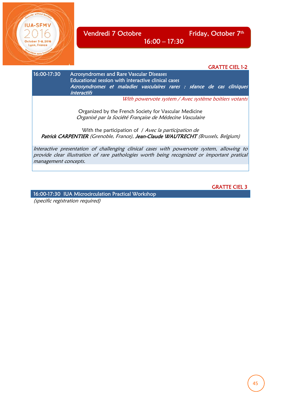



provide clear illustration of rare pathologies worth being recognized or important pratical management concepts.

GRATTE CIEL 3

16:00-17:30 IUA Microcirculation Practical Workshop

(specific registration required)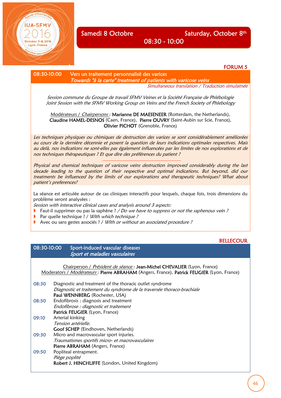## Samedi 8 Octobre Saturday, October 8th

FORUM 5

08:30 - 10:00

08:30-10:00 Vers un traitement personnalisé des varices

 Towards "à la carte" treatment of patients with varicose veins Simultaneous translation / Traduction simulatnée

Session commune du Groupe de travail SFMV Veines et la Société Française de Phlébologie Joint Session with the SFMV Working Group on Veins and the French Society of Phlebology

Modérateurs / Chairpersons: Marianne DE MAESENEER (Rotterdam, the Netherlands), Claudine HAMEL-DESNOS (Caen, France), Pierre OUVRY (Saint-Aubin sur Scie, France), Olivier PICHOT (Grenoble, France)

Les techniques physiques ou chimiques de destruction des varices se sont considérablement améliorées au cours de la dernière décennie et posent la question de leurs indications optimales respectives. Mais au delà, nos indications ne sont-elles pas également influencées par les limites de nos explorations et de nos techniques thérapeutiques ? Et que dire des préférences du patient ?

Physical and chemical techniques of varicose veins destruction improved considerably during the last decade leading to the question of their respective and optimal indications. But beyond, did our treatments be influenced by the limits of our explorations and therapeutic techniques? What about patient's preferences?

La séance est articulée autour de cas cliniques interactifs pour lesquels, chaque fois, trois dimensions du problème seront analysées :

Session with interactive clinical cases and analysis around 3 aspects:

- **Faut-il supprimer ou pas la saphène** ? */ Do we have to suppress or not the saphenous vein* ?
- Par quelle technique ? / With which technique ?
- Avec ou sans gestes associés ? / With or without an associated procedure ?

#### **BELLECOUR**

#### 08:30-10:00 Sport-induced vascular diseases Sport et maladies vasculaires

Chairperson / *Président de séance* : **Jean-Michel CHEVALIER** (Lyon, France) Moderators / Modérateurs: Pierre ABRAHAM (Angers, France), Patrick FEUGIER (Lyon, France) 08:30 Diagnostic and treatment of the thoracic outlet syndrome Diagnostic et traitement du syndrome de la traversée thoraco-brachiale Paul WENNBERG (Rochester, USA) 08:50 Endofibrosis : diagnosis and treatment Endofibrose : diagnostic et traitement Patrick FEUGIER (Lyon, France) 09:10 Arterial kinking Tension artérielle. Goof SCHEP (Eindhoven, Netherlands) 09:30 Micro and macrovascular sport injuries. Traumatismes sportifs micro- et macrovasculaires

Pierre ABRAHAM (Angers, France) 09:50 Popliteal entrapment. Piège poplité Robert J. HINCHLIFFE (London, United Kingdom)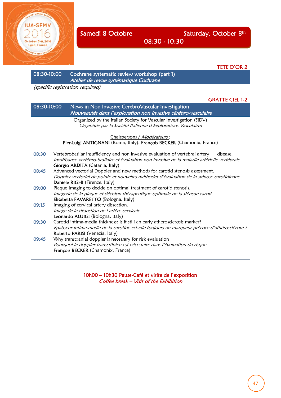

08:30 - 10:30

TETE D'OR 2

08:30-10:00 Cochrane systematic review workshop (part 1) Atelier de revue systématique Cochrane

(specific registration required)

#### GRATTE CIEL 1-2

| 08:30-10:00 | News in Non Invasive CerebroVascular Investigation<br>Nouveautés dans l'exploration non invasive cérébro-vasculaire                                                                                                            |
|-------------|--------------------------------------------------------------------------------------------------------------------------------------------------------------------------------------------------------------------------------|
|             | Organized by the Italian Society for Vascular Investigation (SIDV)<br>Organisée par la Société Italienne d'Explorations Vasculaires                                                                                            |
|             | Chairpersons / Modérateurs:                                                                                                                                                                                                    |
|             | Pier-Luigi ANTIGNANI (Roma, Italy), François BECKER (Chamonix, France)                                                                                                                                                         |
| 08:30       | Vertebrobasilar insufficiency and non invasive evaluation of vertebral artery<br>disease.<br>Insuffisance vertébro-basilaire et évaluation non invasive de la maladie artérielle vertébrale<br>Giorgio ARDITA (Catania, Italy) |
| 08:45       | Advanced vectorial Doppler and new methods for carotid stenosis assessment.<br>Doppler vectoriel de pointe et nouvelles méthodes d'évaluation de la sténose carotidienne<br>Daniele RIGHI (Firenze, Italy)                     |
| 09:00       | Plaque Imaging to decide on optimal treatment of carotid stenosis.<br>Imagerie de la plaque et décision thérapeutique optimale de la sténose caroti<br>Elisabetta FAVARETTO (Bologna, Italy)                                   |
| 09:15       | Imaging of cervical artery dissection.<br>Image de la dissection de l'artère cervicale<br>Leonardo ALUIGI (Bologna, Italy)                                                                                                     |
| 09:30       | Carotid intima-media thickness: Is it still an early atherosclerosis marker?<br>Epaisseur intima-media de la carotide est-elle toujours un marqueur précoce d'athérosclérose ?<br>Roberto PARISI (Venezia, Italy)              |
| 09:45       | Why transcranial doppler is necessary for risk evaluation<br>Pourquoi le doppler transcrânien est nécessaire dans l'évaluation du risque<br>François BECKER (Chamonix, France)                                                 |

10h00 – 10h30 Pause-Café et visite de l'exposition Coffee break – Visit of the Exhibition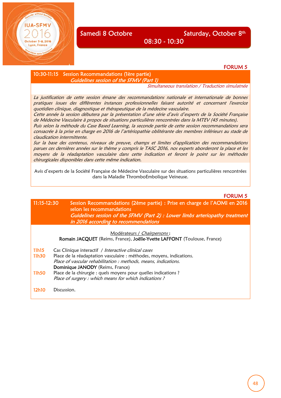### Samedi 8 Octobre Saturday, October 8th

08:30 - 10:30

#### FORUM 5

FORUM 5

10:30-11:15 Session Recommandations (1ère partie) Guidelines session of the SFMV (Part 1)

Simultaneous translation / Traduction simulatnée

La justification de cette session émane des recommandations nationale et internationale de bonnes pratiques issues des différentes instances professionnelles faisant autorité et concernant l'exercice quotidien clinique, diagnostique et thérapeutique de la médecine vasculaire.

Cette année la session débutera par la présentation d'une série d'avis d'experts de la Société Française de Médecine Vasculaire à propos de situations particulières rencontrées dans la MTEV (45 minutes).

Puis selon la méthode du Case Based Learning, la seconde partie de cette session recommandations sera consacrée à la prise en charge en 2016 de l'artériopathie oblitérante des membres inférieurs au stade de claudication intermittente.

Sur la base des contenus, niveaux de preuve, champs et limites d'application des recommandations parues ces dernières années sur le thème y compris le TASC 2016, nos experts aborderont la place et les moyens de la réadaptation vasculaire dans cette indication et feront le point sur les méthodes chirurgicales disponibles dans cette même indication.

Avis d'experts de la Société Française de Médecine Vasculaire sur des situations particulières rencontrées dans la Maladie ThromboEmbolique Veineuse.

#### 11:15-12:30 Session Recommandations (2ème partie) : Prise en charge de l'AOMI en 2016 selon les recommandations Guidelines session of the SFMV (Part 2) : Lower limbs arteriopathy treatment in 2016 according to recommendations

#### Modérateurs / Chairpersons :

Romain JACQUET (Reims, France), Joëlle-Yvette LAFFONT (Toulouse, France)

- 11h15 Cas Clinique interactif / Interactive clinical cases 11h30 Place de la réadaptation vasculaire : méthodes, moyens, indications.
- Place of vascular rehabilitation : methods, means, indications. Dominique JANODY (Reims, France) 11h50 Place de la chirurgie : quels moyens pour quelles indications ? Place of surgery : which means for which indications ?
- 12h10 Discussion.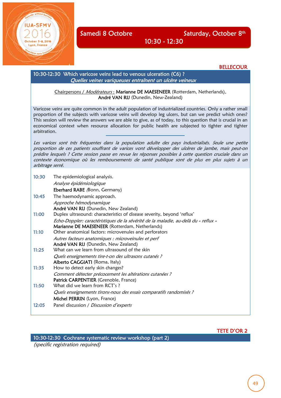October 5-8, 2016 Lyon, France

**BELLECOUR** 

| 10:30-12:30 Which varicose veins lead to venous ulceration (C6)?<br>Quelles veines variqueuses entraînent un ulcère veineux |                                                                                                                                                                                                                                                                                                                                                                                                                                                           |  |  |
|-----------------------------------------------------------------------------------------------------------------------------|-----------------------------------------------------------------------------------------------------------------------------------------------------------------------------------------------------------------------------------------------------------------------------------------------------------------------------------------------------------------------------------------------------------------------------------------------------------|--|--|
|                                                                                                                             | Chairpersons / Modérateurs: Marianne DE MAESENEER (Rotterdam, Netherlands),<br>André VAN RIJ (Dunedin, New-Zealand)                                                                                                                                                                                                                                                                                                                                       |  |  |
|                                                                                                                             | Varicose veins are quite common in the adult population of industrialized countries. Only a rather small<br>proportion of the subjects with varicose veins will develop leg ulcers, but can we predict which ones?<br>This session will review the answers we are able to give, as of today, to this question that is crucial in an<br>economical context when resource allocation for public health are subjected to tighter and tighter<br>arbitration. |  |  |
|                                                                                                                             | Les varices sont très fréquentes dans la population adulte des pays industrialisés. Seule une petite<br>proportion de ces patients souffrant de varices vont développer des ulcères de jambe, mais peut-on<br>prédire lesquels ? Cette session passe en revue les réponses possibles à cette question cruciale dans un<br>contexte économique où les remboursements de santé publique sont de plus en plus sujets à un<br>arbitrage serré.                |  |  |
| 10:30                                                                                                                       | The epidemiological analysis.<br>Analyse épidémiologique<br>Eberhard RABE (Bonn, Germany)                                                                                                                                                                                                                                                                                                                                                                 |  |  |
| 10:45                                                                                                                       | The haemodynamic approach.<br>Approche hémodynamique<br>André VAN RIJ (Dunedin, New Zealand)                                                                                                                                                                                                                                                                                                                                                              |  |  |
| 11:00                                                                                                                       | Duplex ultrasound: characteristics of disease severity, beyond 'reflux'<br>Echo-Doppler: caractéristiques de la sévérité de la maladie, au-delà du « reflux »<br>Marianne DE MAESENEER (Rotterdam, Netherlands)                                                                                                                                                                                                                                           |  |  |
| 11:10                                                                                                                       | Other anatomical factors: microvenules and perforators<br>Autres facteurs anatomiques : microveinules et perf                                                                                                                                                                                                                                                                                                                                             |  |  |
| 11:25                                                                                                                       | André VAN RIJ (Dunedin, New Zealand)<br>What can we learn from ultrasound of the skin<br>Quels enseignements tire-t-on des ultrasons cutanés ?                                                                                                                                                                                                                                                                                                            |  |  |
| 11:35                                                                                                                       | Alberto CAGGIATI (Roma, Italy)<br>How to detect early skin changes?                                                                                                                                                                                                                                                                                                                                                                                       |  |  |
| 11:50                                                                                                                       | Comment détecter précocement les altérations cutanées ?<br>Patrick CARPENTIER (Grenoble, France)<br>What did we learn from RCT's?                                                                                                                                                                                                                                                                                                                         |  |  |
|                                                                                                                             | Quels enseignements tirons-nous des essais comparatifs randomisés ?<br>Michel PERRIN (Lyon, France)                                                                                                                                                                                                                                                                                                                                                       |  |  |
| 12:05                                                                                                                       | Panel discussion / Discussion d'experts                                                                                                                                                                                                                                                                                                                                                                                                                   |  |  |

10:30 - 12:30

#### TETE D'OR 2

10:30-12:30 Cochrane systematic review workshop (part 2)

(specific registration required)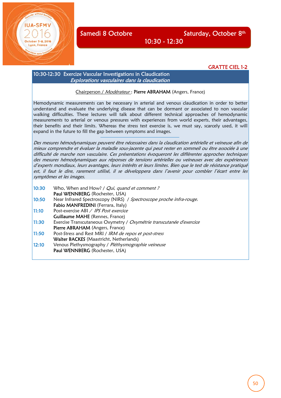yon, France

## Samedi 8 Octobre Saturday, October 8th

GRATTE CIEL 1-2

#### 10:30-12:30 Exercize Vascular Investigations in Claudication Explorations vasculaires dans la claudication

#### Chairperson / Modérateur: Pierre ABRAHAM (Angers, France)

10:30 - 12:30

Hemodynamic measurements can be necessary in arterial and venous claudication in order to better understand and evaluate the underlying disease that can be dormant or associated to non vascular walking difficulties. These lectures will talk about different technical approaches of hemodynamic measurements to arterial or venous pressures with experiences from world experts, their advantages, their benefits and their limits. Whereas the stress test exercise is, we must say, scarcely used, it will expand in the future to fill the gap between symptoms and images.

Des mesures hémodynamiques peuvent être nécessaires dans la claudication artérielle et veineuse afin de mieux comprendre et évaluer la maladie sous-jacente qui peut rester en sommeil ou être associée à une difficulté de marche non vasculaire. Ces présentations évoqueront les différentes approches techniques des mesures hémodynamiques aux réponses de tensions artérielles ou veineuses avec des expériences d'experts mondiaux, leurs avantages, leurs intérêts et leurs limites. Bien que le test de résistance pratiqué est, il faut le dire, rarement utilisé, il se développera dans l'avenir pour combler l'écart entre les symptômes et les images.

| 10:30 | Who, When and How? / <i>Qui, quand et comment?</i>                   |
|-------|----------------------------------------------------------------------|
|       | Paul WENNBERG (Rochester, USA)                                       |
| 10:50 | Near Infrared Spectroscopy (NIRS) / Spectroscope proche infra-rouge. |
|       | Fabio MANFREDINI (Ferrara, Italy)                                    |
| 11:10 | Post-exercise ABI / IPS Post exercice                                |
|       | <b>Guillaume MAHE</b> (Rennes, France)                               |
| 11:30 | Exercise Transcutaneous Oxymetry / Oxymétrie transcutanée d'exercice |
|       | Pierre ABRAHAM (Angers, France)                                      |
| 11:50 | Post-Stress and Rest MRI / IRM de repos et post-stress               |
|       | Walter BACKES (Maastricht, Netherlands)                              |
| 12:10 | Venous Plethysmography / Pléthysmographie veineuse                   |
|       | Paul WENNBERG (Rochester, USA)                                       |
|       |                                                                      |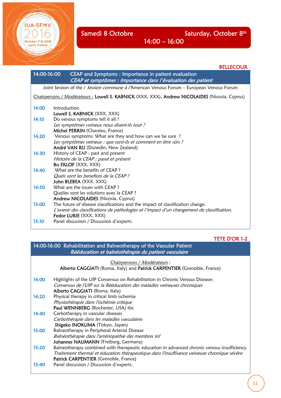**\_CEM** 

 $-8.2016$ Lyon, France

Samedi 8 Octobre Saturday, October 8th

BELLECOUR

## 14:00 – 16:00

| 14:00-16:00 | CEAP and Symptoms : Importance in patient evaluation<br>CEAP et symptômes : Importance dans l'évaluation des patient                                             |
|-------------|------------------------------------------------------------------------------------------------------------------------------------------------------------------|
|             | Joint Session of the / Session commune à l'American Venous Forum – European Venous Forum                                                                         |
|             | Chairpersons / Modérateurs : Lowell S. KABNICK (XXX, XXX), Andrew NICOLAIDES (Nicosia, Cyprus)                                                                   |
| 14:00       | Introduction<br>Lowell S. KABNICK (XXX, XXX)                                                                                                                     |
| 14:10       | Do venous symptoms tell it all?<br>Les symptômes veineux nous disent-ils tout ?<br>Michel PERRIN (Chassieu, France)                                              |
| 14:20       | Venous symptoms: What are they and how can we be sure?<br>Les symptômes veineux : que sont-ils et comment en être sûrs ?<br>André VAN RIJ (Dunedin, New Zealand) |
| 14:30       | History of CEAP : past and present<br>Histoire de la CEAP : passé et présent<br>Bo EKLOF (XXX, XXX)                                                              |
| 14:40       | What are the benefits of CEAP?<br>Quels sont les benefices de la CEAP?<br>John BLEBEA (XXX, XXX)                                                                 |
| 14.50       | What are the issues with CFAP?                                                                                                                                   |

14:50 What are the issues with CEAP? Quelles sont les solutions avec la CEAP ? Andrew NICOLAIDES (Nicosia, Cyprus) 15:00 The future of disease classifications and the impact of classification change. L'avenir des classifications de pathologies et l'impact d'un changement de classification. Fedor LURIE (XXX, XXX) 15:10 Panel discussion / Discussion d'experts.

#### TETE D'OR 1-2

### 14:00-16:00 Rehabilitation and Balneotherapy of the Vascular Patient Rééducation et balnéothérapie du patient vasculaire

|       | <u>Chairpersons / Modérateurs:</u><br>Alberto CAGGIATI (Roma, Italy) and Patrick CARPENTIER (Grenoble, France)                                                                                                                     |
|-------|------------------------------------------------------------------------------------------------------------------------------------------------------------------------------------------------------------------------------------|
| 14:00 | Highlights of the UIP Consensus on Rehabilitation in Chronic Venous Diseases<br>Consensus de l'UIP sur la Rééducation des maladies veineuses chroniques                                                                            |
| 14:20 | Alberto CAGGIATI (Roma, Italy)<br>Physical therapy in critical limb ischemia<br>Physiothérapie dans l'ischémie critique<br>Paul WENNBERG (Rochester, USA) tbc                                                                      |
| 14:40 | Carbotherapy in vascular diseases<br>Carbothérapie dans les maladies vasculaires<br>Shigeko INOKUMA (Tokyo, Japan)                                                                                                                 |
| 15:00 | Balneotherapy in Peripheral Arterial Disease<br>Balnéothérapie dans l'artériopathie des membres inf<br>Johannes NAUMANN (Freiburg, Germany)                                                                                        |
| 15:20 | Balneotherapy combined with therapeutic education in advanced chronic venous insufficiency<br>Traitement thermal et éducation thérapeutique dans l'insuffisance veineuse chronique sévère<br>Patrick CARPENTIER (Grenoble, France) |
| 15:40 | Panel discussion / Discussion d'experts.                                                                                                                                                                                           |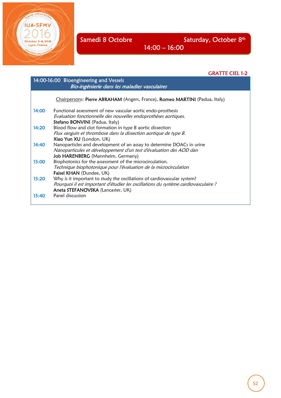Ξ

**IUA-SFMV** 

October 5-8, 2016 Lyon, France

14:00 – 16:00

## GRATTE CIEL 1-2

| 14:00-16:00 Bioengineering and Vessels |                                                                                    |  |  |
|----------------------------------------|------------------------------------------------------------------------------------|--|--|
|                                        | Bio-ingénierie dans les maladies vasculaires                                       |  |  |
|                                        | Chairpersons: Pierre ABRAHAM (Angers, France), Romeo MARTINI (Padua, Italy)        |  |  |
| 14:00                                  | Functional assessment of new vascular aortic endo-prosthesis                       |  |  |
|                                        | Evaluation fonctionnelle des nouvelles endoprothèses aortiques.                    |  |  |
|                                        | Stefano BONVINI (Padua, Italy)                                                     |  |  |
| 14:20                                  | Blood flow and clot formation in type B aortic dissection                          |  |  |
|                                        | Flux sanguin et thrombose dans la dissection aortique de type B.                   |  |  |
|                                        | Xiao Yun XU (London, UK)                                                           |  |  |
| 14:40                                  | Nanoparticles and development of an assay to determine DOACs in urine              |  |  |
|                                        | Nanoparticules et développement d'un test d'évaluation des AOD dan                 |  |  |
|                                        | Job HARENBERG (Mannheim, Germany)                                                  |  |  |
| 15:00                                  | Biophotonics for the assessment of the microcirculation.                           |  |  |
|                                        | Technique biophotonique pour l'évaluation de la microcirculation                   |  |  |
|                                        | Faisel KHAN (Dundee, UK)                                                           |  |  |
| 15:20                                  | Why is it important to study the oscillations of cardiovascular system?            |  |  |
|                                        | Pourquoi il est important d'étudier les oscillations du système cardiovasculaire ? |  |  |
|                                        | Aneta STEFANOVSKA (Lancaster, UK)                                                  |  |  |
| 15:40                                  | Panel discussion                                                                   |  |  |
|                                        |                                                                                    |  |  |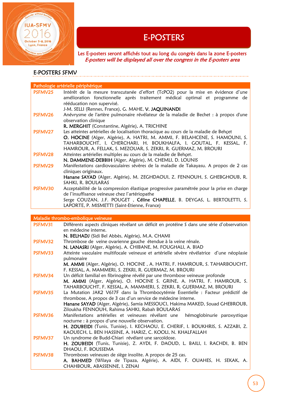

E-POSTERS<br>Les E-posters seront affichés tout au long du congrès dans la zone E-posters E-posters will be displayed all over the congress in the E-posters area

#### I E-POSTERS SFMV

|                | Pathologie artérielle périphérique                                                                                                                                                                                                                                                                           |
|----------------|--------------------------------------------------------------------------------------------------------------------------------------------------------------------------------------------------------------------------------------------------------------------------------------------------------------|
| PSFMV25        | Intérêt de la mesure transcutanée d'effort (TcPO2) pour la mise en évidence d'une<br>amélioration fonctionnelle après traitement médical optimal et programme de<br>rééducation non supervisé.<br>J-M. SELLI (Rennes, France), G. MAHE, V. JAQUINANDI                                                        |
| PSFMV26        | Anévrysme de l'artère pulmonaire révélateur de la maladie de Bechet : à propos d'une<br>observation clinique<br>R. MERGHIT (Constantine, Algérie), A. TRICHINE                                                                                                                                               |
| <b>PSFMV27</b> | Les atteintes artérielles de localisation thoracique au cours de la maladie de Behçet<br>O. HOCINE (Alger, Algérie), A. HATRI, M. AMMI, F. BELAHCENE, S. HAMOUNI, S.<br>TAHARBOUCHT, I. CHERCHARI, H. BOUKHALFA, I. GOUTAL, F. KESSAL, F.<br>HAMROUR, A. FELLAK, S. MEZOUAR, S. ZEKRI, R. GUERMAZ, M. BROURI |
| PSFMV28        | Atteintes artérielles multiples au cours de la maladie de Behçet.<br>N. DAMMENE-DEBBIH (Alger, Algérie), M. CHEMLI, D. LOUNIS                                                                                                                                                                                |
| PSFMV29        | Manifestations cardiovasculaires sévères de la maladie de Takayasu. A propos de 2 cas<br>cliniques originaux.<br>Hanane SAYAD (Alger, Algérie), M. ZEGHDAOUI, Z. FENNOUH, S. GHEBGHOUB, R.<br>SAHKI, R. BOULARAS                                                                                             |
| PSFMV30        | Acceptabilité de la compression élastique progressive paramétrée pour la prise en charge<br>de l'insuffisance veineuse chez l'artériopathe<br>Serge COUZAN, J.F. POUGET, Céline CHAPELLE, B. DEYGAS, L. BERTOLETTI, S.<br>LAPORTE, P. MISMETTI (Saint-Etienne, France)                                       |

Maladie thrombo-embolique veineuse PSFMV31 Différents aspects cliniques révélant un déficit en protéine S dans une série d'observation en médecine interne. N. BELHADJ (Sidi Bel Abbès, Algérie), M.A. CHAMI PSFMV32 Thrombose de veine ovarienne gauche étendue à la veine rénale. N. LANASRI (Alger, Algérie), A. CHIBANE, M. FOUGHALI, A. BIAD PSFMV33 Atteinte vasculaire multifocale veineuse et artérielle sévère révélatrice d'une néoplasie pulmonaire M. AMMI (Alger, Algérie), O. HOCINE , A. HATRI, F. HAMROUR, S. TAHARBOUCHT, F. KESSAL, A. MAMMERI, S. ZEKRI, R. GUERMAZ, M. BROURI PSFMV34 Un déficit familial en fibrinogène révélé par une thrombose veineuse profonde M. AMMI (Alger, Algérie), O. HOCINE S. GRINE, A. HATRI, F. HAMROUR, S. TAHARBOUCHT, F. KESSAL, A. MAMMERI, S. ZEKRI, R. GUERMAZ, M. BROURI PSFMV35 La Mutation JAK2 V617F dans la Thrombocytémie Essentielle : Facteur prédictif de thrombose, A propos de 3 cas d'un service de médecine interne. Hanane SAYAD (Alger, Algérie), Samia MESSOUCI, Hakima MAKED, Souad GHEBROUB, Ziloukha FENNOUH, Rahima SAHKI, Rabah BOULARAS PSFMV36 Manifestations artérielles et veineuses révélant une hémoglobinurie paroxystique nocturne : à propos d'une nouvelle observation. H. ZOUBEIDI (Tunis, Tunisie), I. KECHAOU, E. CHERIF, I. BOUKHRIS, S. AZZABI, Z. KAOUECH, L. BEN HASSINE, A. HARIZ, C. KOOLI, N. KHALFALLAH PSFMV37 Un syndrome de Budd-Chiari révélant une sarcoïdose. H. ZOUBEIDI (Tunis, Tunisie), Z. AYDI, F. DAOUD, L. BAILI, I. RACHDI, B. BEN DHAOU, F. BOUSSEMA PSFMV38 Thromboses veineuses de siège insolite. A propos de 25 cas. A. BAHMED (Wilaya de Tipaza, Algérie), A. AIDI, F. OUAHES, H. SEKAK, A. CHAHBOUR, ABASSENNE, I. ZENAI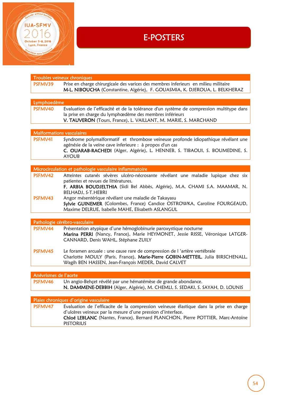

# E-POSTERS

|                       | Troubles veineux chroniques                                                              |
|-----------------------|------------------------------------------------------------------------------------------|
| PSFMV39               | Prise en charge chirurgicale des varices des membres inferieurs en milieu militaire      |
|                       | M-L. NIBOUCHA (Constantine, Algérie), F. GOUASMIA, K. DJEROUA, L. BELKHERAZ              |
|                       |                                                                                          |
| Lymphoedème           |                                                                                          |
| PSFMV40               |                                                                                          |
|                       | Evaluation de l'efficacité et de la tolérance d'un système de compression multitype dans |
|                       | la prise en charge du lymphœdème des membres inférieurs                                  |
|                       | V. TAUVERON (Tours, France), L. VAILLANT, M. MARIE, S. MARCHAND                          |
|                       |                                                                                          |
|                       | <b>Malformations vasculaires</b>                                                         |
| PSFMV41               | Syndrome polymalformatif et thrombose veineuse profonde idiopathique révélant une        |
|                       | agénésie de la veine cave inferieure : à propos d'un cas                                 |
|                       | C. OUARAB-RACHEDI (Alger, Algérie), L. HENNEB, S. TIBAOUI, S. BOUMEDINE, S.              |
|                       | <b>AYOUB</b>                                                                             |
|                       |                                                                                          |
|                       | Microcirculation et pathologie vasculaire inflammatoire                                  |
| PSFMV42               |                                                                                          |
|                       | Atteintes cutanés sévères ulcéro-nécrosante révélant une maladie lupique chez six        |
|                       | patientes et revues de littératures.                                                     |
|                       | F. ARBIA BOUDJELTHIA (Sidi Bel Abbès, Algérie), M.A. CHAMI S.A. MAAMAR, N.               |
|                       | BELHADJ, S-T.HEBRI                                                                       |
| PSFMV43               | Angor mésentérique révélant une maladie de Takayasu                                      |
|                       | Sylvie GUINEMER (Colombes, France) Candice OSTROWKA, Caroline FOURGEAUD,                 |
|                       | Maxime DELRUE, Isabelle MAHE, Elisabeth ASLANGUL                                         |
|                       |                                                                                          |
|                       | Pathologie cérébro-vasculaire                                                            |
| PSFMV44               | Présentation atypique d'une hémoglobinurie paroxystique nocturne                         |
|                       | Marina PERRI (Nancy, France), Marie HEYMONET, Jessie RISSE, Véronique LATGER-            |
|                       | CANNARD, Denis WAHL, Stéphane ZUILY                                                      |
|                       |                                                                                          |
| PSFMV45               | Le foramen arcuale : une cause rare de compression de l'artère vertébrale                |
|                       | Charlotte MOULY (Paris, France), Marie-Pierre GOBIN-METTEIL, Julia BIRSCHENALL,          |
|                       | Wagih BEN HASSEN, Jean-François MEDER, David CALVET                                      |
|                       |                                                                                          |
|                       |                                                                                          |
| Anévrismes de l'aorte |                                                                                          |
| PSFMV46               | Un angio-Behçet révélé par une hématémèse de grande abondance.                           |
|                       | N. DAMMENE-DEBBIH (Alger, Algérie), M. CHEMLI, S. SEDAKI, S. SAYAH, D. LOUNIS            |
|                       |                                                                                          |

| Plaies chroniques d'origine vasculaire |                                                                                         |
|----------------------------------------|-----------------------------------------------------------------------------------------|
| <b>PSFMV47</b>                         | Evaluation de l'efficacite de la compression veineuse élastique dans la prise en charge |
|                                        | d'ulcères veineux par la mesure d'une pression d'interface.                             |
|                                        | Chloé LEBLANC (Nantes, France), Bernard PLANCHON, Pierre POTTIER, Marc-Antoine          |
|                                        | <b>PISTORIUS</b>                                                                        |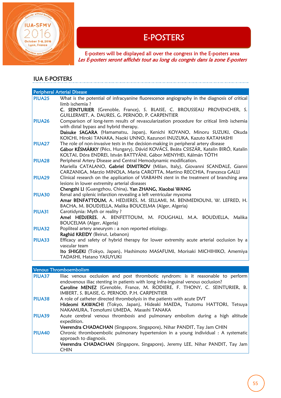

E-POSTERS<br>E-posters will be displayed all over the congress in the E-posters area Les E-posters seront affichés tout au long du congrès dans la zone E-posters

## IUA E-POSTERS

|                    | <b>Peripheral Arterial Disease</b>                                                                                                               |
|--------------------|--------------------------------------------------------------------------------------------------------------------------------------------------|
| PIUA <sub>25</sub> | What is the potential of infracyanine fluorescence angiography in the diagnosis of critical                                                      |
|                    | limb ischemia?                                                                                                                                   |
|                    | C. SEINTURIER (Grenoble, France), S. BLAISE, C. BROUSSEAU PROVENCHER, S.                                                                         |
|                    | GUILLERMET, A. DAURES, G. PERNOD, P. CARPENTIER                                                                                                  |
| <b>PIUA26</b>      | Comparison of long-term results of revascularization procedure for critical limb ischemia                                                        |
|                    | with distal bypass and hybrid therapy.                                                                                                           |
|                    | Daisuke SAGARA (Hamamatsu, Japan), Kenichi KOYANO, Minoru SUZUKI, Okuda<br>KOICHI, Hiroki TANAKA, Naoki UNNO, Kazunori INUZUKA, Kazuto KATAHASHI |
| <b>PIUA27</b>      | The role of non-invasive tests in the decision-making in peripheral artery disease                                                               |
|                    | Gábor KÉSMÁRKY (Pécs, Hungary), Dávid KOVÁCS, Beáta CSISZÁR, Katalin BIRÓ, Katalin                                                               |
|                    | KOLTAI, Dóra ENDREI, István BATTYÁNI, Gábor MENYHEI, Kálmán TÓTH                                                                                 |
| PIUA <sub>28</sub> | Peripheral Artery Disease and Central Hemodynamic modification.                                                                                  |
|                    | Mariella CATALANO, Gabriel DIMITROV (Milan, Italy), Giovanni SCANDALE, Gianni                                                                    |
|                    | CARZANIGA, Marzio MINOLA, Maria CAROTTA, Martino RECCHIA, Francesca GALLI                                                                        |
| <b>PIUA29</b>      | Clinical research on the application of VIABAHN stent in the treatment of branching area                                                         |
|                    | lesions in lower extremity arterial diseases                                                                                                     |
|                    | Chengzhi LI (Guangzhou, China), Yan ZHANG, Xiaobai WANG                                                                                          |
| <b>PIUA30</b>      | Renal and splenic infarction revealing a left ventricular myxoma                                                                                 |
|                    | Amar BENFATTOUM, A. HEDJERES, M. SELLAMI, M. BENMEDIOUNI, W. LEFRED, H.                                                                          |
|                    | BACHA, M. BOUDJELLA, Malika BOUCELMA (Alger, Algeria)                                                                                            |
| <b>PIUA31</b>      | Carotidynia: Myth or reality?                                                                                                                    |
|                    | Amel HEDJERES, A. BENFETTOUM, M. FOUGHALI, M.A. BOUDJELLA, Malika                                                                                |
|                    | <b>BOUCELMA</b> (Alger, Algeria)                                                                                                                 |
| <b>PIUA32</b>      | Popliteal artery aneurysm : a non reported etiology.                                                                                             |
|                    | Raghid KREIDY (Beirut, Lebanon)                                                                                                                  |
| <b>PIUA33</b>      | Efficacy and safety of hybrid therapy for lower extremity acute arterial occlusion by a                                                          |
|                    | vascular team                                                                                                                                    |
|                    | Ito SHIGEKI (Tokyo, Japan), Hashimoto MASAFUMI, Morisaki MICHIHIKO, Amemiya                                                                      |
|                    | TADASHI, Hatano YASUYUKI                                                                                                                         |

## Venous Thromboembolism

| <b>PIUA37</b> | Iliac venous occlusion and post thrombotic syndrom: is it reasonable to perform<br>endovenous iliac stenting in patients with long infra-inguinal venous occlusion?<br>Caroline MENEZ (Grenoble, France, M. RODIERE, F. THONY, C. SEINTURIER, B. |
|---------------|--------------------------------------------------------------------------------------------------------------------------------------------------------------------------------------------------------------------------------------------------|
|               | IMBERT, S. BLAISE, G. PERNOD, P.H. CARPENTIER                                                                                                                                                                                                    |
| <b>PIUA38</b> | A role of catheter directed thrombolysis in the patients with acute DVT                                                                                                                                                                          |
|               | Hideomi KAWACHI (Tokyo, Japan), Hideaki MAEDA, Tsutomu HATTORI, Tetsuya<br>NAKAMURA, Tomofumi UMEDA, Masashi TANAKA                                                                                                                              |
| <b>PIUA39</b> | Acute cerebral venous thrombosis and pulmonary embolism during a high altitude<br>expedition.                                                                                                                                                    |
|               | Veerendra CHADACHAN (Singapore, Singapore), Nihar PANDIT, Tay Jam CHIN                                                                                                                                                                           |
| <b>PIUA40</b> | Chronic thromboembolic pulmonary hypertension in a young individual : A systematic<br>approach to diagnosis.                                                                                                                                     |
|               | Veerendra CHADACHAN (Singapore, Singapore), Jeremy LEE, Nihar PANDIT, Tay Jam<br><b>CHIN</b>                                                                                                                                                     |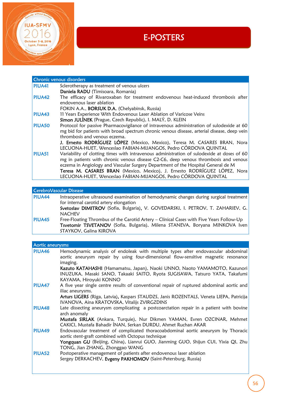

I

# E-POSTERS

| Chronic venous disorders |                                                                                             |  |
|--------------------------|---------------------------------------------------------------------------------------------|--|
| <b>PIUA41</b>            | Sclerotherapy as treatment of venous ulcers                                                 |  |
|                          | Daniela RADU (Timisoara, Romania)                                                           |  |
| <b>PIUA42</b>            | The efficacy of Rivaroxaban for treatment endovenous heat-induced thrombosis after          |  |
|                          | endovenous laser ablation                                                                   |  |
|                          | FOKIN A.A., <b>BORSUK D.A.</b> (Chelyabinsk, Russia)                                        |  |
| <b>PIUA43</b>            | 11 Years Experience With Endovenous Laser Ablation of Varicose Veins                        |  |
|                          | Simon JULÍNEK (Prague, Czech Republic), I. MALÝ, D. KLEIN                                   |  |
| PIUA50                   | Protocol for passive Pharmacovigilance of intravenous administration of sulodexide at 60    |  |
|                          | mg bid for patients with broad spectrum chronic venous disease, arterial disease, deep vein |  |
|                          | thrombosis and venous eczema.                                                               |  |
|                          | J. Ernesto RODRÍGUEZ LÓPEZ (Mexico, Mexico), Teresa M. CASARES BRAN, Nora                   |  |
|                          | LECUONA-HUET, Wenceslao FABIAN-MIJANGOS, Pedro CÓRDOVA QUINTAL                              |  |
| <b>PIUA51</b>            | Variability of clotting times with intravenous administration of sulodexide at doses of 60  |  |
|                          | mg in patients with chronic venous disease C2-C6, deep venous thrombosis and venous         |  |
|                          | eczema in Angiology and Vascular Surgery Department of the Hospital General de M            |  |
|                          | Teresa M. CASARES BRAN (Mexico, Mexico), J. Ernesto RODRÍGUEZ LÓPEZ, Nora                   |  |
|                          | LECUONA-HUET, Wenceslao FABIAN-MIJANGOS, Pedro CÓRDOVA QUINTAL                              |  |

#### CerebroVascular Disease PIUA44 Intraoperative ultrasound examination of hemodynamic changes during surgical treatment for internal carotid artery elongation Svetoslav DIMITROV (Sofia, Bulgaria), V. GOVEDARSKI, I. PETROV, T. ZAHARIEV, G. NACHEV PIUA45 Free-Floating Thrombus of the Carotid Artery - Clinical Cases with Five Years Follow-Up Tsvetomir TSVETANOV (Sofia, Bulgaria), Milena STANEVA, Boryana MINKOVA Iven STAYKOV, Galina KIROVA

| Aortic aneurysms |                                                                                                                                                                                                                                                       |  |
|------------------|-------------------------------------------------------------------------------------------------------------------------------------------------------------------------------------------------------------------------------------------------------|--|
| <b>PIUA46</b>    | Hemodynamic analysis of endoleak with multiple types after endovascular abdominal<br>aortic aneurysm repair by using four-dimensional flow-sensitive magnetic resonance<br>imaging.                                                                   |  |
|                  | Kazuto KATAHASHI (Hamamatsu, Japan), Naoki UNNO, Naoto YAMAMOTO, Kazunori<br>INUZUKA, Masaki SANO, Takaaki SAITO, Ryota SUGISAWA, Tatsuro YATA, Takafumi<br>KAYAMA, Hiroyuki KONNO                                                                    |  |
| PIUA47           | A five year single centre results of conventional repair of ruptured abdominal aortic and<br>iliac aneurysms.                                                                                                                                         |  |
|                  | Arturs LIGERS (Riga, Latvia), Kaspars STAUDZS, Janis ROZENTALS, Veneta LIEPA, Patricija<br>IVANOVA, Aina KRATOVSKA, Vitalijs ZVIRGZDINS                                                                                                               |  |
| <b>PIUA48</b>    | Late dissecting aneurysm complicating a postcoarctation repair in a patient with bovine<br>arch anomaly<br>Mustafa SIRLAK (Ankara, Turquie), Nur Dikmen YAMAN, Evren OZCINAR, Mehmet<br>CAKICI, Mustafa Bahadir INAN, Serkan DURDU, Ahmet Ruchan AKAR |  |
| <b>PIUA49</b>    | Endovascular treatment of complicated thoracoabdominal aortic aneurysm by Thoracic<br>aortic stent-graft combined with Octopus technique<br>Yongquan GU (Beijing, China), Lianrui GUO, Jianming GUO, Shijun CUI, Yixia QI, Zhu                        |  |
|                  | TONG, Jian ZHANG, Zhonggao WANG                                                                                                                                                                                                                       |  |
| PIUA52           | Postoperative management of patients after endovenous laser ablation<br>Sergey DERKACHEV, Evgeny PAKHOMOV (Saint-Petersburg, Russia)                                                                                                                  |  |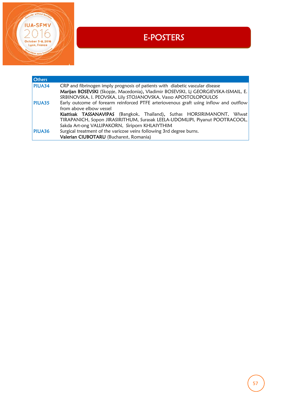

I

# E-POSTERS

| <b>Others</b> |                                                                                       |
|---------------|---------------------------------------------------------------------------------------|
| <b>PIUA34</b> | CRP and fibrinogen imply prognosis of patients with diabetic vascular disease         |
|               | Marijan BOSEVSKI (Skopje, Macedonia), Vladimir BOSEVSKI, Lj GEORGIEVSKA-ISMAIL, E.    |
|               | SRBINOVSKA, I. PEOVSKA, Lily STOJANOVSKA, Vasso APOSTOLOPOULOS                        |
| <b>PIUA35</b> | Early outcome of forearm reinforced PTFE arteriovenous graft using inflow and outflow |
|               | from above elbow vessel                                                               |
|               | Kiattisak TASSANAVIPAS (Bangkok, Thaïland), Suthas HORSIRIMANONT, Wiwat               |
|               | TIRAPANICH, Sopon JIRASIRITHUM, Surasak LEELA-UDOMLIPI, Piyanut POOTRACOOL,           |
|               | Sakda Art-ong VALLIPAKORN, Siriporn KHLAIYTHIM                                        |
| <b>PIUA36</b> | Surgical treatment of the varicose veins following 3rd degree burns.                  |
|               | Valerian CIUBOTARU (Bucharest, Romania)                                               |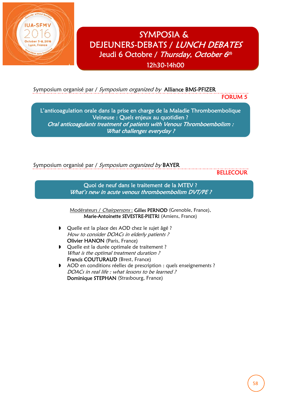

# SYMPOSIA & DEJEUNERS-DEBATS / LUNCH DEBATES Jeudi 6 Octobre / Thursday, October 6th

12h30-14h00

I

Symposium organisé par / Symposium organized by Alliance BMS-PFIZER

FORUM 5

ī L'anticoagulation orale dans la prise en charge de la Maladie Thromboembolique Veineuse : Quels enjeux au quotidien ? Oral anticoagulants treatment of patients with Venous Thromboembolism : What challenges everyday ?

Symposium organisé par / Symposium organized by BAYER

**BELLECOUR** 

Quoi de neuf dans le traitement de la MTEV ? What's new in acute venous thromboembolism DVT/PE?

Modérateurs / Chairpersons : Gilles PERNOD (Grenoble, France), Marie-Antoinette SEVESTRE-PIETRI (Amiens, France)

- Quelle est la place des AOD chez le sujet âgé ? How to consider DOACs in elderly patients ? Olivier HANON (Paris, France)
- Quelle est la durée optimale de traitement ? What is the optimal treatment duration? Francis COUTURAUD (Brest, France)
- AOD en conditions réelles de prescription : quels enseignements ? DOACs in real life : what lessons to be learned ? Dominique STEPHAN (Strasbourg, France)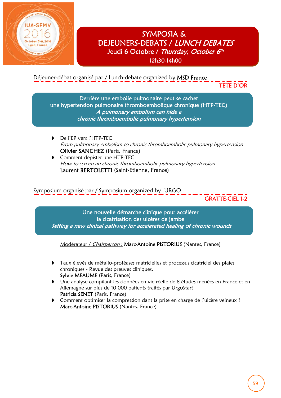

J

## SYMPOSIA & DEJEUNERS-DEBATS / LUNCH DEBATES Jeudi 6 Octobre / Thursday, October 6th 12h30-14h00

Déjeuner-débat organisé par / Lunch-debate organized by MSD France

TETE D'OR

Derrière une embolie pulmonaire peut se cacher une hypertension pulmonaire thromboembolique chronique (HTP-TEC) A pulmonary embolism can hide a chronic thromboembolic pulmonary hypertension

- De l'EP vers l'HTP-TEC From pulmonary embolism to chronic thromboembolic pulmonary hypertension Olivier SANCHEZ (Paris, France)
- **D** Comment dépister une HTP-TEC How to screen an chronic thromboembolic pulmonary hypertension Laurent BERTOLETTI (Saint-Etienne, France)

Symposium organisé par / Symposium organized by URGO

GRATTE-CIEL 1-2

 $\frac{1}{\sqrt{2}}$ Une nouvelle démarche clinique pour accélérer la cicatrisation des ulcères de jambe Setting a new clinical pathway for accelerated healing of chronic wounds

Modérateur / Chairperson : Marc-Antoine PISTORIUS (Nantes, France)

- Taux élevés de métallo-protéases matricielles et processus cicatriciel des plaies chroniques - Revue des preuves cliniques. Sylvie MEAUME (Paris, France)
- Une analyse compilant les données en vie réelle de 8 études menées en France et en Allemagne sur plus de 10 000 patients traités par UrgoStart Patricia SENET (Paris, France)
- Comment optimiser la compression dans la prise en charge de l'ulcère veineux ? Marc-Antoine PISTORIUS (Nantes, France)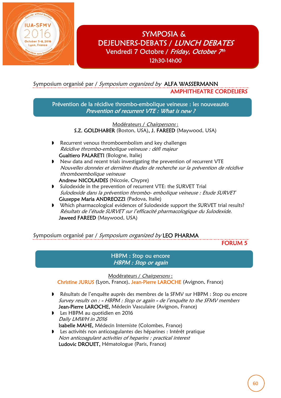

í

Ì

SYMPOSIA & DEJEUNERS-DEBATS / LUNCH DEBATES Vendredi 7 Octobre / Friday, October 7th 12h30-14h00

Ĩ

## Symposium organisé par / Symposium organized by ALFA WASSERMANN AMPHITHEATRE CORDELIERS

Prévention de la récidive thrombo-embolique veineuse : les nouveautés Prevention of recurrent VTE : What is new ?

> Modérateurs / Chairpersons : S.Z. GOLDHABER (Boston, USA), J. FAREED (Maywood, USA)

- Recurrent venous thromboembolism and key challenges Récidive thrombo-embolique veineuse : défi majeur Gualtiero PALARETI (Bologne, Italie)
- New data and recent trials investigating the prevention of recurrent VTE Nouvelles données et dernières études de recherche sur la prévention de récidive thromboembolique veineuse

Andrew NICOLAIDES (Nicosie, Chypre)

- **D** Sulodexide in the prevention of recurrent VTE: the SURVET Trial Sulodexide dans la prévention thrombo- embolique veineuse : Etude SURVET Giuseppe Maria ANDREOZZI (Padova, Italie)
- Which pharmacological evidences of Sulodexide support the SURVET trial results? Résultats de l'étude SURVET sur l'efficacité pharmacologique du Sulodexide. Jaweed FAREED (Maywood, USA)

Symposium organisé par / Symposium organized by LEO PHARMA

FORUM 5

### HBPM : Stop ou encore HBPM : Stop or again

Modérateurs / Chairpersons :

Christine JURUS (Lyon, France), Jean-Pierre LAROCHE (Avignon, France)

- Résultats de l'enquête auprès des membres de la SFMV sur HBPM : Stop ou encore Survey results on : « HBPM : Stop or again » de l'enquête to the SFMV members Jean-Pierre LAROCHE, Médecin Vasculaire (Avignon, France)
- Les HBPM au quotidien en 2016 Daily LMWH in 2016 Isabelle MAHE, Médecin Interniste (Colombes, France)
- Les activités non anticoagulantes des héparines : Intérêt pratique Non anticoagulant activities of heparins : practical interest Ludovic DROUET, Hématologue (Paris, France)